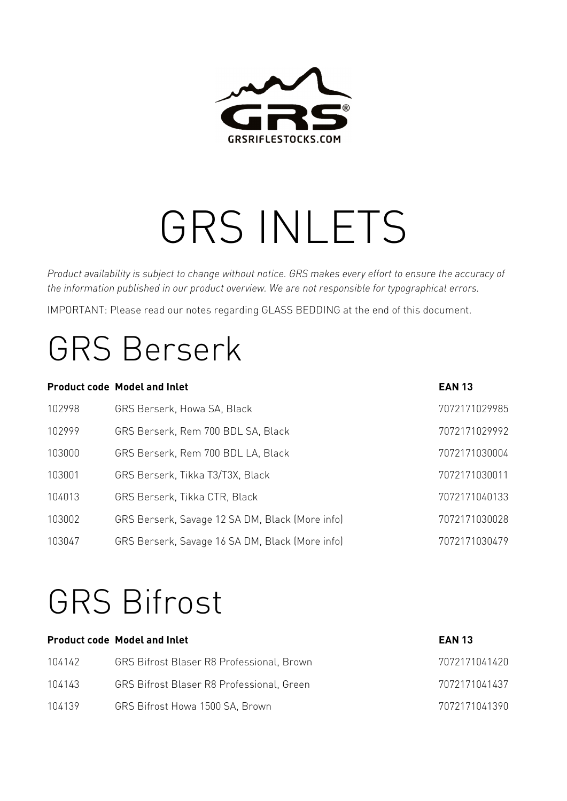

# GRS INLETS

*Product availability is subject to change without notice. GRS makes every effort to ensure the accuracy of the information published in our product overview. We are not responsible for typographical errors.* 

IMPORTANT: Please read our notes regarding GLASS BEDDING at the end of this document.

### GRS Berserk

|        | <b>Product code Model and Inlet</b>             | <b>EAN 13</b> |
|--------|-------------------------------------------------|---------------|
| 102998 | GRS Berserk, Howa SA, Black                     | 7072171029985 |
| 102999 | GRS Berserk, Rem 700 BDL SA, Black              | 7072171029992 |
| 103000 | GRS Berserk, Rem 700 BDL LA, Black              | 7072171030004 |
| 103001 | GRS Berserk, Tikka T3/T3X, Black                | 7072171030011 |
| 104013 | GRS Berserk, Tikka CTR, Black                   | 7072171040133 |
| 103002 | GRS Berserk, Savage 12 SA DM, Black (More info) | 7072171030028 |
| 103047 | GRS Berserk, Savage 16 SA DM, Black (More info) | 7072171030479 |

### GRS Bifrost

|        | <b>Product code Model and Inlet</b>              | <b>EAN 13</b> |
|--------|--------------------------------------------------|---------------|
| 104142 | <b>GRS Bifrost Blaser R8 Professional, Brown</b> | 7072171041420 |
| 104143 | <b>GRS Bifrost Blaser R8 Professional, Green</b> | 7072171041437 |
| 104139 | GRS Bifrost Howa 1500 SA, Brown                  | 7072171041390 |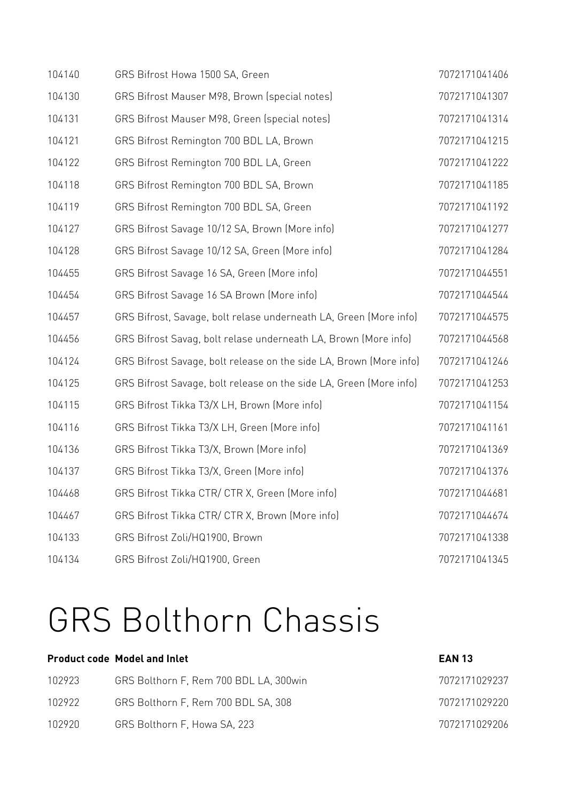| 104140 | GRS Bifrost Howa 1500 SA, Green                                    | 7072171041406 |
|--------|--------------------------------------------------------------------|---------------|
| 104130 | GRS Bifrost Mauser M98, Brown (special notes)                      | 7072171041307 |
| 104131 | GRS Bifrost Mauser M98, Green (special notes)                      | 7072171041314 |
| 104121 | GRS Bifrost Remington 700 BDL LA, Brown                            | 7072171041215 |
| 104122 | GRS Bifrost Remington 700 BDL LA, Green                            | 7072171041222 |
| 104118 | GRS Bifrost Remington 700 BDL SA, Brown                            | 7072171041185 |
| 104119 | GRS Bifrost Remington 700 BDL SA, Green                            | 7072171041192 |
| 104127 | GRS Bifrost Savage 10/12 SA, Brown (More info)                     | 7072171041277 |
| 104128 | GRS Bifrost Savage 10/12 SA, Green (More info)                     | 7072171041284 |
| 104455 | GRS Bifrost Savage 16 SA, Green (More info)                        | 7072171044551 |
| 104454 | GRS Bifrost Savage 16 SA Brown (More info)                         | 7072171044544 |
| 104457 | GRS Bifrost, Savage, bolt relase underneath LA, Green (More info)  | 7072171044575 |
| 104456 | GRS Bifrost Savag, bolt relase underneath LA, Brown (More info)    | 7072171044568 |
| 104124 | GRS Bifrost Savage, bolt release on the side LA, Brown (More info) | 7072171041246 |
| 104125 | GRS Bifrost Savage, bolt release on the side LA, Green (More info) | 7072171041253 |
| 104115 | GRS Bifrost Tikka T3/X LH, Brown (More info)                       | 7072171041154 |
| 104116 | GRS Bifrost Tikka T3/X LH, Green (More info)                       | 7072171041161 |
| 104136 | GRS Bifrost Tikka T3/X, Brown (More info)                          | 7072171041369 |
| 104137 | GRS Bifrost Tikka T3/X, Green (More info)                          | 7072171041376 |
| 104468 | GRS Bifrost Tikka CTR/ CTR X, Green (More info)                    | 7072171044681 |
| 104467 | GRS Bifrost Tikka CTR/ CTR X, Brown (More info)                    | 7072171044674 |
| 104133 | GRS Bifrost Zoli/HQ1900, Brown                                     | 7072171041338 |
| 104134 | GRS Bifrost Zoli/HQ1900, Green                                     | 7072171041345 |

### GRS Bolthorn Chassis

| 102923 | GRS Bolthorn F, Rem 700 BDL LA, 300 win | 7072171029237 |
|--------|-----------------------------------------|---------------|
| 102922 | GRS Bolthorn F, Rem 700 BDL SA, 308     | 7072171029220 |
| 102920 | GRS Bolthorn F, Howa SA, 223            | 7072171029206 |

**Product code Model and Inlet EAN 13**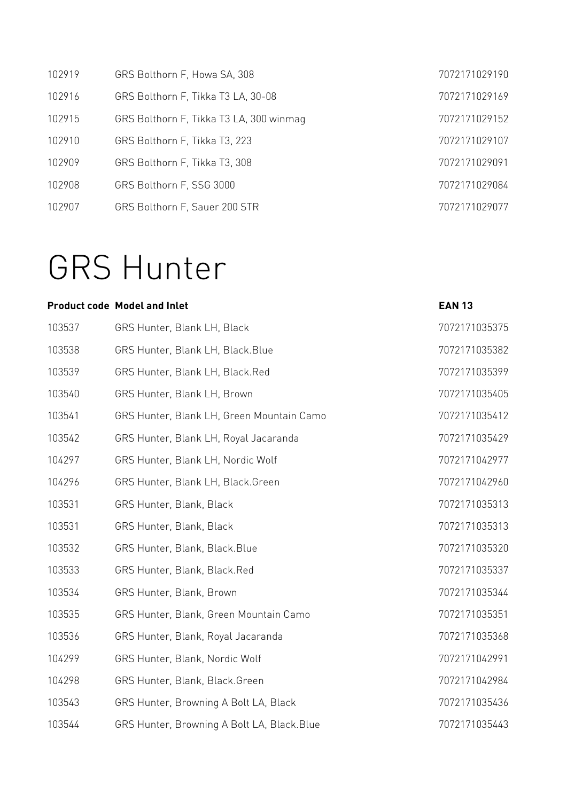| 102919 | GRS Bolthorn F, Howa SA, 308            | 7072171029190 |
|--------|-----------------------------------------|---------------|
| 102916 | GRS Bolthorn F, Tikka T3 LA, 30-08      | 7072171029169 |
| 102915 | GRS Bolthorn F, Tikka T3 LA, 300 winmag | 7072171029152 |
| 102910 | GRS Bolthorn F, Tikka T3, 223           | 7072171029107 |
| 102909 | GRS Bolthorn F. Tikka T3, 308           | 7072171029091 |
| 102908 | GRS Bolthorn F, SSG 3000                | 7072171029084 |
| 102907 | GRS Bolthorn F, Sauer 200 STR           | 7072171029077 |

### GRS Hunter

#### **Product code Model and Inlet Case 2018 13 According to According the EAN 13**

| 103537 | GRS Hunter, Blank LH, Black                 | 7072171035375 |
|--------|---------------------------------------------|---------------|
| 103538 | GRS Hunter, Blank LH, Black. Blue           | 7072171035382 |
| 103539 | GRS Hunter, Blank LH, Black.Red             | 7072171035399 |
| 103540 | GRS Hunter, Blank LH, Brown                 | 7072171035405 |
| 103541 | GRS Hunter, Blank LH, Green Mountain Camo   | 7072171035412 |
| 103542 | GRS Hunter, Blank LH, Royal Jacaranda       | 7072171035429 |
| 104297 | GRS Hunter, Blank LH, Nordic Wolf           | 7072171042977 |
| 104296 | GRS Hunter, Blank LH, Black.Green           | 7072171042960 |
| 103531 | GRS Hunter, Blank, Black                    | 7072171035313 |
| 103531 | GRS Hunter, Blank, Black                    | 7072171035313 |
| 103532 | GRS Hunter, Blank, Black. Blue              | 7072171035320 |
| 103533 | GRS Hunter, Blank, Black.Red                | 7072171035337 |
| 103534 | GRS Hunter, Blank, Brown                    | 7072171035344 |
| 103535 | GRS Hunter, Blank, Green Mountain Camo      | 7072171035351 |
| 103536 | GRS Hunter, Blank, Royal Jacaranda          | 7072171035368 |
| 104299 | GRS Hunter, Blank, Nordic Wolf              | 7072171042991 |
| 104298 | GRS Hunter, Blank, Black.Green              | 7072171042984 |
| 103543 | GRS Hunter, Browning A Bolt LA, Black       | 7072171035436 |
| 103544 | GRS Hunter, Browning A Bolt LA, Black. Blue | 7072171035443 |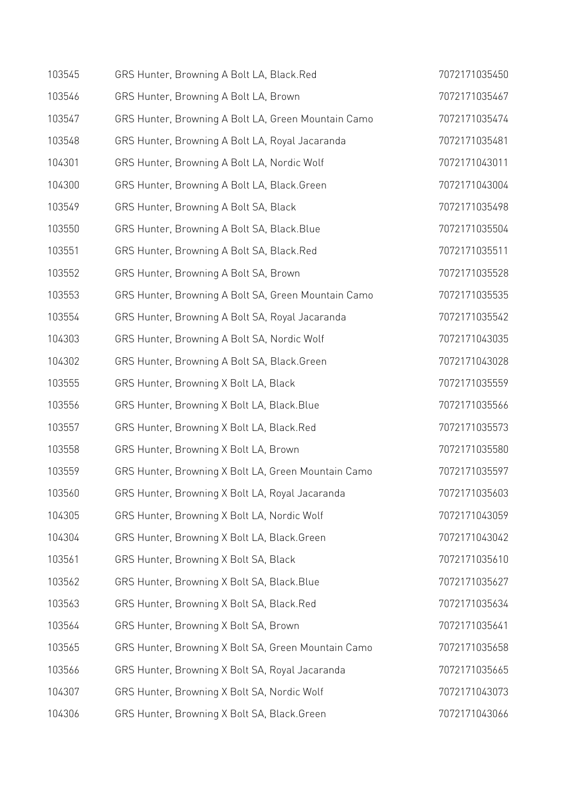| 103545 | GRS Hunter, Browning A Bolt LA, Black.Red           | 7072171035450 |
|--------|-----------------------------------------------------|---------------|
| 103546 | GRS Hunter, Browning A Bolt LA, Brown               | 7072171035467 |
| 103547 | GRS Hunter, Browning A Bolt LA, Green Mountain Camo | 7072171035474 |
| 103548 | GRS Hunter, Browning A Bolt LA, Royal Jacaranda     | 7072171035481 |
| 104301 | GRS Hunter, Browning A Bolt LA, Nordic Wolf         | 7072171043011 |
| 104300 | GRS Hunter, Browning A Bolt LA, Black.Green         | 7072171043004 |
| 103549 | GRS Hunter, Browning A Bolt SA, Black               | 7072171035498 |
| 103550 | GRS Hunter, Browning A Bolt SA, Black. Blue         | 7072171035504 |
| 103551 | GRS Hunter, Browning A Bolt SA, Black.Red           | 7072171035511 |
| 103552 | GRS Hunter, Browning A Bolt SA, Brown               | 7072171035528 |
| 103553 | GRS Hunter, Browning A Bolt SA, Green Mountain Camo | 7072171035535 |
| 103554 | GRS Hunter, Browning A Bolt SA, Royal Jacaranda     | 7072171035542 |
| 104303 | GRS Hunter, Browning A Bolt SA, Nordic Wolf         | 7072171043035 |
| 104302 | GRS Hunter, Browning A Bolt SA, Black.Green         | 7072171043028 |
| 103555 | GRS Hunter, Browning X Bolt LA, Black               | 7072171035559 |
| 103556 | GRS Hunter, Browning X Bolt LA, Black. Blue         | 7072171035566 |
| 103557 | GRS Hunter, Browning X Bolt LA, Black.Red           | 7072171035573 |
| 103558 | GRS Hunter, Browning X Bolt LA, Brown               | 7072171035580 |
| 103559 | GRS Hunter, Browning X Bolt LA, Green Mountain Camo | 7072171035597 |
| 103560 | GRS Hunter, Browning X Bolt LA, Royal Jacaranda     | 7072171035603 |
| 104305 | GRS Hunter, Browning X Bolt LA, Nordic Wolf         | 7072171043059 |
| 104304 | GRS Hunter, Browning X Bolt LA, Black.Green         | 7072171043042 |
| 103561 | GRS Hunter, Browning X Bolt SA, Black               | 7072171035610 |
| 103562 | GRS Hunter, Browning X Bolt SA, Black.Blue          | 7072171035627 |
| 103563 | GRS Hunter, Browning X Bolt SA, Black.Red           | 7072171035634 |
| 103564 | GRS Hunter, Browning X Bolt SA, Brown               | 7072171035641 |
| 103565 | GRS Hunter, Browning X Bolt SA, Green Mountain Camo | 7072171035658 |
| 103566 | GRS Hunter, Browning X Bolt SA, Royal Jacaranda     | 7072171035665 |
| 104307 | GRS Hunter, Browning X Bolt SA, Nordic Wolf         | 7072171043073 |
| 104306 | GRS Hunter, Browning X Bolt SA, Black.Green         | 7072171043066 |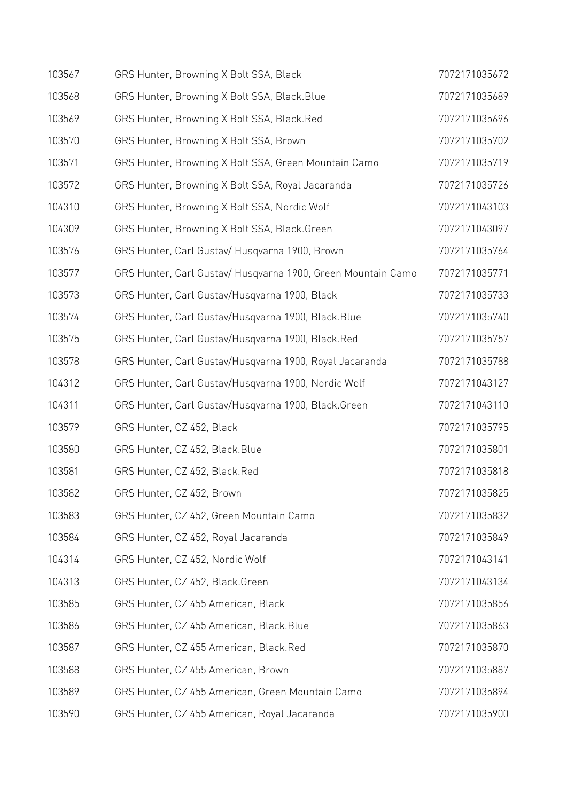| 103567 | GRS Hunter, Browning X Bolt SSA, Black                       | 7072171035672 |
|--------|--------------------------------------------------------------|---------------|
| 103568 | GRS Hunter, Browning X Bolt SSA, Black. Blue                 | 7072171035689 |
| 103569 | GRS Hunter, Browning X Bolt SSA, Black.Red                   | 7072171035696 |
| 103570 | GRS Hunter, Browning X Bolt SSA, Brown                       | 7072171035702 |
| 103571 | GRS Hunter, Browning X Bolt SSA, Green Mountain Camo         | 7072171035719 |
| 103572 | GRS Hunter, Browning X Bolt SSA, Royal Jacaranda             | 7072171035726 |
| 104310 | GRS Hunter, Browning X Bolt SSA, Nordic Wolf                 | 7072171043103 |
| 104309 | GRS Hunter, Browning X Bolt SSA, Black.Green                 | 7072171043097 |
| 103576 | GRS Hunter, Carl Gustav/ Husqvarna 1900, Brown               | 7072171035764 |
| 103577 | GRS Hunter, Carl Gustav/ Husqvarna 1900, Green Mountain Camo | 7072171035771 |
| 103573 | GRS Hunter, Carl Gustav/Husqvarna 1900, Black                | 7072171035733 |
| 103574 | GRS Hunter, Carl Gustav/Husqvarna 1900, Black.Blue           | 7072171035740 |
| 103575 | GRS Hunter, Carl Gustav/Husqvarna 1900, Black.Red            | 7072171035757 |
| 103578 | GRS Hunter, Carl Gustav/Husqvarna 1900, Royal Jacaranda      | 7072171035788 |
| 104312 | GRS Hunter, Carl Gustav/Husqvarna 1900, Nordic Wolf          | 7072171043127 |
| 104311 | GRS Hunter, Carl Gustav/Husqvarna 1900, Black.Green          | 7072171043110 |
| 103579 | GRS Hunter, CZ 452, Black                                    | 7072171035795 |
| 103580 | GRS Hunter, CZ 452, Black.Blue                               | 7072171035801 |
| 103581 | GRS Hunter, CZ 452, Black.Red                                | 7072171035818 |
| 103582 | GRS Hunter, CZ 452, Brown                                    | 7072171035825 |
| 103583 | GRS Hunter, CZ 452, Green Mountain Camo                      | 7072171035832 |
| 103584 | GRS Hunter, CZ 452, Royal Jacaranda                          | 7072171035849 |
| 104314 | GRS Hunter, CZ 452, Nordic Wolf                              | 7072171043141 |
| 104313 | GRS Hunter, CZ 452, Black.Green                              | 7072171043134 |
| 103585 | GRS Hunter, CZ 455 American, Black                           | 7072171035856 |
| 103586 | GRS Hunter, CZ 455 American, Black. Blue                     | 7072171035863 |
| 103587 | GRS Hunter, CZ 455 American, Black.Red                       | 7072171035870 |
| 103588 | GRS Hunter, CZ 455 American, Brown                           | 7072171035887 |
| 103589 | GRS Hunter, CZ 455 American, Green Mountain Camo             | 7072171035894 |
| 103590 | GRS Hunter, CZ 455 American, Royal Jacaranda                 | 7072171035900 |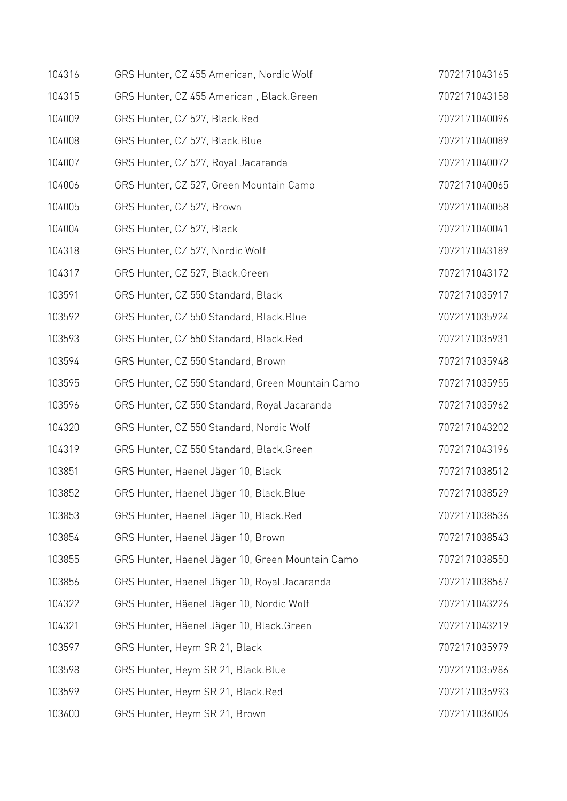| 104316 | GRS Hunter, CZ 455 American, Nordic Wolf         | 7072171043165 |
|--------|--------------------------------------------------|---------------|
| 104315 | GRS Hunter, CZ 455 American, Black.Green         | 7072171043158 |
| 104009 | GRS Hunter, CZ 527, Black.Red                    | 7072171040096 |
| 104008 | GRS Hunter, CZ 527, Black.Blue                   | 7072171040089 |
| 104007 | GRS Hunter, CZ 527, Royal Jacaranda              | 7072171040072 |
| 104006 | GRS Hunter, CZ 527, Green Mountain Camo          | 7072171040065 |
| 104005 | GRS Hunter, CZ 527, Brown                        | 7072171040058 |
| 104004 | GRS Hunter, CZ 527, Black                        | 7072171040041 |
| 104318 | GRS Hunter, CZ 527, Nordic Wolf                  | 7072171043189 |
| 104317 | GRS Hunter, CZ 527, Black.Green                  | 7072171043172 |
| 103591 | GRS Hunter, CZ 550 Standard, Black               | 7072171035917 |
| 103592 | GRS Hunter, CZ 550 Standard, Black.Blue          | 7072171035924 |
| 103593 | GRS Hunter, CZ 550 Standard, Black.Red           | 7072171035931 |
| 103594 | GRS Hunter, CZ 550 Standard, Brown               | 7072171035948 |
| 103595 | GRS Hunter, CZ 550 Standard, Green Mountain Camo | 7072171035955 |
| 103596 | GRS Hunter, CZ 550 Standard, Royal Jacaranda     | 7072171035962 |
| 104320 | GRS Hunter, CZ 550 Standard, Nordic Wolf         | 7072171043202 |
| 104319 | GRS Hunter, CZ 550 Standard, Black.Green         | 7072171043196 |
| 103851 | GRS Hunter, Haenel Jäger 10, Black               | 7072171038512 |
| 103852 | GRS Hunter, Haenel Jäger 10, Black. Blue         | 7072171038529 |
| 103853 | GRS Hunter, Haenel Jäger 10, Black.Red           | 7072171038536 |
| 103854 | GRS Hunter, Haenel Jäger 10, Brown               | 7072171038543 |
| 103855 | GRS Hunter, Haenel Jäger 10, Green Mountain Camo | 7072171038550 |
| 103856 | GRS Hunter, Haenel Jäger 10, Royal Jacaranda     | 7072171038567 |
| 104322 | GRS Hunter, Häenel Jäger 10, Nordic Wolf         | 7072171043226 |
| 104321 | GRS Hunter, Häenel Jäger 10, Black.Green         | 7072171043219 |
| 103597 | GRS Hunter, Heym SR 21, Black                    | 7072171035979 |
| 103598 | GRS Hunter, Heym SR 21, Black. Blue              | 7072171035986 |
| 103599 | GRS Hunter, Heym SR 21, Black.Red                | 7072171035993 |
| 103600 | GRS Hunter, Heym SR 21, Brown                    | 7072171036006 |
|        |                                                  |               |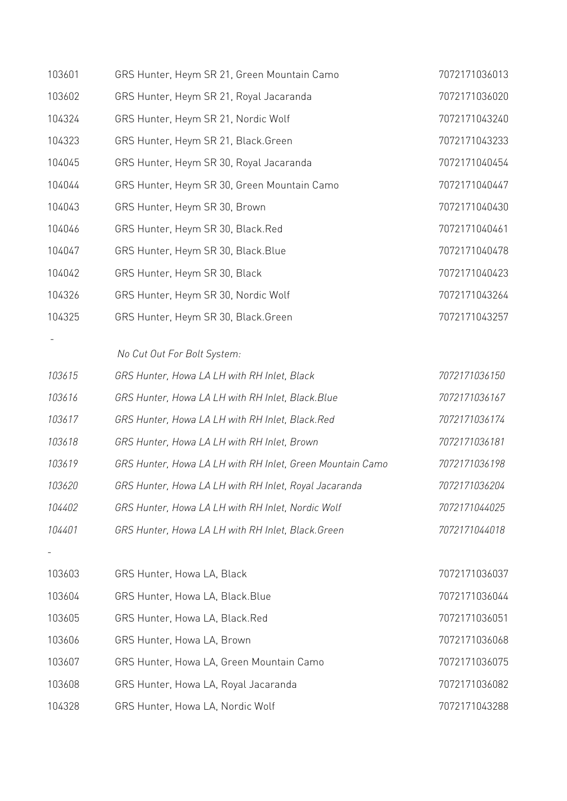| 103601 | GRS Hunter, Heym SR 21, Green Mountain Camo               | 7072171036013 |
|--------|-----------------------------------------------------------|---------------|
| 103602 | GRS Hunter, Heym SR 21, Royal Jacaranda                   | 7072171036020 |
| 104324 | GRS Hunter, Heym SR 21, Nordic Wolf                       | 7072171043240 |
| 104323 | GRS Hunter, Heym SR 21, Black.Green                       | 7072171043233 |
| 104045 | GRS Hunter, Heym SR 30, Royal Jacaranda                   | 7072171040454 |
| 104044 | GRS Hunter, Heym SR 30, Green Mountain Camo               | 7072171040447 |
| 104043 | GRS Hunter, Heym SR 30, Brown                             | 7072171040430 |
| 104046 | GRS Hunter, Heym SR 30, Black.Red                         | 7072171040461 |
| 104047 | GRS Hunter, Heym SR 30, Black. Blue                       | 7072171040478 |
| 104042 | GRS Hunter, Heym SR 30, Black                             | 7072171040423 |
| 104326 | GRS Hunter, Heym SR 30, Nordic Wolf                       | 7072171043264 |
| 104325 | GRS Hunter, Heym SR 30, Black.Green                       | 7072171043257 |
|        |                                                           |               |
|        | No Cut Out For Bolt System:                               |               |
| 103615 | GRS Hunter, Howa LA LH with RH Inlet, Black               | 7072171036150 |
| 103616 | GRS Hunter, Howa LA LH with RH Inlet, Black. Blue         | 7072171036167 |
| 103617 | GRS Hunter, Howa LA LH with RH Inlet, Black.Red           | 7072171036174 |
| 103618 | GRS Hunter, Howa LA LH with RH Inlet, Brown               | 7072171036181 |
| 103619 | GRS Hunter, Howa LA LH with RH Inlet, Green Mountain Camo | 7072171036198 |
| 103620 | GRS Hunter, Howa LA LH with RH Inlet, Royal Jacaranda     | 7072171036204 |
| 104402 | GRS Hunter, Howa LA LH with RH Inlet, Nordic Wolf         | 7072171044025 |
| 104401 | GRS Hunter, Howa LA LH with RH Inlet, Black. Green        | 7072171044018 |
|        |                                                           |               |
| 103603 | GRS Hunter, Howa LA, Black                                | 7072171036037 |
| 103604 | GRS Hunter, Howa LA, Black. Blue                          | 7072171036044 |
| 103605 | GRS Hunter, Howa LA, Black.Red                            | 7072171036051 |
| 103606 | GRS Hunter, Howa LA, Brown                                | 7072171036068 |
| 103607 | GRS Hunter, Howa LA, Green Mountain Camo                  | 7072171036075 |
| 103608 | GRS Hunter, Howa LA, Royal Jacaranda                      | 7072171036082 |
| 104328 | GRS Hunter, Howa LA, Nordic Wolf                          | 7072171043288 |
|        |                                                           |               |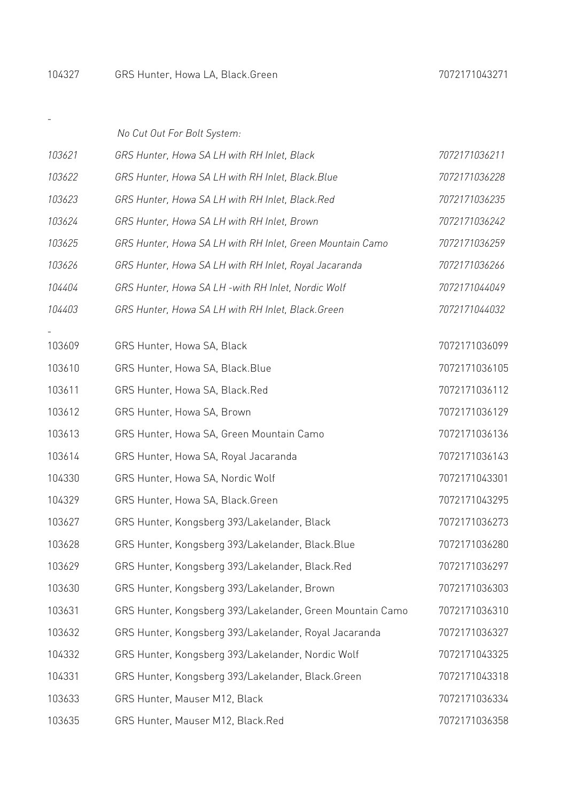$\sim 10^{-10}$ 

|        | No Cut Out For Bolt System:                               |               |
|--------|-----------------------------------------------------------|---------------|
| 103621 | GRS Hunter, Howa SA LH with RH Inlet, Black               | 7072171036211 |
| 103622 | GRS Hunter, Howa SA LH with RH Inlet, Black. Blue         | 7072171036228 |
| 103623 | GRS Hunter, Howa SA LH with RH Inlet, Black.Red           | 7072171036235 |
| 103624 | GRS Hunter, Howa SA LH with RH Inlet, Brown               | 7072171036242 |
| 103625 | GRS Hunter, Howa SA LH with RH Inlet, Green Mountain Camo | 7072171036259 |
| 103626 | GRS Hunter, Howa SA LH with RH Inlet, Royal Jacaranda     | 7072171036266 |
| 104404 | GRS Hunter, Howa SA LH -with RH Inlet, Nordic Wolf        | 7072171044049 |
| 104403 | GRS Hunter, Howa SA LH with RH Inlet, Black. Green        | 7072171044032 |
|        |                                                           |               |
| 103609 | GRS Hunter, Howa SA, Black                                | 7072171036099 |
| 103610 | GRS Hunter, Howa SA, Black.Blue                           | 7072171036105 |
| 103611 | GRS Hunter, Howa SA, Black.Red                            | 7072171036112 |
| 103612 | GRS Hunter, Howa SA, Brown                                | 7072171036129 |
| 103613 | GRS Hunter, Howa SA, Green Mountain Camo                  | 7072171036136 |
| 103614 | GRS Hunter, Howa SA, Royal Jacaranda                      | 7072171036143 |
| 104330 | GRS Hunter, Howa SA, Nordic Wolf                          | 7072171043301 |
| 104329 | GRS Hunter, Howa SA, Black.Green                          | 7072171043295 |
| 103627 | GRS Hunter, Kongsberg 393/Lakelander, Black               | 7072171036273 |
| 103628 | GRS Hunter, Kongsberg 393/Lakelander, Black.Blue          | 7072171036280 |
| 103629 | GRS Hunter, Kongsberg 393/Lakelander, Black.Red           | 7072171036297 |
| 103630 | GRS Hunter, Kongsberg 393/Lakelander, Brown               | 7072171036303 |
| 103631 | GRS Hunter, Kongsberg 393/Lakelander, Green Mountain Camo | 7072171036310 |
| 103632 | GRS Hunter, Kongsberg 393/Lakelander, Royal Jacaranda     | 7072171036327 |
| 104332 | GRS Hunter, Kongsberg 393/Lakelander, Nordic Wolf         | 7072171043325 |
| 104331 | GRS Hunter, Kongsberg 393/Lakelander, Black.Green         | 7072171043318 |
| 103633 | GRS Hunter, Mauser M12, Black                             | 7072171036334 |
| 103635 | GRS Hunter, Mauser M12, Black.Red                         | 7072171036358 |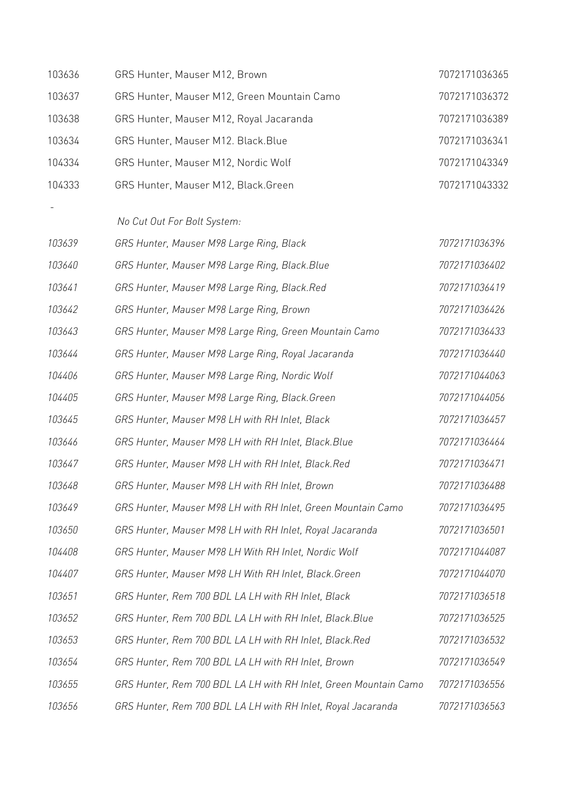| 103636 | GRS Hunter, Mauser M12, Brown                                    | 7072171036365 |
|--------|------------------------------------------------------------------|---------------|
| 103637 | GRS Hunter, Mauser M12, Green Mountain Camo                      | 7072171036372 |
| 103638 | GRS Hunter, Mauser M12, Royal Jacaranda                          | 7072171036389 |
| 103634 | GRS Hunter, Mauser M12. Black.Blue                               | 7072171036341 |
| 104334 | GRS Hunter, Mauser M12, Nordic Wolf                              | 7072171043349 |
| 104333 | GRS Hunter, Mauser M12, Black.Green                              | 7072171043332 |
|        |                                                                  |               |
|        | No Cut Out For Bolt System:                                      |               |
| 103639 | GRS Hunter, Mauser M98 Large Ring, Black                         | 7072171036396 |
| 103640 | GRS Hunter, Mauser M98 Large Ring, Black.Blue                    | 7072171036402 |
| 103641 | GRS Hunter, Mauser M98 Large Ring, Black.Red                     | 7072171036419 |
| 103642 | GRS Hunter, Mauser M98 Large Ring, Brown                         | 7072171036426 |
| 103643 | GRS Hunter, Mauser M98 Large Ring, Green Mountain Camo           | 7072171036433 |
| 103644 | GRS Hunter, Mauser M98 Large Ring, Royal Jacaranda               | 7072171036440 |
| 104406 | GRS Hunter, Mauser M98 Large Ring, Nordic Wolf                   | 7072171044063 |
| 104405 | GRS Hunter, Mauser M98 Large Ring, Black.Green                   | 7072171044056 |
| 103645 | GRS Hunter, Mauser M98 LH with RH Inlet, Black                   | 7072171036457 |
| 103646 | GRS Hunter, Mauser M98 LH with RH Inlet, Black. Blue             | 7072171036464 |
| 103647 | GRS Hunter, Mauser M98 LH with RH Inlet, Black.Red               | 7072171036471 |
| 103648 | GRS Hunter, Mauser M98 LH with RH Inlet, Brown                   | 7072171036488 |
| 103649 | GRS Hunter, Mauser M98 LH with RH Inlet, Green Mountain Camo     | 7072171036495 |
| 103650 | GRS Hunter, Mauser M98 LH with RH Inlet, Royal Jacaranda         | 7072171036501 |
| 104408 | GRS Hunter, Mauser M98 LH With RH Inlet, Nordic Wolf             | 7072171044087 |
| 104407 | GRS Hunter, Mauser M98 LH With RH Inlet, Black. Green            | 7072171044070 |
| 103651 | GRS Hunter, Rem 700 BDL LA LH with RH Inlet, Black               | 7072171036518 |
| 103652 | GRS Hunter, Rem 700 BDL LA LH with RH Inlet, Black. Blue         | 7072171036525 |
| 103653 | GRS Hunter, Rem 700 BDL LA LH with RH Inlet, Black.Red           | 7072171036532 |
| 103654 | GRS Hunter, Rem 700 BDL LA LH with RH Inlet, Brown               | 7072171036549 |
| 103655 | GRS Hunter, Rem 700 BDL LA LH with RH Inlet, Green Mountain Camo | 7072171036556 |
| 103656 | GRS Hunter, Rem 700 BDL LA LH with RH Inlet, Royal Jacaranda     | 7072171036563 |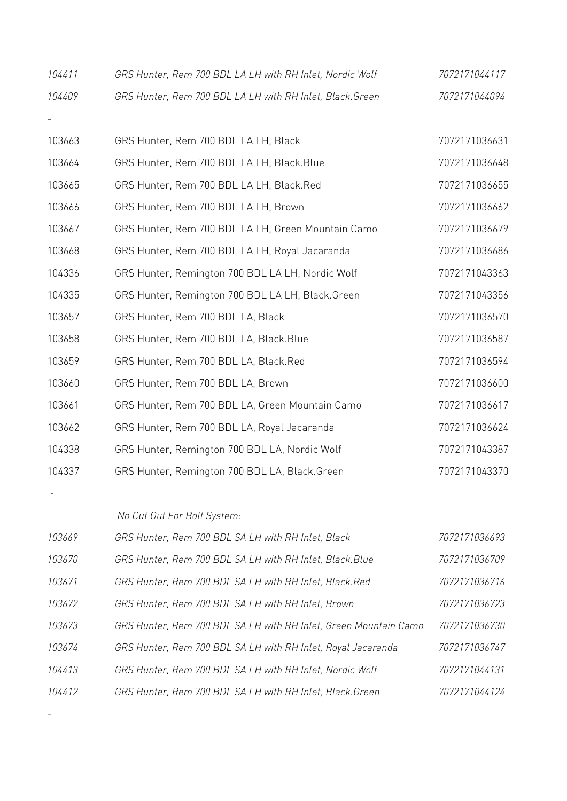| 104411 | GRS Hunter, Rem 700 BDL LA LH with RH Inlet, Nordic Wolf | 7072171044117 |
|--------|----------------------------------------------------------|---------------|
| 104409 | GRS Hunter, Rem 700 BDL LA LH with RH Inlet, Black.Green | 7072171044094 |
|        |                                                          |               |
| 103663 | GRS Hunter, Rem 700 BDL LA LH, Black                     | 7072171036631 |
| 103664 | GRS Hunter, Rem 700 BDL LA LH, Black.Blue                | 7072171036648 |
| 103665 | GRS Hunter, Rem 700 BDL LA LH, Black.Red                 | 7072171036655 |
| 103666 | GRS Hunter, Rem 700 BDL LA LH, Brown                     | 7072171036662 |
| 103667 | GRS Hunter, Rem 700 BDL LA LH, Green Mountain Camo       | 7072171036679 |
| 103668 | GRS Hunter, Rem 700 BDL LA LH, Royal Jacaranda           | 7072171036686 |
| 104336 | GRS Hunter, Remington 700 BDL LA LH, Nordic Wolf         | 7072171043363 |
| 104335 | GRS Hunter, Remington 700 BDL LA LH, Black.Green         | 7072171043356 |
| 103657 | GRS Hunter, Rem 700 BDL LA, Black                        | 7072171036570 |
| 103658 | GRS Hunter, Rem 700 BDL LA, Black.Blue                   | 7072171036587 |
| 103659 | GRS Hunter, Rem 700 BDL LA, Black.Red                    | 7072171036594 |
| 103660 | GRS Hunter, Rem 700 BDL LA, Brown                        | 7072171036600 |
| 103661 | GRS Hunter, Rem 700 BDL LA, Green Mountain Camo          | 7072171036617 |
| 103662 | GRS Hunter, Rem 700 BDL LA, Royal Jacaranda              | 7072171036624 |
| 104338 | GRS Hunter, Remington 700 BDL LA, Nordic Wolf            | 7072171043387 |
| 104337 | GRS Hunter, Remington 700 BDL LA, Black.Green            | 7072171043370 |
|        |                                                          |               |
|        | No Cut Out For Bolt System:                              |               |
| 103669 | GRS Hunter, Rem 700 BDL SA LH with RH Inlet, Black       | 7072171036693 |
| 103670 | GRS Hunter, Rem 700 BDL SA LH with RH Inlet, Black. Blue | 7072171036709 |
| 103671 | GRS Hunter, Rem 700 BDL SA LH with RH Inlet, Black.Red   | 7072171036716 |

|        | <u>UNU HUIKUI, INCHI 700 DDE UA EH WILH INT IIKCI, DIUCKINCU</u> | 7 0 7 2 1 7 7 0 0 0 7 7 0 |
|--------|------------------------------------------------------------------|---------------------------|
| 103672 | GRS Hunter, Rem 700 BDL SA LH with RH Inlet, Brown               | 7072171036723             |
| 103673 | GRS Hunter, Rem 700 BDL SA LH with RH Inlet, Green Mountain Camo | 7072171036730             |
| 103674 | GRS Hunter, Rem 700 BDL SA LH with RH Inlet, Royal Jacaranda     | 7072171036747             |
| 104413 | GRS Hunter, Rem 700 BDL SA LH with RH Inlet, Nordic Wolf         | 7072171044131             |
| 104412 | GRS Hunter, Rem 700 BDL SA LH with RH Inlet, Black.Green         | 7072171044124             |
|        |                                                                  |                           |

-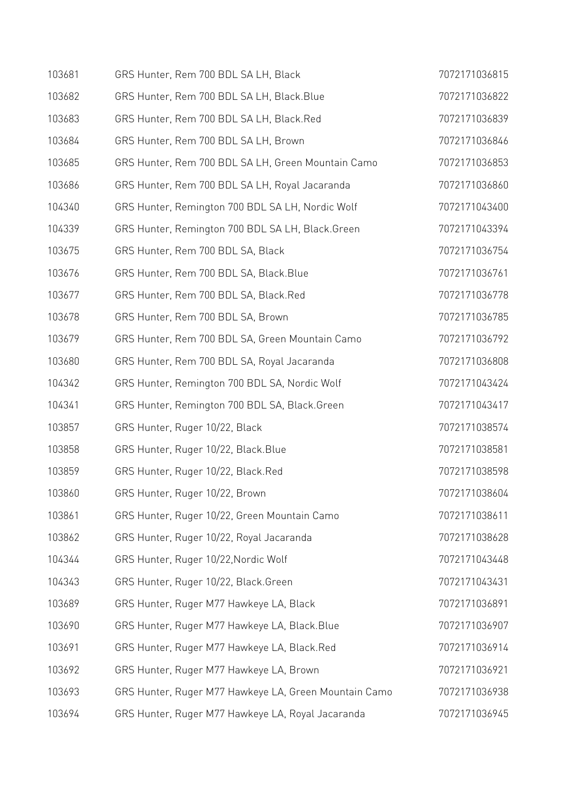| 103681 | GRS Hunter, Rem 700 BDL SA LH, Black                  | 7072171036815 |
|--------|-------------------------------------------------------|---------------|
| 103682 | GRS Hunter, Rem 700 BDL SA LH, Black.Blue             | 7072171036822 |
| 103683 | GRS Hunter, Rem 700 BDL SA LH, Black.Red              | 7072171036839 |
| 103684 | GRS Hunter, Rem 700 BDL SA LH, Brown                  | 7072171036846 |
| 103685 | GRS Hunter, Rem 700 BDL SA LH, Green Mountain Camo    | 7072171036853 |
| 103686 | GRS Hunter, Rem 700 BDL SA LH, Royal Jacaranda        | 7072171036860 |
| 104340 | GRS Hunter, Remington 700 BDL SA LH, Nordic Wolf      | 7072171043400 |
| 104339 | GRS Hunter, Remington 700 BDL SA LH, Black.Green      | 7072171043394 |
| 103675 | GRS Hunter, Rem 700 BDL SA, Black                     | 7072171036754 |
| 103676 | GRS Hunter, Rem 700 BDL SA, Black.Blue                | 7072171036761 |
| 103677 | GRS Hunter, Rem 700 BDL SA, Black.Red                 | 7072171036778 |
| 103678 | GRS Hunter, Rem 700 BDL SA, Brown                     | 7072171036785 |
| 103679 | GRS Hunter, Rem 700 BDL SA, Green Mountain Camo       | 7072171036792 |
| 103680 | GRS Hunter, Rem 700 BDL SA, Royal Jacaranda           | 7072171036808 |
| 104342 | GRS Hunter, Remington 700 BDL SA, Nordic Wolf         | 7072171043424 |
| 104341 | GRS Hunter, Remington 700 BDL SA, Black.Green         | 7072171043417 |
| 103857 | GRS Hunter, Ruger 10/22, Black                        | 7072171038574 |
| 103858 | GRS Hunter, Ruger 10/22, Black.Blue                   | 7072171038581 |
| 103859 | GRS Hunter, Ruger 10/22, Black.Red                    | 7072171038598 |
| 103860 | GRS Hunter, Ruger 10/22, Brown                        | 7072171038604 |
| 103861 | GRS Hunter, Ruger 10/22, Green Mountain Camo          | 7072171038611 |
| 103862 | GRS Hunter, Ruger 10/22, Royal Jacaranda              | 7072171038628 |
| 104344 | GRS Hunter, Ruger 10/22, Nordic Wolf                  | 7072171043448 |
| 104343 | GRS Hunter, Ruger 10/22, Black.Green                  | 7072171043431 |
| 103689 | GRS Hunter, Ruger M77 Hawkeye LA, Black               | 7072171036891 |
| 103690 | GRS Hunter, Ruger M77 Hawkeye LA, Black.Blue          | 7072171036907 |
| 103691 | GRS Hunter, Ruger M77 Hawkeye LA, Black.Red           | 7072171036914 |
| 103692 | GRS Hunter, Ruger M77 Hawkeye LA, Brown               | 7072171036921 |
| 103693 | GRS Hunter, Ruger M77 Hawkeye LA, Green Mountain Camo | 7072171036938 |
| 103694 | GRS Hunter, Ruger M77 Hawkeye LA, Royal Jacaranda     | 7072171036945 |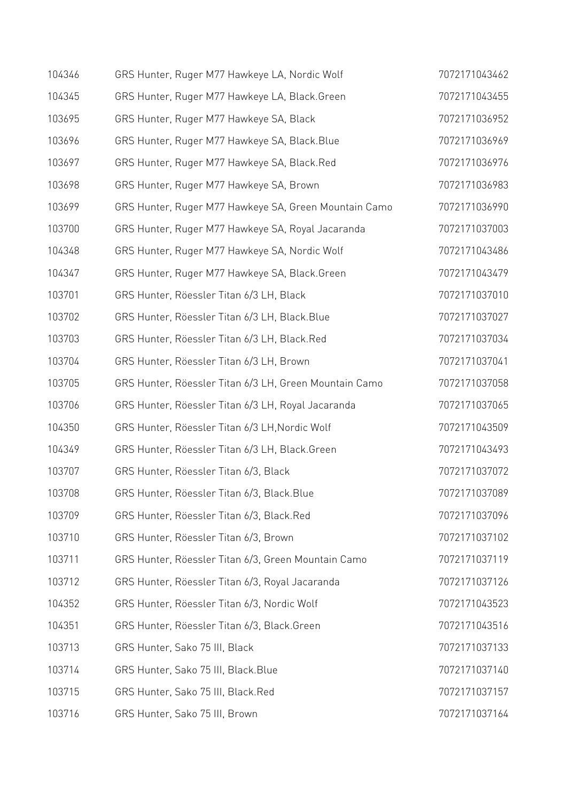| 104346 | GRS Hunter, Ruger M77 Hawkeye LA, Nordic Wolf          | 7072171043462 |
|--------|--------------------------------------------------------|---------------|
| 104345 | GRS Hunter, Ruger M77 Hawkeye LA, Black.Green          | 7072171043455 |
| 103695 | GRS Hunter, Ruger M77 Hawkeye SA, Black                | 7072171036952 |
| 103696 | GRS Hunter, Ruger M77 Hawkeye SA, Black. Blue          | 7072171036969 |
| 103697 | GRS Hunter, Ruger M77 Hawkeye SA, Black.Red            | 7072171036976 |
| 103698 | GRS Hunter, Ruger M77 Hawkeye SA, Brown                | 7072171036983 |
| 103699 | GRS Hunter, Ruger M77 Hawkeye SA, Green Mountain Camo  | 7072171036990 |
| 103700 | GRS Hunter, Ruger M77 Hawkeye SA, Royal Jacaranda      | 7072171037003 |
| 104348 | GRS Hunter, Ruger M77 Hawkeye SA, Nordic Wolf          | 7072171043486 |
| 104347 | GRS Hunter, Ruger M77 Hawkeye SA, Black.Green          | 7072171043479 |
| 103701 | GRS Hunter, Röessler Titan 6/3 LH, Black               | 7072171037010 |
| 103702 | GRS Hunter, Röessler Titan 6/3 LH, Black.Blue          | 7072171037027 |
| 103703 | GRS Hunter, Röessler Titan 6/3 LH, Black.Red           | 7072171037034 |
| 103704 | GRS Hunter, Röessler Titan 6/3 LH, Brown               | 7072171037041 |
| 103705 | GRS Hunter, Röessler Titan 6/3 LH, Green Mountain Camo | 7072171037058 |
| 103706 | GRS Hunter, Röessler Titan 6/3 LH, Royal Jacaranda     | 7072171037065 |
| 104350 | GRS Hunter, Röessler Titan 6/3 LH, Nordic Wolf         | 7072171043509 |
| 104349 | GRS Hunter, Röessler Titan 6/3 LH, Black.Green         | 7072171043493 |
| 103707 | GRS Hunter, Röessler Titan 6/3, Black                  | 7072171037072 |
| 103708 | GRS Hunter, Röessler Titan 6/3, Black. Blue            | 7072171037089 |
| 103709 | GRS Hunter, Röessler Titan 6/3, Black.Red              | 7072171037096 |
| 103710 | GRS Hunter, Röessler Titan 6/3, Brown                  | 7072171037102 |
| 103711 | GRS Hunter, Röessler Titan 6/3, Green Mountain Camo    | 7072171037119 |
| 103712 | GRS Hunter, Röessler Titan 6/3, Royal Jacaranda        | 7072171037126 |
| 104352 | GRS Hunter, Röessler Titan 6/3, Nordic Wolf            | 7072171043523 |
| 104351 | GRS Hunter, Röessler Titan 6/3, Black.Green            | 7072171043516 |
| 103713 | GRS Hunter, Sako 75 III, Black                         | 7072171037133 |
| 103714 | GRS Hunter, Sako 75 III, Black. Blue                   | 7072171037140 |
| 103715 | GRS Hunter, Sako 75 III, Black.Red                     | 7072171037157 |
| 103716 | GRS Hunter, Sako 75 III, Brown                         | 7072171037164 |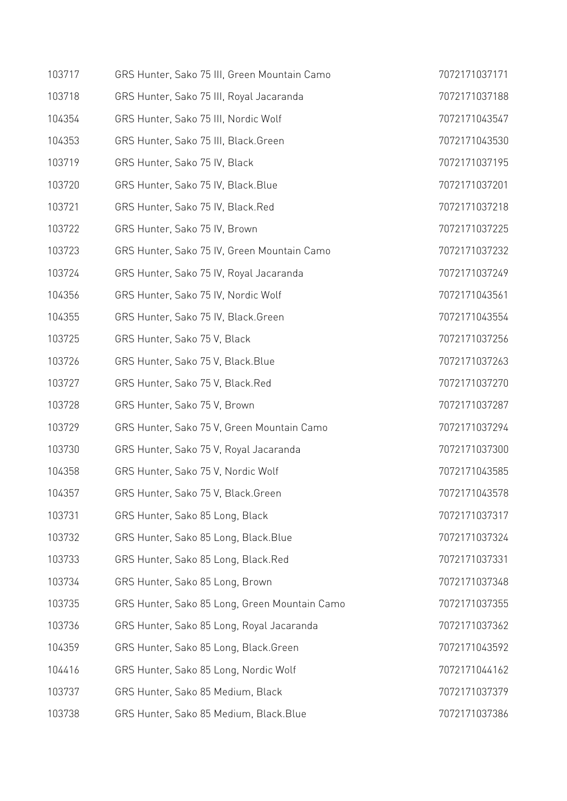| 103717 | GRS Hunter, Sako 75 III, Green Mountain Camo  | 7072171037171 |
|--------|-----------------------------------------------|---------------|
| 103718 | GRS Hunter, Sako 75 III, Royal Jacaranda      | 7072171037188 |
| 104354 | GRS Hunter, Sako 75 III, Nordic Wolf          | 7072171043547 |
| 104353 | GRS Hunter, Sako 75 III, Black.Green          | 7072171043530 |
| 103719 | GRS Hunter, Sako 75 IV, Black                 | 7072171037195 |
| 103720 | GRS Hunter, Sako 75 IV, Black. Blue           | 7072171037201 |
| 103721 | GRS Hunter, Sako 75 IV, Black.Red             | 7072171037218 |
| 103722 | GRS Hunter, Sako 75 IV, Brown                 | 7072171037225 |
| 103723 | GRS Hunter, Sako 75 IV, Green Mountain Camo   | 7072171037232 |
| 103724 | GRS Hunter, Sako 75 IV, Royal Jacaranda       | 7072171037249 |
| 104356 | GRS Hunter, Sako 75 IV, Nordic Wolf           | 7072171043561 |
| 104355 | GRS Hunter, Sako 75 IV, Black.Green           | 7072171043554 |
| 103725 | GRS Hunter, Sako 75 V, Black                  | 7072171037256 |
| 103726 | GRS Hunter, Sako 75 V, Black. Blue            | 7072171037263 |
| 103727 | GRS Hunter, Sako 75 V, Black.Red              | 7072171037270 |
| 103728 | GRS Hunter, Sako 75 V, Brown                  | 7072171037287 |
| 103729 | GRS Hunter, Sako 75 V, Green Mountain Camo    | 7072171037294 |
| 103730 | GRS Hunter, Sako 75 V, Royal Jacaranda        | 7072171037300 |
| 104358 | GRS Hunter, Sako 75 V, Nordic Wolf            | 7072171043585 |
| 104357 | GRS Hunter, Sako 75 V, Black.Green            | 7072171043578 |
| 103731 | GRS Hunter, Sako 85 Long, Black               | 7072171037317 |
| 103732 | GRS Hunter, Sako 85 Long, Black. Blue         | 7072171037324 |
| 103733 | GRS Hunter, Sako 85 Long, Black.Red           | 7072171037331 |
| 103734 | GRS Hunter, Sako 85 Long, Brown               | 7072171037348 |
| 103735 | GRS Hunter, Sako 85 Long, Green Mountain Camo | 7072171037355 |
| 103736 | GRS Hunter, Sako 85 Long, Royal Jacaranda     | 7072171037362 |
| 104359 | GRS Hunter, Sako 85 Long, Black.Green         | 7072171043592 |
| 104416 | GRS Hunter, Sako 85 Long, Nordic Wolf         | 7072171044162 |
| 103737 | GRS Hunter, Sako 85 Medium, Black             | 7072171037379 |
| 103738 | GRS Hunter, Sako 85 Medium, Black.Blue        | 7072171037386 |
|        |                                               |               |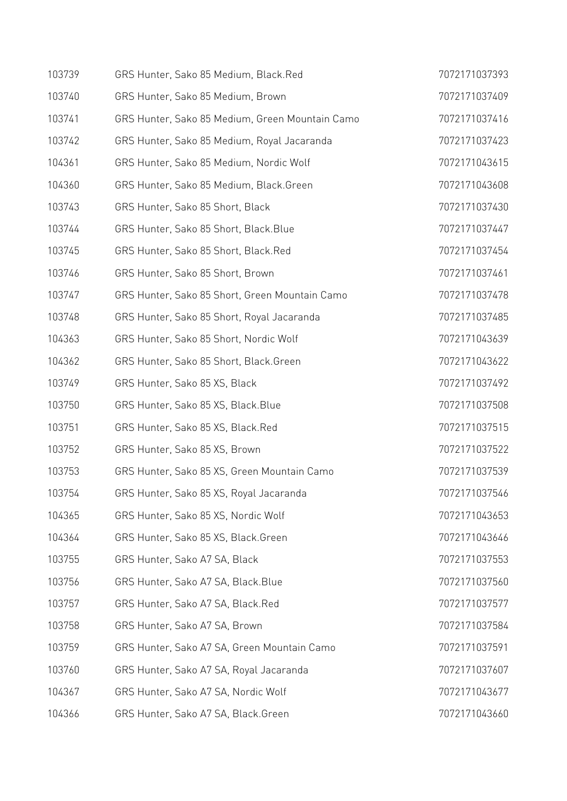| 103739 | GRS Hunter, Sako 85 Medium, Black.Red           | 7072171037393 |
|--------|-------------------------------------------------|---------------|
| 103740 | GRS Hunter, Sako 85 Medium, Brown               | 7072171037409 |
| 103741 | GRS Hunter, Sako 85 Medium, Green Mountain Camo | 7072171037416 |
| 103742 | GRS Hunter, Sako 85 Medium, Royal Jacaranda     | 7072171037423 |
| 104361 | GRS Hunter, Sako 85 Medium, Nordic Wolf         | 7072171043615 |
| 104360 | GRS Hunter, Sako 85 Medium, Black.Green         | 7072171043608 |
| 103743 | GRS Hunter, Sako 85 Short, Black                | 7072171037430 |
| 103744 | GRS Hunter, Sako 85 Short, Black.Blue           | 7072171037447 |
| 103745 | GRS Hunter, Sako 85 Short, Black.Red            | 7072171037454 |
| 103746 | GRS Hunter, Sako 85 Short, Brown                | 7072171037461 |
| 103747 | GRS Hunter, Sako 85 Short, Green Mountain Camo  | 7072171037478 |
| 103748 | GRS Hunter, Sako 85 Short, Royal Jacaranda      | 7072171037485 |
| 104363 | GRS Hunter, Sako 85 Short, Nordic Wolf          | 7072171043639 |
| 104362 | GRS Hunter, Sako 85 Short, Black.Green          | 7072171043622 |
| 103749 | GRS Hunter, Sako 85 XS, Black                   | 7072171037492 |
| 103750 | GRS Hunter, Sako 85 XS, Black. Blue             | 7072171037508 |
| 103751 | GRS Hunter, Sako 85 XS, Black.Red               | 7072171037515 |
| 103752 | GRS Hunter, Sako 85 XS, Brown                   | 7072171037522 |
| 103753 | GRS Hunter, Sako 85 XS, Green Mountain Camo     | 7072171037539 |
| 103754 | GRS Hunter, Sako 85 XS, Royal Jacaranda         | 7072171037546 |
| 104365 | GRS Hunter, Sako 85 XS, Nordic Wolf             | 7072171043653 |
| 104364 | GRS Hunter, Sako 85 XS, Black.Green             | 7072171043646 |
| 103755 | GRS Hunter, Sako A7 SA, Black                   | 7072171037553 |
| 103756 | GRS Hunter, Sako A7 SA, Black. Blue             | 7072171037560 |
| 103757 | GRS Hunter, Sako A7 SA, Black.Red               | 7072171037577 |
| 103758 | GRS Hunter, Sako A7 SA, Brown                   | 7072171037584 |
| 103759 | GRS Hunter, Sako A7 SA, Green Mountain Camo     | 7072171037591 |
| 103760 | GRS Hunter, Sako A7 SA, Royal Jacaranda         | 7072171037607 |
| 104367 | GRS Hunter, Sako A7 SA, Nordic Wolf             | 7072171043677 |
| 104366 | GRS Hunter, Sako A7 SA, Black.Green             | 7072171043660 |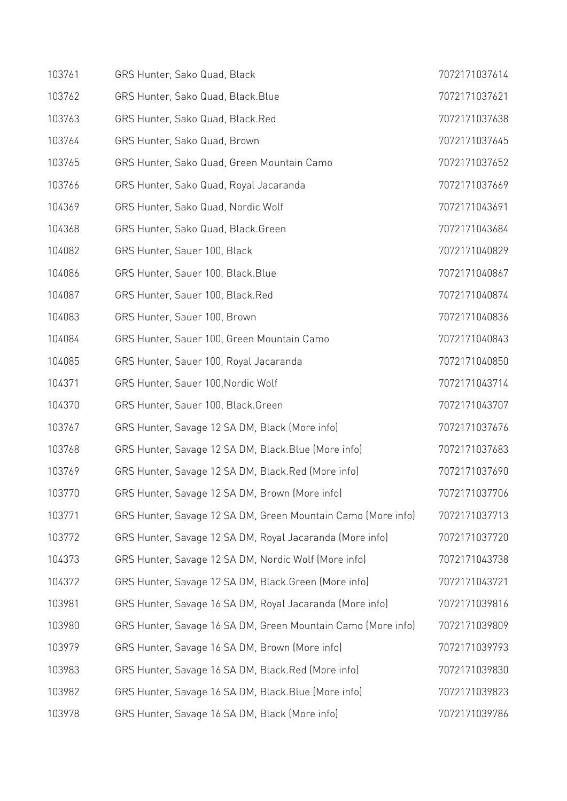| 103761 | GRS Hunter, Sako Quad, Black                                 | 7072171037614 |
|--------|--------------------------------------------------------------|---------------|
| 103762 | GRS Hunter, Sako Quad, Black.Blue                            | 7072171037621 |
| 103763 | GRS Hunter, Sako Quad, Black.Red                             | 7072171037638 |
| 103764 | GRS Hunter, Sako Quad, Brown                                 | 7072171037645 |
| 103765 | GRS Hunter, Sako Quad, Green Mountain Camo                   | 7072171037652 |
| 103766 | GRS Hunter, Sako Quad, Royal Jacaranda                       | 7072171037669 |
| 104369 | GRS Hunter, Sako Quad, Nordic Wolf                           | 7072171043691 |
| 104368 | GRS Hunter, Sako Quad, Black.Green                           | 7072171043684 |
| 104082 | GRS Hunter, Sauer 100, Black                                 | 7072171040829 |
| 104086 | GRS Hunter, Sauer 100, Black. Blue                           | 7072171040867 |
| 104087 | GRS Hunter, Sauer 100, Black.Red                             | 7072171040874 |
| 104083 | GRS Hunter, Sauer 100, Brown                                 | 7072171040836 |
| 104084 | GRS Hunter, Sauer 100, Green Mountain Camo                   | 7072171040843 |
| 104085 | GRS Hunter, Sauer 100, Royal Jacaranda                       | 7072171040850 |
| 104371 | GRS Hunter, Sauer 100, Nordic Wolf                           | 7072171043714 |
| 104370 | GRS Hunter, Sauer 100, Black.Green                           | 7072171043707 |
| 103767 | GRS Hunter, Savage 12 SA DM, Black (More info)               | 7072171037676 |
| 103768 | GRS Hunter, Savage 12 SA DM, Black. Blue (More info)         | 7072171037683 |
| 103769 | GRS Hunter, Savage 12 SA DM, Black.Red (More info)           | 7072171037690 |
| 103770 | GRS Hunter, Savage 12 SA DM, Brown (More info)               | 7072171037706 |
| 103771 | GRS Hunter, Savage 12 SA DM, Green Mountain Camo (More info) | 7072171037713 |
| 103772 | GRS Hunter, Savage 12 SA DM, Royal Jacaranda (More info)     | 7072171037720 |
| 104373 | GRS Hunter, Savage 12 SA DM, Nordic Wolf (More info)         | 7072171043738 |
| 104372 | GRS Hunter, Savage 12 SA DM, Black.Green (More info)         | 7072171043721 |
| 103981 | GRS Hunter, Savage 16 SA DM, Royal Jacaranda (More info)     | 7072171039816 |
| 103980 | GRS Hunter, Savage 16 SA DM, Green Mountain Camo (More info) | 7072171039809 |
| 103979 | GRS Hunter, Savage 16 SA DM, Brown (More info)               | 7072171039793 |
| 103983 | GRS Hunter, Savage 16 SA DM, Black.Red (More info)           | 7072171039830 |
| 103982 | GRS Hunter, Savage 16 SA DM, Black. Blue (More info)         | 7072171039823 |
| 103978 | GRS Hunter, Savage 16 SA DM, Black (More info)               | 7072171039786 |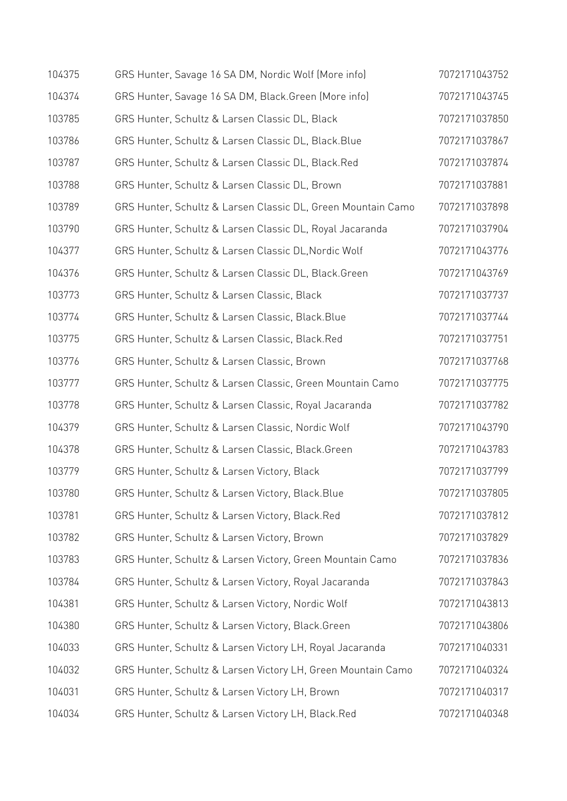| 104375 | GRS Hunter, Savage 16 SA DM, Nordic Wolf (More info)         | 7072171043752 |
|--------|--------------------------------------------------------------|---------------|
| 104374 | GRS Hunter, Savage 16 SA DM, Black. Green (More info)        | 7072171043745 |
| 103785 | GRS Hunter, Schultz & Larsen Classic DL, Black               | 7072171037850 |
| 103786 | GRS Hunter, Schultz & Larsen Classic DL, Black.Blue          | 7072171037867 |
| 103787 | GRS Hunter, Schultz & Larsen Classic DL, Black.Red           | 7072171037874 |
| 103788 | GRS Hunter, Schultz & Larsen Classic DL, Brown               | 7072171037881 |
| 103789 | GRS Hunter, Schultz & Larsen Classic DL, Green Mountain Camo | 7072171037898 |
| 103790 | GRS Hunter, Schultz & Larsen Classic DL, Royal Jacaranda     | 7072171037904 |
| 104377 | GRS Hunter, Schultz & Larsen Classic DL, Nordic Wolf         | 7072171043776 |
| 104376 | GRS Hunter, Schultz & Larsen Classic DL, Black.Green         | 7072171043769 |
| 103773 | GRS Hunter, Schultz & Larsen Classic, Black                  | 7072171037737 |
| 103774 | GRS Hunter, Schultz & Larsen Classic, Black.Blue             | 7072171037744 |
| 103775 | GRS Hunter, Schultz & Larsen Classic, Black.Red              | 7072171037751 |
| 103776 | GRS Hunter, Schultz & Larsen Classic, Brown                  | 7072171037768 |
| 103777 | GRS Hunter, Schultz & Larsen Classic, Green Mountain Camo    | 7072171037775 |
| 103778 | GRS Hunter, Schultz & Larsen Classic, Royal Jacaranda        | 7072171037782 |
| 104379 | GRS Hunter, Schultz & Larsen Classic, Nordic Wolf            | 7072171043790 |
| 104378 | GRS Hunter, Schultz & Larsen Classic, Black.Green            | 7072171043783 |
| 103779 | GRS Hunter, Schultz & Larsen Victory, Black                  | 7072171037799 |
| 103780 | GRS Hunter, Schultz & Larsen Victory, Black. Blue            | 7072171037805 |
| 103781 | GRS Hunter, Schultz & Larsen Victory, Black.Red              | 7072171037812 |
| 103782 | GRS Hunter, Schultz & Larsen Victory, Brown                  | 7072171037829 |
| 103783 | GRS Hunter, Schultz & Larsen Victory, Green Mountain Camo    | 7072171037836 |
| 103784 | GRS Hunter, Schultz & Larsen Victory, Royal Jacaranda        | 7072171037843 |
| 104381 | GRS Hunter, Schultz & Larsen Victory, Nordic Wolf            | 7072171043813 |
| 104380 | GRS Hunter, Schultz & Larsen Victory, Black.Green            | 7072171043806 |
| 104033 | GRS Hunter, Schultz & Larsen Victory LH, Royal Jacaranda     | 7072171040331 |
| 104032 | GRS Hunter, Schultz & Larsen Victory LH, Green Mountain Camo | 7072171040324 |
| 104031 | GRS Hunter, Schultz & Larsen Victory LH, Brown               | 7072171040317 |
| 104034 | GRS Hunter, Schultz & Larsen Victory LH, Black.Red           | 7072171040348 |
|        |                                                              |               |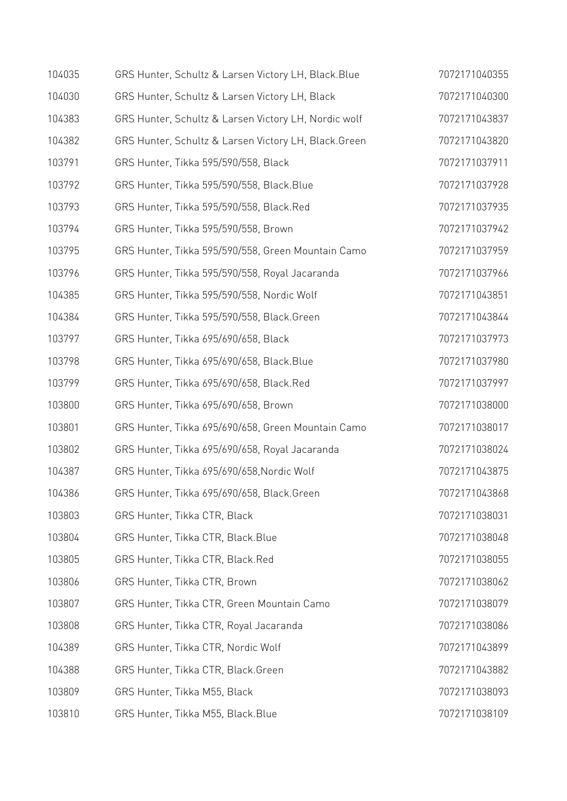| 104035 | GRS Hunter, Schultz & Larsen Victory LH, Black. Blue | 7072171040355 |
|--------|------------------------------------------------------|---------------|
| 104030 | GRS Hunter, Schultz & Larsen Victory LH, Black       | 7072171040300 |
| 104383 | GRS Hunter, Schultz & Larsen Victory LH, Nordic wolf | 7072171043837 |
| 104382 | GRS Hunter, Schultz & Larsen Victory LH, Black.Green | 7072171043820 |
| 103791 | GRS Hunter, Tikka 595/590/558, Black                 | 7072171037911 |
| 103792 | GRS Hunter, Tikka 595/590/558, Black.Blue            | 7072171037928 |
| 103793 | GRS Hunter, Tikka 595/590/558, Black.Red             | 7072171037935 |
| 103794 | GRS Hunter, Tikka 595/590/558, Brown                 | 7072171037942 |
| 103795 | GRS Hunter, Tikka 595/590/558, Green Mountain Camo   | 7072171037959 |
| 103796 | GRS Hunter, Tikka 595/590/558, Royal Jacaranda       | 7072171037966 |
| 104385 | GRS Hunter, Tikka 595/590/558, Nordic Wolf           | 7072171043851 |
| 104384 | GRS Hunter, Tikka 595/590/558, Black.Green           | 7072171043844 |
| 103797 | GRS Hunter, Tikka 695/690/658, Black                 | 7072171037973 |
| 103798 | GRS Hunter, Tikka 695/690/658, Black.Blue            | 7072171037980 |
| 103799 | GRS Hunter, Tikka 695/690/658, Black.Red             | 7072171037997 |
| 103800 | GRS Hunter, Tikka 695/690/658, Brown                 | 7072171038000 |
| 103801 | GRS Hunter, Tikka 695/690/658, Green Mountain Camo   | 7072171038017 |
| 103802 | GRS Hunter, Tikka 695/690/658, Royal Jacaranda       | 7072171038024 |
| 104387 | GRS Hunter, Tikka 695/690/658, Nordic Wolf           | 7072171043875 |
| 104386 | GRS Hunter, Tikka 695/690/658, Black.Green           | 7072171043868 |
| 103803 | GRS Hunter, Tikka CTR, Black                         | 7072171038031 |
| 103804 | GRS Hunter, Tikka CTR, Black.Blue                    | 7072171038048 |
| 103805 | GRS Hunter, Tikka CTR, Black.Red                     | 7072171038055 |
| 103806 | GRS Hunter, Tikka CTR, Brown                         | 7072171038062 |
| 103807 | GRS Hunter, Tikka CTR, Green Mountain Camo           | 7072171038079 |
| 103808 | GRS Hunter, Tikka CTR, Royal Jacaranda               | 7072171038086 |
| 104389 | GRS Hunter, Tikka CTR, Nordic Wolf                   | 7072171043899 |
| 104388 | GRS Hunter, Tikka CTR, Black.Green                   | 7072171043882 |
| 103809 | GRS Hunter, Tikka M55, Black                         | 7072171038093 |
| 103810 | GRS Hunter, Tikka M55, Black.Blue                    | 7072171038109 |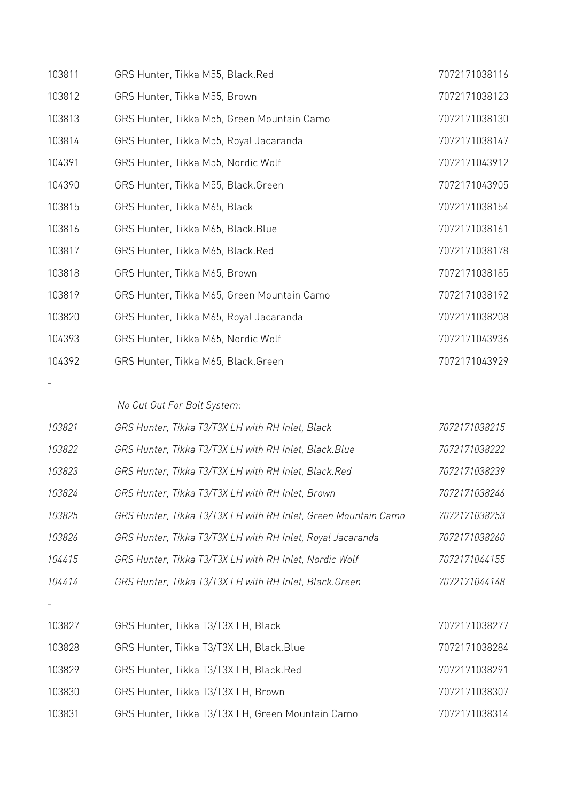| 103811 | GRS Hunter, Tikka M55, Black.Red           | 7072171038116 |
|--------|--------------------------------------------|---------------|
| 103812 | GRS Hunter, Tikka M55, Brown               | 7072171038123 |
| 103813 | GRS Hunter, Tikka M55, Green Mountain Camo | 7072171038130 |
| 103814 | GRS Hunter, Tikka M55, Royal Jacaranda     | 7072171038147 |
| 104391 | GRS Hunter, Tikka M55, Nordic Wolf         | 7072171043912 |
| 104390 | GRS Hunter, Tikka M55, Black.Green         | 7072171043905 |
| 103815 | GRS Hunter, Tikka M65, Black               | 7072171038154 |
| 103816 | GRS Hunter, Tikka M65, Black. Blue         | 7072171038161 |
| 103817 | GRS Hunter, Tikka M65, Black.Red           | 7072171038178 |
| 103818 | GRS Hunter, Tikka M65, Brown               | 7072171038185 |
| 103819 | GRS Hunter, Tikka M65, Green Mountain Camo | 7072171038192 |
| 103820 | GRS Hunter, Tikka M65, Royal Jacaranda     | 7072171038208 |
| 104393 | GRS Hunter, Tikka M65, Nordic Wolf         | 7072171043936 |
| 104392 | GRS Hunter, Tikka M65, Black.Green         | 7072171043929 |

 *No Cut Out For Bolt System:* 

-

| 103821 | GRS Hunter, Tikka T3/T3X LH with RH Inlet, Black               | 7072171038215 |
|--------|----------------------------------------------------------------|---------------|
| 103822 | GRS Hunter, Tikka T3/T3X LH with RH Inlet, Black.Blue          | 7072171038222 |
| 103823 | GRS Hunter, Tikka T3/T3X LH with RH Inlet, Black.Red           | 7072171038239 |
| 103824 | GRS Hunter, Tikka T3/T3X LH with RH Inlet, Brown               | 7072171038246 |
| 103825 | GRS Hunter, Tikka T3/T3X LH with RH Inlet, Green Mountain Camo | 7072171038253 |
| 103826 | GRS Hunter, Tikka T3/T3X LH with RH Inlet, Royal Jacaranda     | 7072171038260 |
| 104415 | GRS Hunter, Tikka T3/T3X LH with RH Inlet, Nordic Wolf         | 7072171044155 |
| 104414 | GRS Hunter, Tikka T3/T3X LH with RH Inlet, Black. Green        | 7072171044148 |
|        |                                                                |               |
| 103827 | GRS Hunter, Tikka T3/T3X LH, Black                             | 7072171038277 |
| 103828 | GRS Hunter, Tikka T3/T3X LH, Black.Blue                        | 7072171038284 |
| 103829 | GRS Hunter, Tikka T3/T3X LH, Black.Red                         | 7072171038291 |
| 103830 | GRS Hunter, Tikka T3/T3X LH, Brown                             | 7072171038307 |
| 103831 | GRS Hunter, Tikka T3/T3X LH, Green Mountain Camo               | 7072171038314 |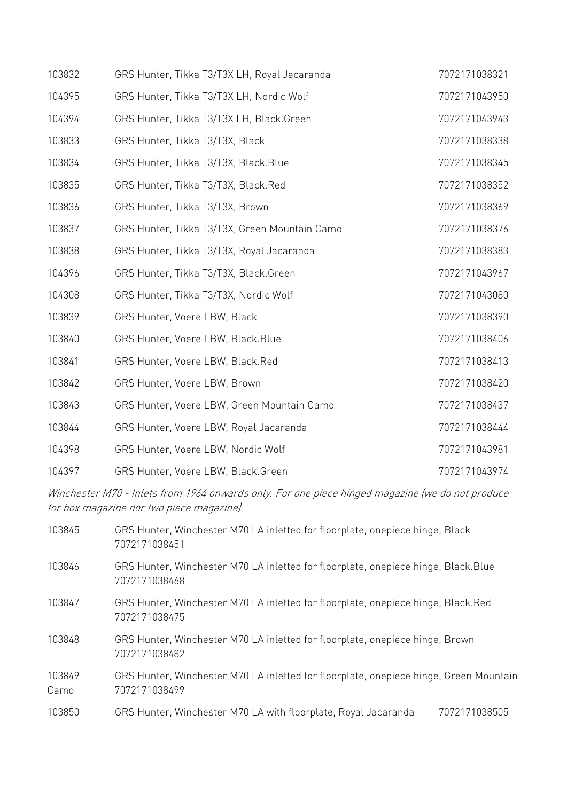| 103832 | GRS Hunter, Tikka T3/T3X LH, Royal Jacaranda  | 7072171038321 |
|--------|-----------------------------------------------|---------------|
| 104395 | GRS Hunter, Tikka T3/T3X LH, Nordic Wolf      | 7072171043950 |
| 104394 | GRS Hunter, Tikka T3/T3X LH, Black.Green      | 7072171043943 |
| 103833 | GRS Hunter, Tikka T3/T3X, Black               | 7072171038338 |
| 103834 | GRS Hunter, Tikka T3/T3X, Black.Blue          | 7072171038345 |
| 103835 | GRS Hunter, Tikka T3/T3X, Black.Red           | 7072171038352 |
| 103836 | GRS Hunter, Tikka T3/T3X, Brown               | 7072171038369 |
| 103837 | GRS Hunter, Tikka T3/T3X, Green Mountain Camo | 7072171038376 |
| 103838 | GRS Hunter, Tikka T3/T3X, Royal Jacaranda     | 7072171038383 |
| 104396 | GRS Hunter, Tikka T3/T3X, Black.Green         | 7072171043967 |
| 104308 | GRS Hunter, Tikka T3/T3X, Nordic Wolf         | 7072171043080 |
| 103839 | GRS Hunter, Voere LBW, Black                  | 7072171038390 |
| 103840 | GRS Hunter, Voere LBW, Black.Blue             | 7072171038406 |
| 103841 | GRS Hunter, Voere LBW, Black.Red              | 7072171038413 |
| 103842 | GRS Hunter, Voere LBW, Brown                  | 7072171038420 |
| 103843 | GRS Hunter, Voere LBW, Green Mountain Camo    | 7072171038437 |
| 103844 | GRS Hunter, Voere LBW, Royal Jacaranda        | 7072171038444 |
| 104398 | GRS Hunter, Voere LBW, Nordic Wolf            | 7072171043981 |
| 104397 | GRS Hunter, Voere LBW, Black.Green            | 7072171043974 |

Winchester M70 - Inlets from 1964 onwards only. For one piece hinged magazine (we do not produce for box magazine nor two piece magazine).

| 103845         | GRS Hunter, Winchester M70 LA inletted for floorplate, onepiece hinge, Black<br>7072171038451          |
|----------------|--------------------------------------------------------------------------------------------------------|
| 103846         | GRS Hunter, Winchester M70 LA inletted for floorplate, onepiece hinge, Black.Blue<br>7072171038468     |
| 103847         | GRS Hunter, Winchester M70 LA inletted for floorplate, onepiece hinge, Black.Red<br>7072171038475      |
| 103848         | GRS Hunter, Winchester M70 LA inletted for floorplate, onepiece hinge, Brown<br>7072171038482          |
| 103849<br>Camo | GRS Hunter, Winchester M70 LA inletted for floorplate, onepiece hinge, Green Mountain<br>7072171038499 |
| 103850         | GRS Hunter, Winchester M70 LA with floorplate, Royal Jacaranda<br>7072171038505                        |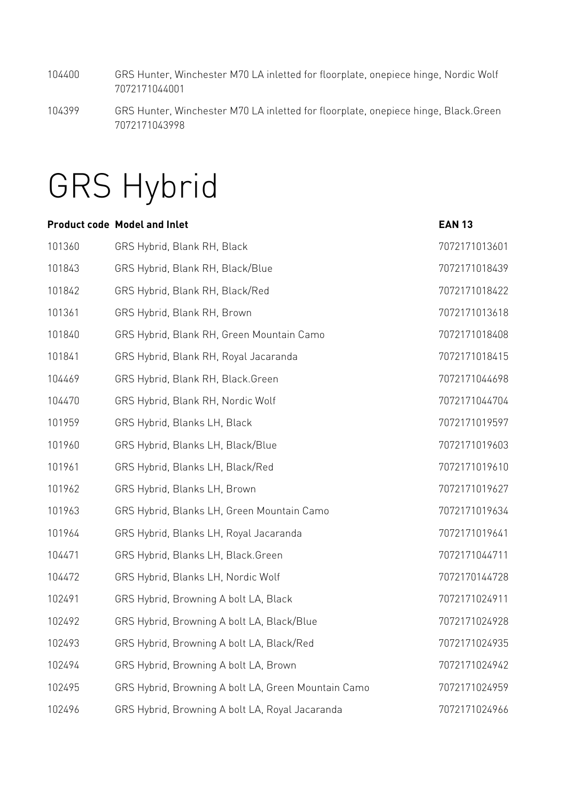- 104400 GRS Hunter, Winchester M70 LA inletted for floorplate, onepiece hinge, Nordic Wolf 7072171044001
- 104399 GRS Hunter, Winchester M70 LA inletted for floorplate, onepiece hinge, Black.Green 7072171043998

### GRS Hybrid

|        | <b>Product code Model and Inlet</b>                 | <b>EAN 13</b> |
|--------|-----------------------------------------------------|---------------|
| 101360 | GRS Hybrid, Blank RH, Black                         | 7072171013601 |
| 101843 | GRS Hybrid, Blank RH, Black/Blue                    | 7072171018439 |
| 101842 | GRS Hybrid, Blank RH, Black/Red                     | 7072171018422 |
| 101361 | GRS Hybrid, Blank RH, Brown                         | 7072171013618 |
| 101840 | GRS Hybrid, Blank RH, Green Mountain Camo           | 7072171018408 |
| 101841 | GRS Hybrid, Blank RH, Royal Jacaranda               | 7072171018415 |
| 104469 | GRS Hybrid, Blank RH, Black.Green                   | 7072171044698 |
| 104470 | GRS Hybrid, Blank RH, Nordic Wolf                   | 7072171044704 |
| 101959 | GRS Hybrid, Blanks LH, Black                        | 7072171019597 |
| 101960 | GRS Hybrid, Blanks LH, Black/Blue                   | 7072171019603 |
| 101961 | GRS Hybrid, Blanks LH, Black/Red                    | 7072171019610 |
| 101962 | GRS Hybrid, Blanks LH, Brown                        | 7072171019627 |
| 101963 | GRS Hybrid, Blanks LH, Green Mountain Camo          | 7072171019634 |
| 101964 | GRS Hybrid, Blanks LH, Royal Jacaranda              | 7072171019641 |
| 104471 | GRS Hybrid, Blanks LH, Black.Green                  | 7072171044711 |
| 104472 | GRS Hybrid, Blanks LH, Nordic Wolf                  | 7072170144728 |
| 102491 | GRS Hybrid, Browning A bolt LA, Black               | 7072171024911 |
| 102492 | GRS Hybrid, Browning A bolt LA, Black/Blue          | 7072171024928 |
| 102493 | GRS Hybrid, Browning A bolt LA, Black/Red           | 7072171024935 |
| 102494 | GRS Hybrid, Browning A bolt LA, Brown               | 7072171024942 |
| 102495 | GRS Hybrid, Browning A bolt LA, Green Mountain Camo | 7072171024959 |
| 102496 | GRS Hybrid, Browning A bolt LA, Royal Jacaranda     | 7072171024966 |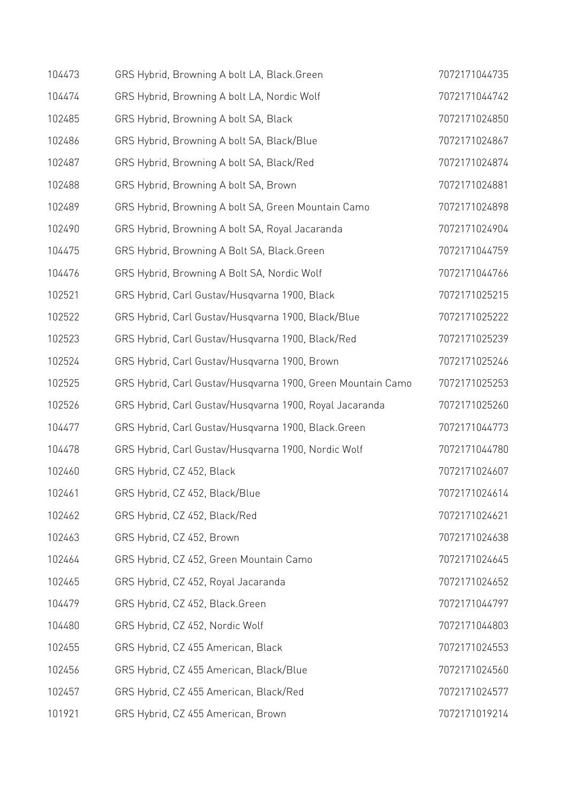| 104473 | GRS Hybrid, Browning A bolt LA, Black.Green                 | 7072171044735 |
|--------|-------------------------------------------------------------|---------------|
| 104474 | GRS Hybrid, Browning A bolt LA, Nordic Wolf                 | 7072171044742 |
| 102485 | GRS Hybrid, Browning A bolt SA, Black                       | 7072171024850 |
| 102486 | GRS Hybrid, Browning A bolt SA, Black/Blue                  | 7072171024867 |
| 102487 | GRS Hybrid, Browning A bolt SA, Black/Red                   | 7072171024874 |
| 102488 | GRS Hybrid, Browning A bolt SA, Brown                       | 7072171024881 |
| 102489 | GRS Hybrid, Browning A bolt SA, Green Mountain Camo         | 7072171024898 |
| 102490 | GRS Hybrid, Browning A bolt SA, Royal Jacaranda             | 7072171024904 |
| 104475 | GRS Hybrid, Browning A Bolt SA, Black.Green                 | 7072171044759 |
| 104476 | GRS Hybrid, Browning A Bolt SA, Nordic Wolf                 | 7072171044766 |
| 102521 | GRS Hybrid, Carl Gustav/Husqvarna 1900, Black               | 7072171025215 |
| 102522 | GRS Hybrid, Carl Gustav/Husqvarna 1900, Black/Blue          | 7072171025222 |
| 102523 | GRS Hybrid, Carl Gustav/Husqvarna 1900, Black/Red           | 7072171025239 |
| 102524 | GRS Hybrid, Carl Gustav/Husqvarna 1900, Brown               | 7072171025246 |
| 102525 | GRS Hybrid, Carl Gustav/Husqvarna 1900, Green Mountain Camo | 7072171025253 |
| 102526 | GRS Hybrid, Carl Gustav/Husqvarna 1900, Royal Jacaranda     | 7072171025260 |
| 104477 | GRS Hybrid, Carl Gustav/Husqvarna 1900, Black.Green         | 7072171044773 |
| 104478 | GRS Hybrid, Carl Gustav/Husqvarna 1900, Nordic Wolf         | 7072171044780 |
| 102460 | GRS Hybrid, CZ 452, Black                                   | 7072171024607 |
| 102461 | GRS Hybrid, CZ 452, Black/Blue                              | 7072171024614 |
| 102462 | GRS Hybrid, CZ 452, Black/Red                               | 7072171024621 |
| 102463 | GRS Hybrid, CZ 452, Brown                                   | 7072171024638 |
| 102464 | GRS Hybrid, CZ 452, Green Mountain Camo                     | 7072171024645 |
| 102465 | GRS Hybrid, CZ 452, Royal Jacaranda                         | 7072171024652 |
| 104479 | GRS Hybrid, CZ 452, Black.Green                             | 7072171044797 |
| 104480 | GRS Hybrid, CZ 452, Nordic Wolf                             | 7072171044803 |
| 102455 | GRS Hybrid, CZ 455 American, Black                          | 7072171024553 |
| 102456 | GRS Hybrid, CZ 455 American, Black/Blue                     | 7072171024560 |
| 102457 | GRS Hybrid, CZ 455 American, Black/Red                      | 7072171024577 |
| 101921 | GRS Hybrid, CZ 455 American, Brown                          | 7072171019214 |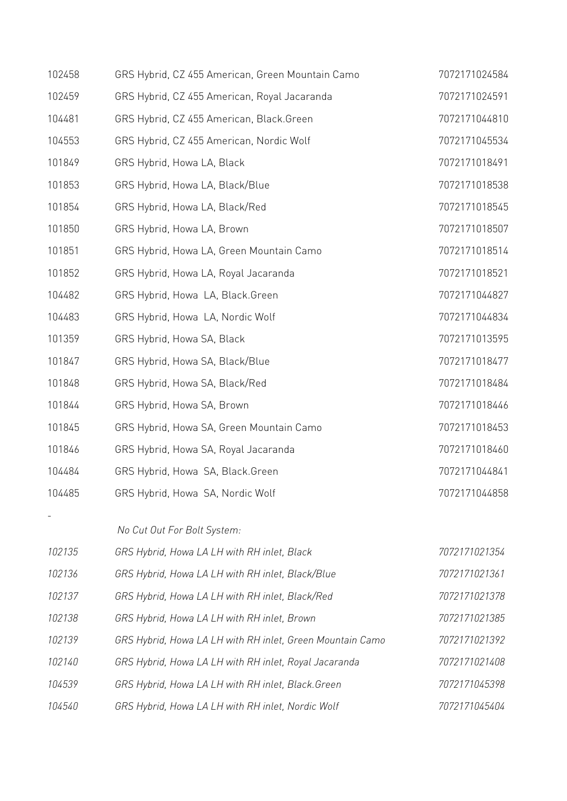| 102458 | GRS Hybrid, CZ 455 American, Green Mountain Camo          | 7072171024584 |
|--------|-----------------------------------------------------------|---------------|
| 102459 | GRS Hybrid, CZ 455 American, Royal Jacaranda              | 7072171024591 |
| 104481 | GRS Hybrid, CZ 455 American, Black.Green                  | 7072171044810 |
| 104553 | GRS Hybrid, CZ 455 American, Nordic Wolf                  | 7072171045534 |
| 101849 | GRS Hybrid, Howa LA, Black                                | 7072171018491 |
| 101853 | GRS Hybrid, Howa LA, Black/Blue                           | 7072171018538 |
| 101854 | GRS Hybrid, Howa LA, Black/Red                            | 7072171018545 |
| 101850 | GRS Hybrid, Howa LA, Brown                                | 7072171018507 |
| 101851 | GRS Hybrid, Howa LA, Green Mountain Camo                  | 7072171018514 |
| 101852 | GRS Hybrid, Howa LA, Royal Jacaranda                      | 7072171018521 |
| 104482 | GRS Hybrid, Howa LA, Black.Green                          | 7072171044827 |
| 104483 | GRS Hybrid, Howa LA, Nordic Wolf                          | 7072171044834 |
| 101359 | GRS Hybrid, Howa SA, Black                                | 7072171013595 |
| 101847 | GRS Hybrid, Howa SA, Black/Blue                           | 7072171018477 |
| 101848 | GRS Hybrid, Howa SA, Black/Red                            | 7072171018484 |
| 101844 | GRS Hybrid, Howa SA, Brown                                | 7072171018446 |
| 101845 | GRS Hybrid, Howa SA, Green Mountain Camo                  | 7072171018453 |
| 101846 | GRS Hybrid, Howa SA, Royal Jacaranda                      | 7072171018460 |
| 104484 | GRS Hybrid, Howa SA, Black.Green                          | 7072171044841 |
| 104485 | GRS Hybrid, Howa SA, Nordic Wolf                          | 7072171044858 |
|        | No Cut Out For Bolt System:                               |               |
| 102135 | GRS Hybrid, Howa LA LH with RH inlet, Black               | 7072171021354 |
| 102136 | GRS Hybrid, Howa LA LH with RH inlet, Black/Blue          | 7072171021361 |
| 102137 | GRS Hybrid, Howa LA LH with RH inlet, Black/Red           | 7072171021378 |
| 102138 | GRS Hybrid, Howa LA LH with RH inlet, Brown               | 7072171021385 |
| 102139 | GRS Hybrid, Howa LA LH with RH inlet, Green Mountain Camo | 7072171021392 |
| 102140 | GRS Hybrid, Howa LA LH with RH inlet, Royal Jacaranda     | 7072171021408 |
|        |                                                           |               |
| 104539 | GRS Hybrid, Howa LA LH with RH inlet, Black. Green        | 7072171045398 |
| 104540 | GRS Hybrid, Howa LA LH with RH inlet, Nordic Wolf         | 7072171045404 |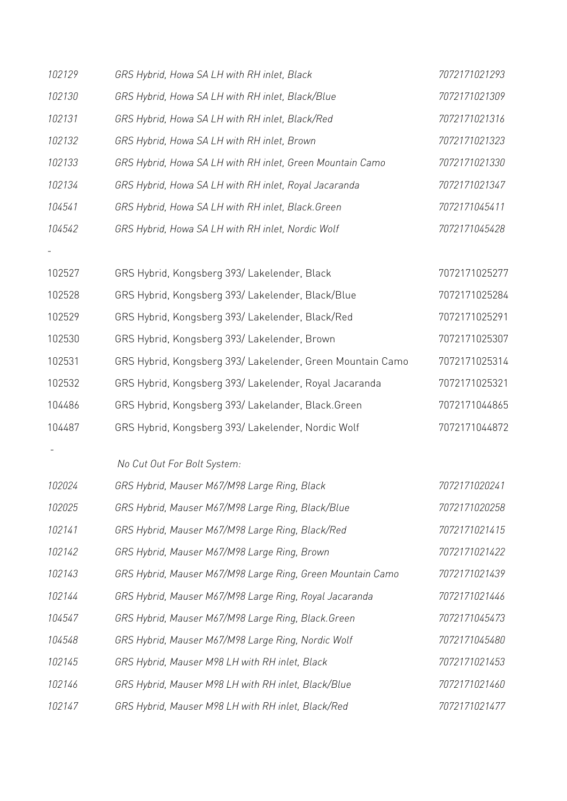| 102129 | GRS Hybrid, Howa SA LH with RH inlet, Black                | 7072171021293 |
|--------|------------------------------------------------------------|---------------|
| 102130 | GRS Hybrid, Howa SA LH with RH inlet, Black/Blue           | 7072171021309 |
| 102131 | GRS Hybrid, Howa SA LH with RH inlet, Black/Red            | 7072171021316 |
| 102132 | GRS Hybrid, Howa SA LH with RH inlet, Brown                | 7072171021323 |
| 102133 | GRS Hybrid, Howa SA LH with RH inlet, Green Mountain Camo  | 7072171021330 |
| 102134 | GRS Hybrid, Howa SA LH with RH inlet, Royal Jacaranda      | 7072171021347 |
| 104541 | GRS Hybrid, Howa SA LH with RH inlet, Black. Green         | 7072171045411 |
| 104542 | GRS Hybrid, Howa SA LH with RH inlet, Nordic Wolf          | 7072171045428 |
|        |                                                            |               |
| 102527 | GRS Hybrid, Kongsberg 393/ Lakelender, Black               | 7072171025277 |
| 102528 | GRS Hybrid, Kongsberg 393/Lakelender, Black/Blue           | 7072171025284 |
| 102529 | GRS Hybrid, Kongsberg 393/Lakelender, Black/Red            | 7072171025291 |
| 102530 | GRS Hybrid, Kongsberg 393/Lakelender, Brown                | 7072171025307 |
| 102531 | GRS Hybrid, Kongsberg 393/ Lakelender, Green Mountain Camo | 7072171025314 |
| 102532 | GRS Hybrid, Kongsberg 393/Lakelender, Royal Jacaranda      | 7072171025321 |
| 104486 | GRS Hybrid, Kongsberg 393/Lakelander, Black.Green          | 7072171044865 |
| 104487 | GRS Hybrid, Kongsberg 393/ Lakelender, Nordic Wolf         | 7072171044872 |
|        |                                                            |               |
|        | No Cut Out For Bolt System:                                |               |
| 102024 | GRS Hybrid, Mauser M67/M98 Large Ring, Black               | 7072171020241 |
| 102025 | GRS Hybrid, Mauser M67/M98 Large Ring, Black/Blue          | 7072171020258 |
| 102141 | GRS Hybrid, Mauser M67/M98 Large Ring, Black/Red           | 7072171021415 |
| 102142 | GRS Hybrid, Mauser M67/M98 Large Ring, Brown               | 7072171021422 |
| 102143 | GRS Hybrid, Mauser M67/M98 Large Ring, Green Mountain Camo | 7072171021439 |
| 102144 | GRS Hybrid, Mauser M67/M98 Large Ring, Royal Jacaranda     | 7072171021446 |
| 104547 | GRS Hybrid, Mauser M67/M98 Large Ring, Black. Green        | 7072171045473 |
| 104548 | GRS Hybrid, Mauser M67/M98 Large Ring, Nordic Wolf         | 7072171045480 |
| 102145 | GRS Hybrid, Mauser M98 LH with RH inlet, Black             | 7072171021453 |
| 102146 | GRS Hybrid, Mauser M98 LH with RH inlet, Black/Blue        | 7072171021460 |
| 102147 | GRS Hybrid, Mauser M98 LH with RH inlet, Black/Red         | 7072171021477 |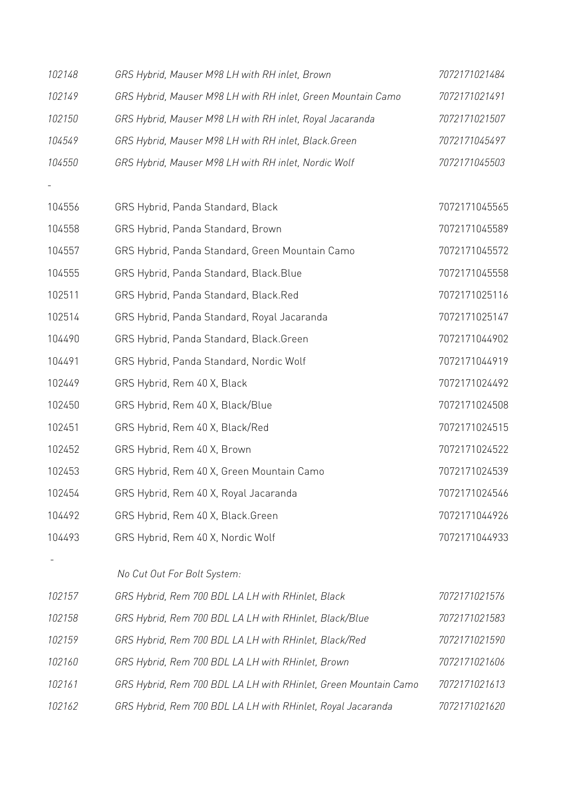| 102148 | GRS Hybrid, Mauser M98 LH with RH inlet, Brown                  | 7072171021484 |
|--------|-----------------------------------------------------------------|---------------|
| 102149 | GRS Hybrid, Mauser M98 LH with RH inlet, Green Mountain Camo    | 7072171021491 |
| 102150 | GRS Hybrid, Mauser M98 LH with RH inlet, Royal Jacaranda        | 7072171021507 |
| 104549 | GRS Hybrid, Mauser M98 LH with RH inlet, Black. Green           | 7072171045497 |
| 104550 | GRS Hybrid, Mauser M98 LH with RH inlet, Nordic Wolf            | 7072171045503 |
|        |                                                                 |               |
| 104556 | GRS Hybrid, Panda Standard, Black                               | 7072171045565 |
| 104558 | GRS Hybrid, Panda Standard, Brown                               | 7072171045589 |
| 104557 | GRS Hybrid, Panda Standard, Green Mountain Camo                 | 7072171045572 |
| 104555 | GRS Hybrid, Panda Standard, Black.Blue                          | 7072171045558 |
| 102511 | GRS Hybrid, Panda Standard, Black.Red                           | 7072171025116 |
| 102514 | GRS Hybrid, Panda Standard, Royal Jacaranda                     | 7072171025147 |
| 104490 | GRS Hybrid, Panda Standard, Black.Green                         | 7072171044902 |
| 104491 | GRS Hybrid, Panda Standard, Nordic Wolf                         | 7072171044919 |
| 102449 | GRS Hybrid, Rem 40 X, Black                                     | 7072171024492 |
| 102450 | GRS Hybrid, Rem 40 X, Black/Blue                                | 7072171024508 |
| 102451 | GRS Hybrid, Rem 40 X, Black/Red                                 | 7072171024515 |
| 102452 | GRS Hybrid, Rem 40 X, Brown                                     | 7072171024522 |
| 102453 | GRS Hybrid, Rem 40 X, Green Mountain Camo                       | 7072171024539 |
| 102454 | GRS Hybrid, Rem 40 X, Royal Jacaranda                           | 7072171024546 |
| 104492 | GRS Hybrid, Rem 40 X, Black.Green                               | 7072171044926 |
| 104493 | GRS Hybrid, Rem 40 X, Nordic Wolf                               | 7072171044933 |
|        |                                                                 |               |
|        | No Cut Out For Bolt System:                                     |               |
| 102157 | GRS Hybrid, Rem 700 BDL LA LH with RHinlet, Black               | 7072171021576 |
| 102158 | GRS Hybrid, Rem 700 BDL LA LH with RHinlet, Black/Blue          | 7072171021583 |
| 102159 | GRS Hybrid, Rem 700 BDL LA LH with RHinlet, Black/Red           | 7072171021590 |
| 102160 | GRS Hybrid, Rem 700 BDL LA LH with RHinlet, Brown               | 7072171021606 |
| 102161 | GRS Hybrid, Rem 700 BDL LA LH with RHinlet, Green Mountain Camo | 7072171021613 |
| 102162 | GRS Hybrid, Rem 700 BDL LA LH with RHinlet, Royal Jacaranda     | 7072171021620 |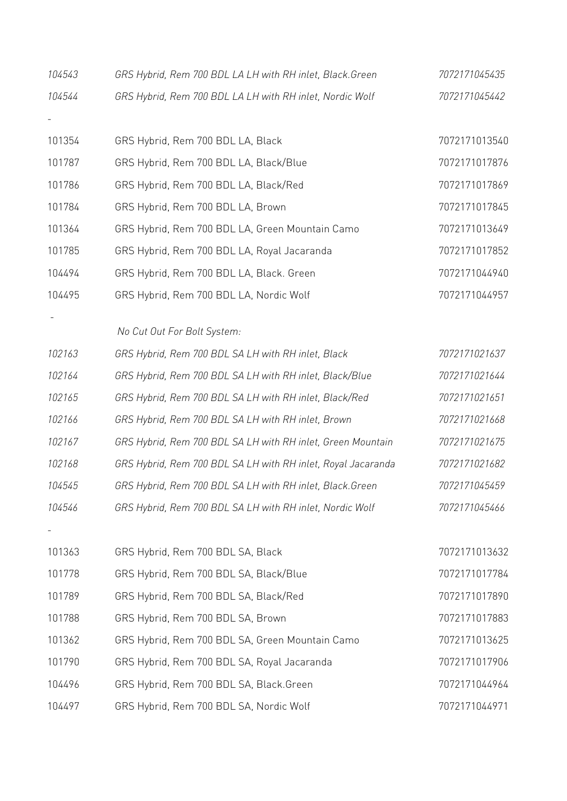| 104543 | GRS Hybrid, Rem 700 BDL LA LH with RH inlet, Black.Green     | 7072171045435 |
|--------|--------------------------------------------------------------|---------------|
| 104544 | GRS Hybrid, Rem 700 BDL LA LH with RH inlet, Nordic Wolf     | 7072171045442 |
|        |                                                              |               |
| 101354 | GRS Hybrid, Rem 700 BDL LA, Black                            | 7072171013540 |
| 101787 | GRS Hybrid, Rem 700 BDL LA, Black/Blue                       | 7072171017876 |
| 101786 | GRS Hybrid, Rem 700 BDL LA, Black/Red                        | 7072171017869 |
| 101784 | GRS Hybrid, Rem 700 BDL LA, Brown                            | 7072171017845 |
| 101364 | GRS Hybrid, Rem 700 BDL LA, Green Mountain Camo              | 7072171013649 |
| 101785 | GRS Hybrid, Rem 700 BDL LA, Royal Jacaranda                  | 7072171017852 |
| 104494 | GRS Hybrid, Rem 700 BDL LA, Black. Green                     | 7072171044940 |
| 104495 | GRS Hybrid, Rem 700 BDL LA, Nordic Wolf                      | 7072171044957 |
|        |                                                              |               |
|        | No Cut Out For Bolt System:                                  |               |
| 102163 | GRS Hybrid, Rem 700 BDL SA LH with RH inlet, Black           | 7072171021637 |
| 102164 | GRS Hybrid, Rem 700 BDL SA LH with RH inlet, Black/Blue      | 7072171021644 |
| 102165 | GRS Hybrid, Rem 700 BDL SA LH with RH inlet, Black/Red       | 7072171021651 |
| 102166 | GRS Hybrid, Rem 700 BDL SA LH with RH inlet, Brown           | 7072171021668 |
| 102167 | GRS Hybrid, Rem 700 BDL SA LH with RH inlet, Green Mountain  | 7072171021675 |
| 102168 | GRS Hybrid, Rem 700 BDL SA LH with RH inlet, Royal Jacaranda | 7072171021682 |
| 104545 | GRS Hybrid, Rem 700 BDL SA LH with RH inlet, Black.Green     | 7072171045459 |
| 104546 | GRS Hybrid, Rem 700 BDL SA LH with RH inlet, Nordic Wolf     | 7072171045466 |
|        |                                                              |               |
| 101363 | GRS Hybrid, Rem 700 BDL SA, Black                            | 7072171013632 |
| 101778 | GRS Hybrid, Rem 700 BDL SA, Black/Blue                       | 7072171017784 |
| 101789 | GRS Hybrid, Rem 700 BDL SA, Black/Red                        | 7072171017890 |
| 101788 | GRS Hybrid, Rem 700 BDL SA, Brown                            | 7072171017883 |
| 101362 | GRS Hybrid, Rem 700 BDL SA, Green Mountain Camo              | 7072171013625 |
| 101790 | GRS Hybrid, Rem 700 BDL SA, Royal Jacaranda                  | 7072171017906 |
| 104496 | GRS Hybrid, Rem 700 BDL SA, Black.Green                      | 7072171044964 |
| 104497 | GRS Hybrid, Rem 700 BDL SA, Nordic Wolf                      | 7072171044971 |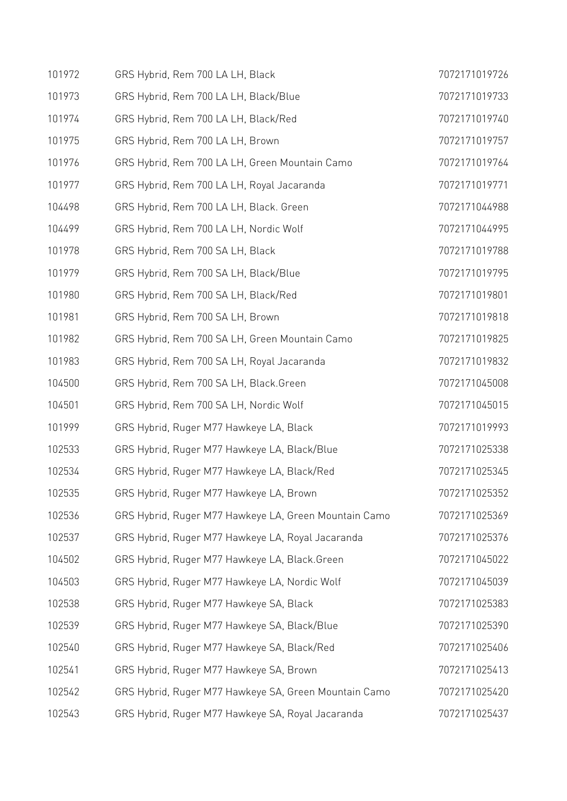| 101972 | GRS Hybrid, Rem 700 LA LH, Black                      | 7072171019726 |
|--------|-------------------------------------------------------|---------------|
| 101973 | GRS Hybrid, Rem 700 LA LH, Black/Blue                 | 7072171019733 |
| 101974 | GRS Hybrid, Rem 700 LA LH, Black/Red                  | 7072171019740 |
| 101975 | GRS Hybrid, Rem 700 LA LH, Brown                      | 7072171019757 |
| 101976 | GRS Hybrid, Rem 700 LA LH, Green Mountain Camo        | 7072171019764 |
| 101977 | GRS Hybrid, Rem 700 LA LH, Royal Jacaranda            | 7072171019771 |
| 104498 | GRS Hybrid, Rem 700 LA LH, Black. Green               | 7072171044988 |
| 104499 | GRS Hybrid, Rem 700 LA LH, Nordic Wolf                | 7072171044995 |
| 101978 | GRS Hybrid, Rem 700 SA LH, Black                      | 7072171019788 |
| 101979 | GRS Hybrid, Rem 700 SA LH, Black/Blue                 | 7072171019795 |
| 101980 | GRS Hybrid, Rem 700 SA LH, Black/Red                  | 7072171019801 |
| 101981 | GRS Hybrid, Rem 700 SA LH, Brown                      | 7072171019818 |
| 101982 | GRS Hybrid, Rem 700 SA LH, Green Mountain Camo        | 7072171019825 |
| 101983 | GRS Hybrid, Rem 700 SA LH, Royal Jacaranda            | 7072171019832 |
| 104500 | GRS Hybrid, Rem 700 SA LH, Black.Green                | 7072171045008 |
| 104501 | GRS Hybrid, Rem 700 SA LH, Nordic Wolf                | 7072171045015 |
| 101999 | GRS Hybrid, Ruger M77 Hawkeye LA, Black               | 7072171019993 |
| 102533 | GRS Hybrid, Ruger M77 Hawkeye LA, Black/Blue          | 7072171025338 |
| 102534 | GRS Hybrid, Ruger M77 Hawkeye LA, Black/Red           | 7072171025345 |
| 102535 | GRS Hybrid, Ruger M77 Hawkeye LA, Brown               | 7072171025352 |
| 102536 | GRS Hybrid, Ruger M77 Hawkeye LA, Green Mountain Camo | 7072171025369 |
| 102537 | GRS Hybrid, Ruger M77 Hawkeye LA, Royal Jacaranda     | 7072171025376 |
| 104502 | GRS Hybrid, Ruger M77 Hawkeye LA, Black.Green         | 7072171045022 |
| 104503 | GRS Hybrid, Ruger M77 Hawkeye LA, Nordic Wolf         | 7072171045039 |
| 102538 | GRS Hybrid, Ruger M77 Hawkeye SA, Black               | 7072171025383 |
| 102539 | GRS Hybrid, Ruger M77 Hawkeye SA, Black/Blue          | 7072171025390 |
| 102540 | GRS Hybrid, Ruger M77 Hawkeye SA, Black/Red           | 7072171025406 |
| 102541 | GRS Hybrid, Ruger M77 Hawkeye SA, Brown               | 7072171025413 |
| 102542 | GRS Hybrid, Ruger M77 Hawkeye SA, Green Mountain Camo | 7072171025420 |
| 102543 | GRS Hybrid, Ruger M77 Hawkeye SA, Royal Jacaranda     | 7072171025437 |
|        |                                                       |               |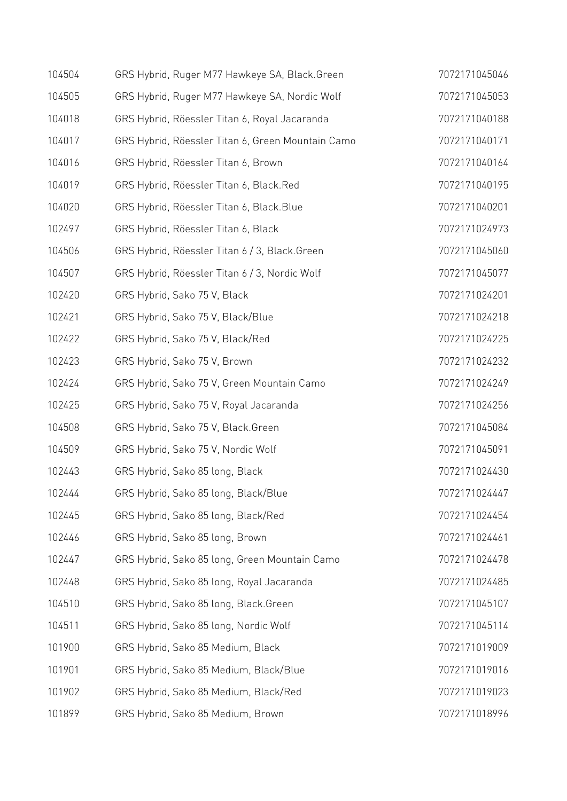| 104504 | GRS Hybrid, Ruger M77 Hawkeye SA, Black.Green     | 7072171045046 |
|--------|---------------------------------------------------|---------------|
| 104505 | GRS Hybrid, Ruger M77 Hawkeye SA, Nordic Wolf     | 7072171045053 |
| 104018 | GRS Hybrid, Röessler Titan 6, Royal Jacaranda     | 7072171040188 |
| 104017 | GRS Hybrid, Röessler Titan 6, Green Mountain Camo | 7072171040171 |
| 104016 | GRS Hybrid, Röessler Titan 6, Brown               | 7072171040164 |
| 104019 | GRS Hybrid, Röessler Titan 6, Black.Red           | 7072171040195 |
| 104020 | GRS Hybrid, Röessler Titan 6, Black. Blue         | 7072171040201 |
| 102497 | GRS Hybrid, Röessler Titan 6, Black               | 7072171024973 |
| 104506 | GRS Hybrid, Röessler Titan 6 / 3, Black. Green    | 7072171045060 |
| 104507 | GRS Hybrid, Röessler Titan 6 / 3, Nordic Wolf     | 7072171045077 |
| 102420 | GRS Hybrid, Sako 75 V, Black                      | 7072171024201 |
| 102421 | GRS Hybrid, Sako 75 V, Black/Blue                 | 7072171024218 |
| 102422 | GRS Hybrid, Sako 75 V, Black/Red                  | 7072171024225 |
| 102423 | GRS Hybrid, Sako 75 V, Brown                      | 7072171024232 |
| 102424 | GRS Hybrid, Sako 75 V, Green Mountain Camo        | 7072171024249 |
| 102425 | GRS Hybrid, Sako 75 V, Royal Jacaranda            | 7072171024256 |
| 104508 | GRS Hybrid, Sako 75 V, Black.Green                | 7072171045084 |
| 104509 | GRS Hybrid, Sako 75 V, Nordic Wolf                | 7072171045091 |
| 102443 | GRS Hybrid, Sako 85 long, Black                   | 7072171024430 |
| 102444 | GRS Hybrid, Sako 85 long, Black/Blue              | 7072171024447 |
| 102445 | GRS Hybrid, Sako 85 long, Black/Red               | 7072171024454 |
| 102446 | GRS Hybrid, Sako 85 long, Brown                   | 7072171024461 |
| 102447 | GRS Hybrid, Sako 85 long, Green Mountain Camo     | 7072171024478 |
| 102448 | GRS Hybrid, Sako 85 long, Royal Jacaranda         | 7072171024485 |
| 104510 | GRS Hybrid, Sako 85 long, Black.Green             | 7072171045107 |
| 104511 | GRS Hybrid, Sako 85 long, Nordic Wolf             | 7072171045114 |
| 101900 | GRS Hybrid, Sako 85 Medium, Black                 | 7072171019009 |
| 101901 | GRS Hybrid, Sako 85 Medium, Black/Blue            | 7072171019016 |
| 101902 | GRS Hybrid, Sako 85 Medium, Black/Red             | 7072171019023 |
| 101899 | GRS Hybrid, Sako 85 Medium, Brown                 | 7072171018996 |
|        |                                                   |               |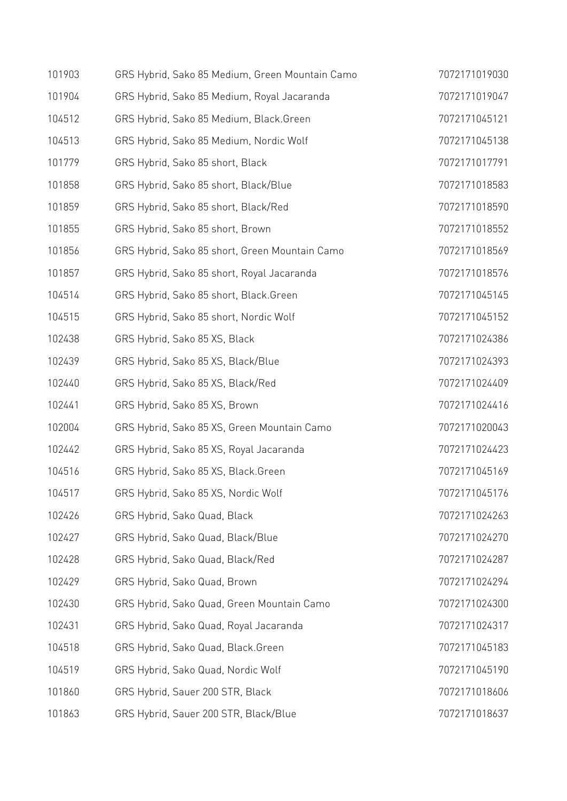| 101903 | GRS Hybrid, Sako 85 Medium, Green Mountain Camo | 7072171019030 |
|--------|-------------------------------------------------|---------------|
| 101904 | GRS Hybrid, Sako 85 Medium, Royal Jacaranda     | 7072171019047 |
| 104512 | GRS Hybrid, Sako 85 Medium, Black.Green         | 7072171045121 |
| 104513 | GRS Hybrid, Sako 85 Medium, Nordic Wolf         | 7072171045138 |
| 101779 | GRS Hybrid, Sako 85 short, Black                | 7072171017791 |
| 101858 | GRS Hybrid, Sako 85 short, Black/Blue           | 7072171018583 |
| 101859 | GRS Hybrid, Sako 85 short, Black/Red            | 7072171018590 |
| 101855 | GRS Hybrid, Sako 85 short, Brown                | 7072171018552 |
| 101856 | GRS Hybrid, Sako 85 short, Green Mountain Camo  | 7072171018569 |
| 101857 | GRS Hybrid, Sako 85 short, Royal Jacaranda      | 7072171018576 |
| 104514 | GRS Hybrid, Sako 85 short, Black.Green          | 7072171045145 |
| 104515 | GRS Hybrid, Sako 85 short, Nordic Wolf          | 7072171045152 |
| 102438 | GRS Hybrid, Sako 85 XS, Black                   | 7072171024386 |
| 102439 | GRS Hybrid, Sako 85 XS, Black/Blue              | 7072171024393 |
| 102440 | GRS Hybrid, Sako 85 XS, Black/Red               | 7072171024409 |
| 102441 | GRS Hybrid, Sako 85 XS, Brown                   | 7072171024416 |
| 102004 | GRS Hybrid, Sako 85 XS, Green Mountain Camo     | 7072171020043 |
| 102442 | GRS Hybrid, Sako 85 XS, Royal Jacaranda         | 7072171024423 |
| 104516 | GRS Hybrid, Sako 85 XS, Black.Green             | 7072171045169 |
| 104517 | GRS Hybrid, Sako 85 XS, Nordic Wolf             | 7072171045176 |
| 102426 | GRS Hybrid, Sako Quad, Black                    | 7072171024263 |
| 102427 | GRS Hybrid, Sako Quad, Black/Blue               | 7072171024270 |
| 102428 | GRS Hybrid, Sako Quad, Black/Red                | 7072171024287 |
| 102429 | GRS Hybrid, Sako Quad, Brown                    | 7072171024294 |
| 102430 | GRS Hybrid, Sako Quad, Green Mountain Camo      | 7072171024300 |
| 102431 | GRS Hybrid, Sako Quad, Royal Jacaranda          | 7072171024317 |
| 104518 | GRS Hybrid, Sako Quad, Black.Green              | 7072171045183 |
| 104519 | GRS Hybrid, Sako Quad, Nordic Wolf              | 7072171045190 |
| 101860 | GRS Hybrid, Sauer 200 STR, Black                | 7072171018606 |
| 101863 | GRS Hybrid, Sauer 200 STR, Black/Blue           | 7072171018637 |
|        |                                                 |               |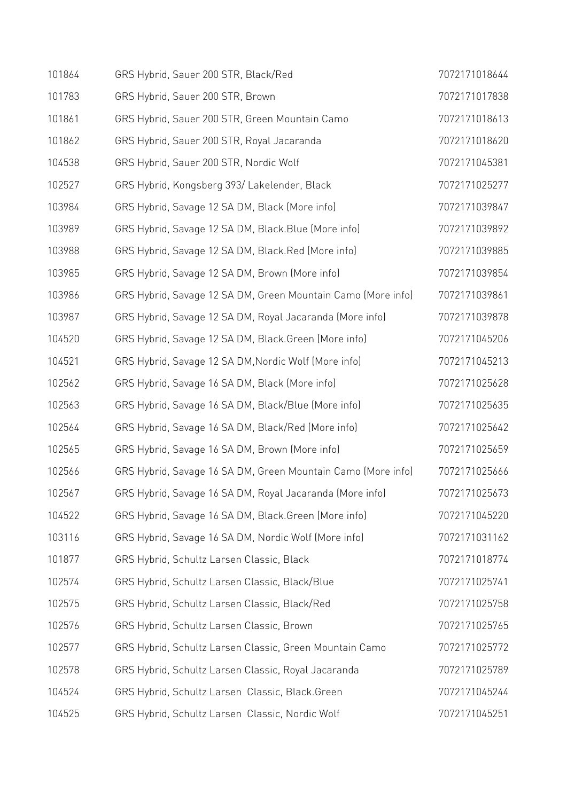| 101864 | GRS Hybrid, Sauer 200 STR, Black/Red                         | 7072171018644 |
|--------|--------------------------------------------------------------|---------------|
| 101783 | GRS Hybrid, Sauer 200 STR, Brown                             | 7072171017838 |
| 101861 | GRS Hybrid, Sauer 200 STR, Green Mountain Camo               | 7072171018613 |
| 101862 | GRS Hybrid, Sauer 200 STR, Royal Jacaranda                   | 7072171018620 |
| 104538 | GRS Hybrid, Sauer 200 STR, Nordic Wolf                       | 7072171045381 |
| 102527 | GRS Hybrid, Kongsberg 393/Lakelender, Black                  | 7072171025277 |
| 103984 | GRS Hybrid, Savage 12 SA DM, Black (More info)               | 7072171039847 |
| 103989 | GRS Hybrid, Savage 12 SA DM, Black. Blue (More info)         | 7072171039892 |
| 103988 | GRS Hybrid, Savage 12 SA DM, Black.Red (More info)           | 7072171039885 |
| 103985 | GRS Hybrid, Savage 12 SA DM, Brown (More info)               | 7072171039854 |
| 103986 | GRS Hybrid, Savage 12 SA DM, Green Mountain Camo (More info) | 7072171039861 |
| 103987 | GRS Hybrid, Savage 12 SA DM, Royal Jacaranda (More info)     | 7072171039878 |
| 104520 | GRS Hybrid, Savage 12 SA DM, Black.Green (More info)         | 7072171045206 |
| 104521 | GRS Hybrid, Savage 12 SA DM, Nordic Wolf (More info)         | 7072171045213 |
| 102562 | GRS Hybrid, Savage 16 SA DM, Black (More info)               | 7072171025628 |
| 102563 | GRS Hybrid, Savage 16 SA DM, Black/Blue (More info)          | 7072171025635 |
| 102564 | GRS Hybrid, Savage 16 SA DM, Black/Red (More info)           | 7072171025642 |
| 102565 | GRS Hybrid, Savage 16 SA DM, Brown (More info)               | 7072171025659 |
| 102566 | GRS Hybrid, Savage 16 SA DM, Green Mountain Camo (More info) | 7072171025666 |
| 102567 | GRS Hybrid, Savage 16 SA DM, Royal Jacaranda (More info)     | 7072171025673 |
| 104522 | GRS Hybrid, Savage 16 SA DM, Black. Green (More info)        | 7072171045220 |
| 103116 | GRS Hybrid, Savage 16 SA DM, Nordic Wolf (More info)         | 7072171031162 |
| 101877 | GRS Hybrid, Schultz Larsen Classic, Black                    | 7072171018774 |
| 102574 | GRS Hybrid, Schultz Larsen Classic, Black/Blue               | 7072171025741 |
| 102575 | GRS Hybrid, Schultz Larsen Classic, Black/Red                | 7072171025758 |
| 102576 | GRS Hybrid, Schultz Larsen Classic, Brown                    | 7072171025765 |
| 102577 | GRS Hybrid, Schultz Larsen Classic, Green Mountain Camo      | 7072171025772 |
| 102578 | GRS Hybrid, Schultz Larsen Classic, Royal Jacaranda          | 7072171025789 |
| 104524 | GRS Hybrid, Schultz Larsen Classic, Black.Green              | 7072171045244 |
| 104525 | GRS Hybrid, Schultz Larsen Classic, Nordic Wolf              | 7072171045251 |
|        |                                                              |               |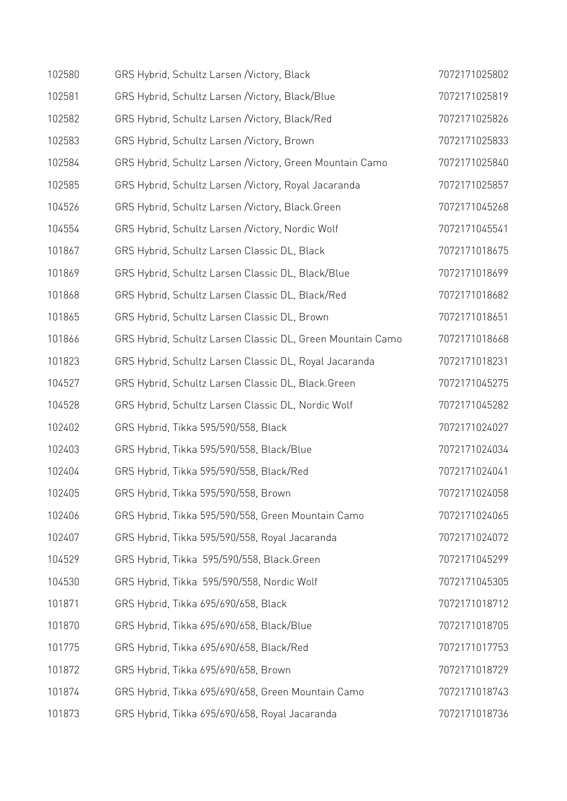| 102580 | GRS Hybrid, Schultz Larsen /Victory, Black                 | 7072171025802 |
|--------|------------------------------------------------------------|---------------|
| 102581 | GRS Hybrid, Schultz Larsen / Victory, Black/Blue           | 7072171025819 |
| 102582 | GRS Hybrid, Schultz Larsen / Victory, Black/Red            | 7072171025826 |
| 102583 | GRS Hybrid, Schultz Larsen /Victory, Brown                 | 7072171025833 |
| 102584 | GRS Hybrid, Schultz Larsen / Victory, Green Mountain Camo  | 7072171025840 |
| 102585 | GRS Hybrid, Schultz Larsen / Victory, Royal Jacaranda      | 7072171025857 |
| 104526 | GRS Hybrid, Schultz Larsen /Victory, Black.Green           | 7072171045268 |
| 104554 | GRS Hybrid, Schultz Larsen / Victory, Nordic Wolf          | 7072171045541 |
| 101867 | GRS Hybrid, Schultz Larsen Classic DL, Black               | 7072171018675 |
| 101869 | GRS Hybrid, Schultz Larsen Classic DL, Black/Blue          | 7072171018699 |
| 101868 | GRS Hybrid, Schultz Larsen Classic DL, Black/Red           | 7072171018682 |
| 101865 | GRS Hybrid, Schultz Larsen Classic DL, Brown               | 7072171018651 |
| 101866 | GRS Hybrid, Schultz Larsen Classic DL, Green Mountain Camo | 7072171018668 |
| 101823 | GRS Hybrid, Schultz Larsen Classic DL, Royal Jacaranda     | 7072171018231 |
| 104527 | GRS Hybrid, Schultz Larsen Classic DL, Black.Green         | 7072171045275 |
| 104528 | GRS Hybrid, Schultz Larsen Classic DL, Nordic Wolf         | 7072171045282 |
| 102402 | GRS Hybrid, Tikka 595/590/558, Black                       | 7072171024027 |
| 102403 | GRS Hybrid, Tikka 595/590/558, Black/Blue                  | 7072171024034 |
| 102404 | GRS Hybrid, Tikka 595/590/558, Black/Red                   | 7072171024041 |
| 102405 | GRS Hybrid, Tikka 595/590/558, Brown                       | 7072171024058 |
| 102406 | GRS Hybrid, Tikka 595/590/558, Green Mountain Camo         | 7072171024065 |
| 102407 | GRS Hybrid, Tikka 595/590/558, Royal Jacaranda             | 7072171024072 |
| 104529 | GRS Hybrid, Tikka 595/590/558, Black.Green                 | 7072171045299 |
| 104530 | GRS Hybrid, Tikka 595/590/558, Nordic Wolf                 | 7072171045305 |
| 101871 | GRS Hybrid, Tikka 695/690/658, Black                       | 7072171018712 |
| 101870 | GRS Hybrid, Tikka 695/690/658, Black/Blue                  | 7072171018705 |
| 101775 | GRS Hybrid, Tikka 695/690/658, Black/Red                   | 7072171017753 |
| 101872 | GRS Hybrid, Tikka 695/690/658, Brown                       | 7072171018729 |
| 101874 | GRS Hybrid, Tikka 695/690/658, Green Mountain Camo         | 7072171018743 |
| 101873 | GRS Hybrid, Tikka 695/690/658, Royal Jacaranda             | 7072171018736 |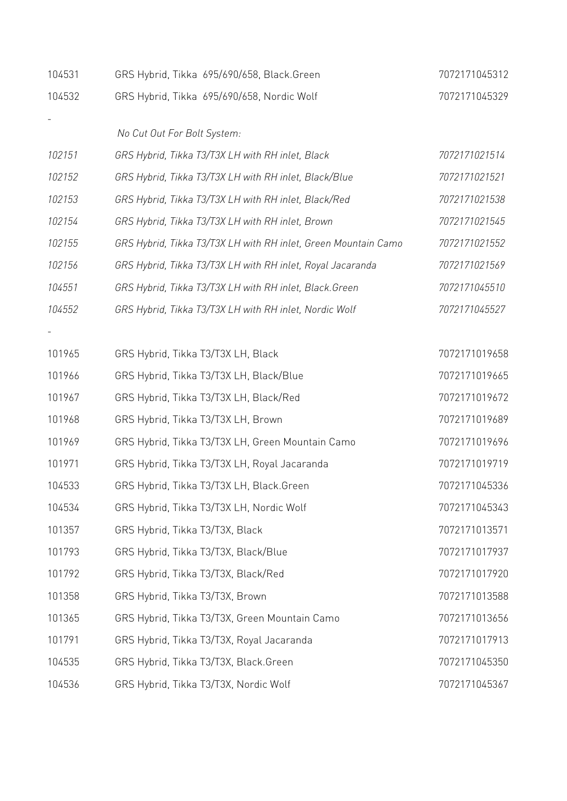| 104531 | GRS Hybrid, Tikka 695/690/658, Black.Green                     | 7072171045312 |
|--------|----------------------------------------------------------------|---------------|
| 104532 | GRS Hybrid, Tikka 695/690/658, Nordic Wolf                     | 7072171045329 |
|        |                                                                |               |
|        | No Cut Out For Bolt System:                                    |               |
| 102151 | GRS Hybrid, Tikka T3/T3X LH with RH inlet, Black               | 7072171021514 |
| 102152 | GRS Hybrid, Tikka T3/T3X LH with RH inlet, Black/Blue          | 7072171021521 |
| 102153 | GRS Hybrid, Tikka T3/T3X LH with RH inlet, Black/Red           | 7072171021538 |
| 102154 | GRS Hybrid, Tikka T3/T3X LH with RH inlet, Brown               | 7072171021545 |
| 102155 | GRS Hybrid, Tikka T3/T3X LH with RH inlet, Green Mountain Camo | 7072171021552 |
| 102156 | GRS Hybrid, Tikka T3/T3X LH with RH inlet, Royal Jacaranda     | 7072171021569 |
| 104551 | GRS Hybrid, Tikka T3/T3X LH with RH inlet, Black. Green        | 7072171045510 |
| 104552 | GRS Hybrid, Tikka T3/T3X LH with RH inlet, Nordic Wolf         | 7072171045527 |
|        |                                                                |               |
| 101965 | GRS Hybrid, Tikka T3/T3X LH, Black                             | 7072171019658 |
| 101966 | GRS Hybrid, Tikka T3/T3X LH, Black/Blue                        | 7072171019665 |
| 101967 | GRS Hybrid, Tikka T3/T3X LH, Black/Red                         | 7072171019672 |
| 101968 | GRS Hybrid, Tikka T3/T3X LH, Brown                             | 7072171019689 |
| 101969 | GRS Hybrid, Tikka T3/T3X LH, Green Mountain Camo               | 7072171019696 |
| 101971 | GRS Hybrid, Tikka T3/T3X LH, Royal Jacaranda                   | 7072171019719 |
| 104533 | GRS Hybrid, Tikka T3/T3X LH, Black.Green                       | 7072171045336 |
| 104534 | GRS Hybrid, Tikka T3/T3X LH, Nordic Wolf                       | 7072171045343 |
| 101357 | GRS Hybrid, Tikka T3/T3X, Black                                | 7072171013571 |
| 101793 | GRS Hybrid, Tikka T3/T3X, Black/Blue                           | 7072171017937 |
| 101792 | GRS Hybrid, Tikka T3/T3X, Black/Red                            | 7072171017920 |
| 101358 | GRS Hybrid, Tikka T3/T3X, Brown                                | 7072171013588 |
| 101365 | GRS Hybrid, Tikka T3/T3X, Green Mountain Camo                  | 7072171013656 |
| 101791 | GRS Hybrid, Tikka T3/T3X, Royal Jacaranda                      | 7072171017913 |
| 104535 | GRS Hybrid, Tikka T3/T3X, Black.Green                          | 7072171045350 |
| 104536 | GRS Hybrid, Tikka T3/T3X, Nordic Wolf                          | 7072171045367 |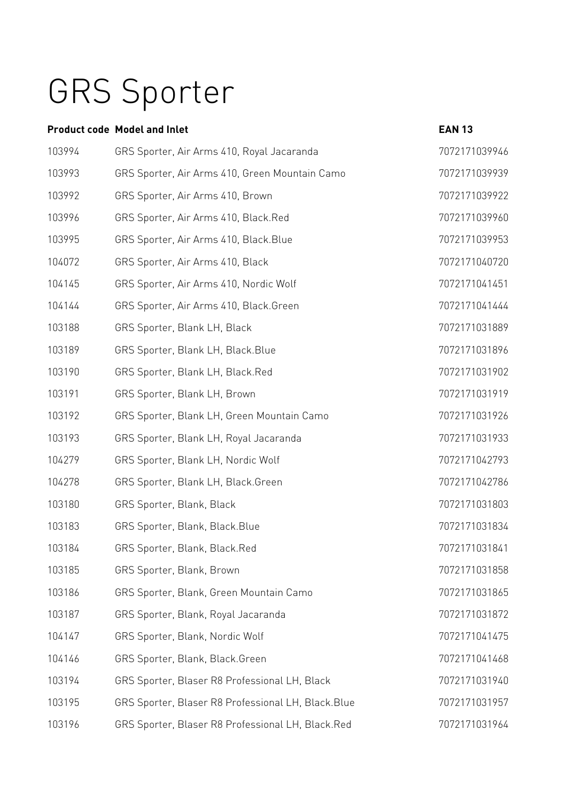## GRS Sporter

### **Product code Model and Inlet Case 2018 13**

| 103994 | GRS Sporter, Air Arms 410, Royal Jacaranda         | 7072171039946 |
|--------|----------------------------------------------------|---------------|
| 103993 | GRS Sporter, Air Arms 410, Green Mountain Camo     | 7072171039939 |
| 103992 | GRS Sporter, Air Arms 410, Brown                   | 7072171039922 |
| 103996 | GRS Sporter, Air Arms 410, Black.Red               | 7072171039960 |
| 103995 | GRS Sporter, Air Arms 410, Black.Blue              | 7072171039953 |
| 104072 | GRS Sporter, Air Arms 410, Black                   | 7072171040720 |
| 104145 | GRS Sporter, Air Arms 410, Nordic Wolf             | 7072171041451 |
| 104144 | GRS Sporter, Air Arms 410, Black.Green             | 7072171041444 |
| 103188 | GRS Sporter, Blank LH, Black                       | 7072171031889 |
| 103189 | GRS Sporter, Blank LH, Black.Blue                  | 7072171031896 |
| 103190 | GRS Sporter, Blank LH, Black.Red                   | 7072171031902 |
| 103191 | GRS Sporter, Blank LH, Brown                       | 7072171031919 |
| 103192 | GRS Sporter, Blank LH, Green Mountain Camo         | 7072171031926 |
| 103193 | GRS Sporter, Blank LH, Royal Jacaranda             | 7072171031933 |
| 104279 | GRS Sporter, Blank LH, Nordic Wolf                 | 7072171042793 |
| 104278 | GRS Sporter, Blank LH, Black.Green                 | 7072171042786 |
| 103180 | GRS Sporter, Blank, Black                          | 7072171031803 |
| 103183 | GRS Sporter, Blank, Black.Blue                     | 7072171031834 |
| 103184 | GRS Sporter, Blank, Black.Red                      | 7072171031841 |
| 103185 | GRS Sporter, Blank, Brown                          | 7072171031858 |
| 103186 | GRS Sporter, Blank, Green Mountain Camo            | 7072171031865 |
| 103187 | GRS Sporter, Blank, Royal Jacaranda                | 7072171031872 |
| 104147 | GRS Sporter, Blank, Nordic Wolf                    | 7072171041475 |
| 104146 | GRS Sporter, Blank, Black.Green                    | 7072171041468 |
| 103194 | GRS Sporter, Blaser R8 Professional LH, Black      | 7072171031940 |
| 103195 | GRS Sporter, Blaser R8 Professional LH, Black.Blue | 7072171031957 |
| 103196 | GRS Sporter, Blaser R8 Professional LH, Black.Red  | 7072171031964 |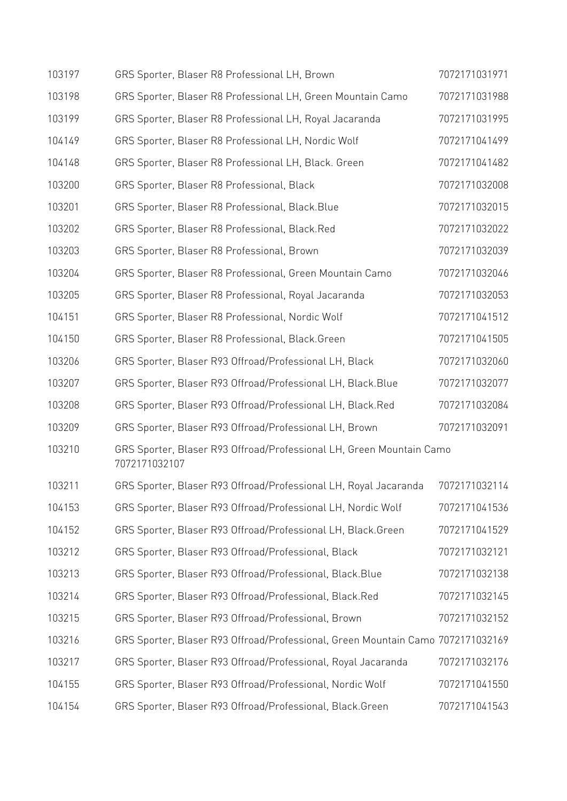| 103197 | GRS Sporter, Blaser R8 Professional LH, Brown                                         | 7072171031971 |  |
|--------|---------------------------------------------------------------------------------------|---------------|--|
| 103198 | GRS Sporter, Blaser R8 Professional LH, Green Mountain Camo                           | 7072171031988 |  |
| 103199 | GRS Sporter, Blaser R8 Professional LH, Royal Jacaranda                               | 7072171031995 |  |
| 104149 | GRS Sporter, Blaser R8 Professional LH, Nordic Wolf                                   | 7072171041499 |  |
| 104148 | GRS Sporter, Blaser R8 Professional LH, Black. Green                                  | 7072171041482 |  |
| 103200 | GRS Sporter, Blaser R8 Professional, Black                                            | 7072171032008 |  |
| 103201 | GRS Sporter, Blaser R8 Professional, Black. Blue                                      | 7072171032015 |  |
| 103202 | GRS Sporter, Blaser R8 Professional, Black.Red                                        | 7072171032022 |  |
| 103203 | GRS Sporter, Blaser R8 Professional, Brown                                            | 7072171032039 |  |
| 103204 | GRS Sporter, Blaser R8 Professional, Green Mountain Camo                              | 7072171032046 |  |
| 103205 | GRS Sporter, Blaser R8 Professional, Royal Jacaranda                                  | 7072171032053 |  |
| 104151 | GRS Sporter, Blaser R8 Professional, Nordic Wolf                                      | 7072171041512 |  |
| 104150 | GRS Sporter, Blaser R8 Professional, Black.Green                                      | 7072171041505 |  |
| 103206 | GRS Sporter, Blaser R93 Offroad/Professional LH, Black                                | 7072171032060 |  |
| 103207 | GRS Sporter, Blaser R93 Offroad/Professional LH, Black.Blue                           | 7072171032077 |  |
| 103208 | GRS Sporter, Blaser R93 Offroad/Professional LH, Black.Red                            | 7072171032084 |  |
| 103209 | GRS Sporter, Blaser R93 Offroad/Professional LH, Brown                                | 7072171032091 |  |
| 103210 | GRS Sporter, Blaser R93 Offroad/Professional LH, Green Mountain Camo<br>7072171032107 |               |  |
| 103211 | GRS Sporter, Blaser R93 Offroad/Professional LH, Royal Jacaranda                      | 7072171032114 |  |
| 104153 | GRS Sporter, Blaser R93 Offroad/Professional LH, Nordic Wolf                          | 7072171041536 |  |
| 104152 | GRS Sporter, Blaser R93 Offroad/Professional LH, Black.Green                          | 7072171041529 |  |
| 103212 | GRS Sporter, Blaser R93 Offroad/Professional, Black                                   | 7072171032121 |  |
| 103213 | GRS Sporter, Blaser R93 Offroad/Professional, Black.Blue                              | 7072171032138 |  |
| 103214 | GRS Sporter, Blaser R93 Offroad/Professional, Black.Red                               | 7072171032145 |  |
| 103215 | GRS Sporter, Blaser R93 Offroad/Professional, Brown                                   | 7072171032152 |  |
| 103216 | GRS Sporter, Blaser R93 Offroad/Professional, Green Mountain Camo 7072171032169       |               |  |
| 103217 | GRS Sporter, Blaser R93 Offroad/Professional, Royal Jacaranda                         | 7072171032176 |  |
| 104155 | GRS Sporter, Blaser R93 Offroad/Professional, Nordic Wolf                             | 7072171041550 |  |
| 104154 | GRS Sporter, Blaser R93 Offroad/Professional, Black.Green                             | 7072171041543 |  |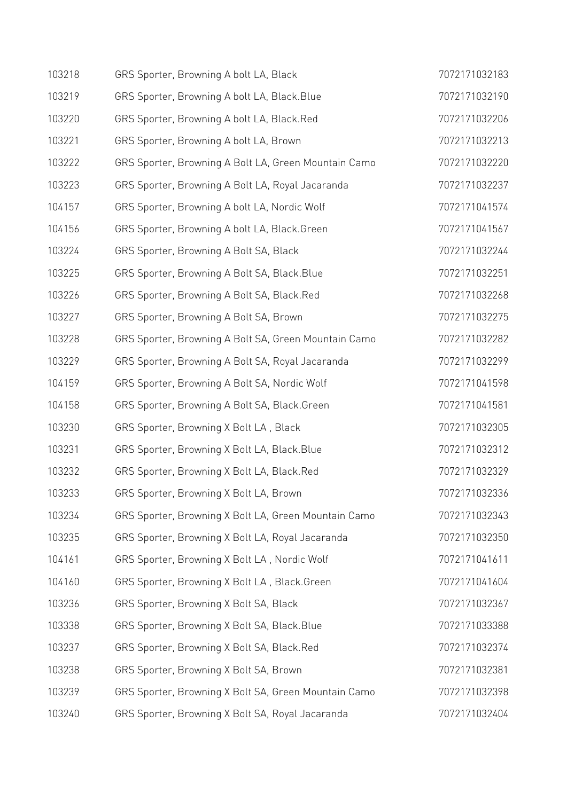| 103218 | GRS Sporter, Browning A bolt LA, Black               | 7072171032183 |
|--------|------------------------------------------------------|---------------|
| 103219 | GRS Sporter, Browning A bolt LA, Black. Blue         | 7072171032190 |
| 103220 | GRS Sporter, Browning A bolt LA, Black.Red           | 7072171032206 |
| 103221 | GRS Sporter, Browning A bolt LA, Brown               | 7072171032213 |
| 103222 | GRS Sporter, Browning A Bolt LA, Green Mountain Camo | 7072171032220 |
| 103223 | GRS Sporter, Browning A Bolt LA, Royal Jacaranda     | 7072171032237 |
| 104157 | GRS Sporter, Browning A bolt LA, Nordic Wolf         | 7072171041574 |
| 104156 | GRS Sporter, Browning A bolt LA, Black.Green         | 7072171041567 |
| 103224 | GRS Sporter, Browning A Bolt SA, Black               | 7072171032244 |
| 103225 | GRS Sporter, Browning A Bolt SA, Black. Blue         | 7072171032251 |
| 103226 | GRS Sporter, Browning A Bolt SA, Black.Red           | 7072171032268 |
| 103227 | GRS Sporter, Browning A Bolt SA, Brown               | 7072171032275 |
| 103228 | GRS Sporter, Browning A Bolt SA, Green Mountain Camo | 7072171032282 |
| 103229 | GRS Sporter, Browning A Bolt SA, Royal Jacaranda     | 7072171032299 |
| 104159 | GRS Sporter, Browning A Bolt SA, Nordic Wolf         | 7072171041598 |
| 104158 | GRS Sporter, Browning A Bolt SA, Black.Green         | 7072171041581 |
| 103230 | GRS Sporter, Browning X Bolt LA, Black               | 7072171032305 |
| 103231 | GRS Sporter, Browning X Bolt LA, Black. Blue         | 7072171032312 |
| 103232 | GRS Sporter, Browning X Bolt LA, Black.Red           | 7072171032329 |
| 103233 | GRS Sporter, Browning X Bolt LA, Brown               | 7072171032336 |
| 103234 | GRS Sporter, Browning X Bolt LA, Green Mountain Camo | 7072171032343 |
| 103235 | GRS Sporter, Browning X Bolt LA, Royal Jacaranda     | 7072171032350 |
| 104161 | GRS Sporter, Browning X Bolt LA, Nordic Wolf         | 7072171041611 |
| 104160 | GRS Sporter, Browning X Bolt LA, Black.Green         | 7072171041604 |
| 103236 | GRS Sporter, Browning X Bolt SA, Black               | 7072171032367 |
| 103338 | GRS Sporter, Browning X Bolt SA, Black. Blue         | 7072171033388 |
| 103237 | GRS Sporter, Browning X Bolt SA, Black.Red           | 7072171032374 |
| 103238 | GRS Sporter, Browning X Bolt SA, Brown               | 7072171032381 |
| 103239 | GRS Sporter, Browning X Bolt SA, Green Mountain Camo | 7072171032398 |
| 103240 | GRS Sporter, Browning X Bolt SA, Royal Jacaranda     | 7072171032404 |
|        |                                                      |               |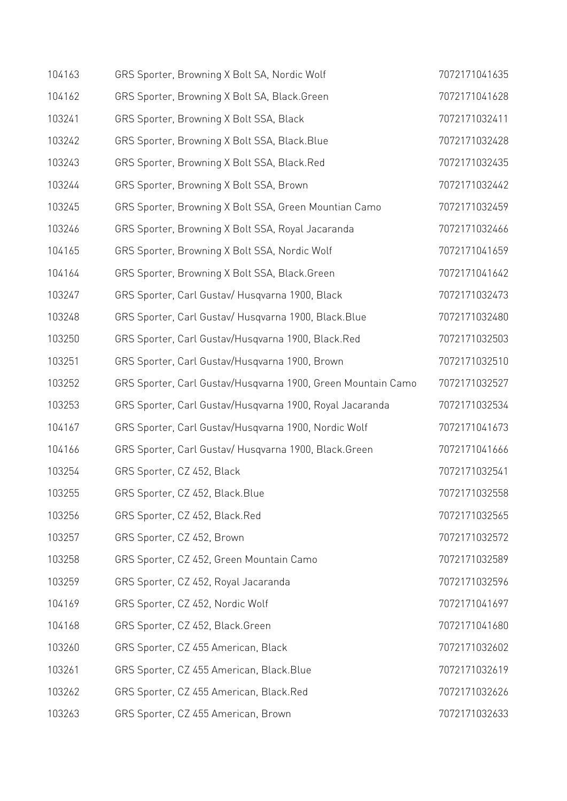| 104163 | GRS Sporter, Browning X Bolt SA, Nordic Wolf                 | 7072171041635 |
|--------|--------------------------------------------------------------|---------------|
| 104162 | GRS Sporter, Browning X Bolt SA, Black.Green                 | 7072171041628 |
| 103241 | GRS Sporter, Browning X Bolt SSA, Black                      | 7072171032411 |
| 103242 | GRS Sporter, Browning X Bolt SSA, Black. Blue                | 7072171032428 |
| 103243 | GRS Sporter, Browning X Bolt SSA, Black.Red                  | 7072171032435 |
| 103244 | GRS Sporter, Browning X Bolt SSA, Brown                      | 7072171032442 |
| 103245 | GRS Sporter, Browning X Bolt SSA, Green Mountian Camo        | 7072171032459 |
| 103246 | GRS Sporter, Browning X Bolt SSA, Royal Jacaranda            | 7072171032466 |
| 104165 | GRS Sporter, Browning X Bolt SSA, Nordic Wolf                | 7072171041659 |
| 104164 | GRS Sporter, Browning X Bolt SSA, Black.Green                | 7072171041642 |
| 103247 | GRS Sporter, Carl Gustav/ Husqvarna 1900, Black              | 7072171032473 |
| 103248 | GRS Sporter, Carl Gustav/ Husqvarna 1900, Black.Blue         | 7072171032480 |
| 103250 | GRS Sporter, Carl Gustav/Husqvarna 1900, Black.Red           | 7072171032503 |
| 103251 | GRS Sporter, Carl Gustav/Husqvarna 1900, Brown               | 7072171032510 |
| 103252 | GRS Sporter, Carl Gustav/Husqvarna 1900, Green Mountain Camo | 7072171032527 |
| 103253 | GRS Sporter, Carl Gustav/Husqvarna 1900, Royal Jacaranda     | 7072171032534 |
| 104167 | GRS Sporter, Carl Gustav/Husqvarna 1900, Nordic Wolf         | 7072171041673 |
| 104166 | GRS Sporter, Carl Gustav/ Husqvarna 1900, Black.Green        | 7072171041666 |
| 103254 | GRS Sporter, CZ 452, Black                                   | 7072171032541 |
| 103255 | GRS Sporter, CZ 452, Black.Blue                              | 7072171032558 |
| 103256 | GRS Sporter, CZ 452, Black.Red                               | 7072171032565 |
| 103257 | GRS Sporter, CZ 452, Brown                                   | 7072171032572 |
| 103258 | GRS Sporter, CZ 452, Green Mountain Camo                     | 7072171032589 |
| 103259 | GRS Sporter, CZ 452, Royal Jacaranda                         | 7072171032596 |
| 104169 | GRS Sporter, CZ 452, Nordic Wolf                             | 7072171041697 |
| 104168 | GRS Sporter, CZ 452, Black.Green                             | 7072171041680 |
| 103260 | GRS Sporter, CZ 455 American, Black                          | 7072171032602 |
| 103261 | GRS Sporter, CZ 455 American, Black. Blue                    | 7072171032619 |
| 103262 | GRS Sporter, CZ 455 American, Black.Red                      | 7072171032626 |
| 103263 | GRS Sporter, CZ 455 American, Brown                          | 7072171032633 |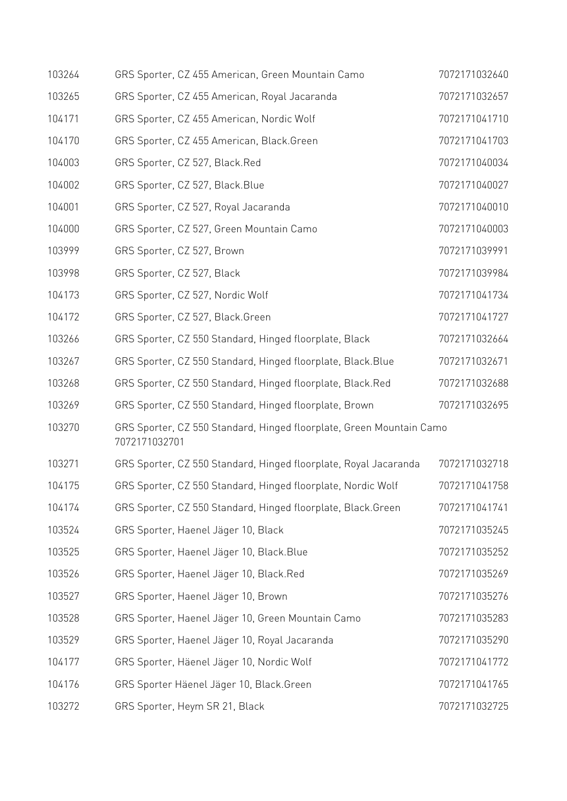| 103264 | GRS Sporter, CZ 455 American, Green Mountain Camo                                     | 7072171032640 |
|--------|---------------------------------------------------------------------------------------|---------------|
| 103265 | GRS Sporter, CZ 455 American, Royal Jacaranda                                         | 7072171032657 |
| 104171 | GRS Sporter, CZ 455 American, Nordic Wolf                                             | 7072171041710 |
| 104170 | GRS Sporter, CZ 455 American, Black.Green                                             | 7072171041703 |
| 104003 | GRS Sporter, CZ 527, Black.Red                                                        | 7072171040034 |
| 104002 | GRS Sporter, CZ 527, Black.Blue                                                       | 7072171040027 |
| 104001 | GRS Sporter, CZ 527, Royal Jacaranda                                                  | 7072171040010 |
| 104000 | GRS Sporter, CZ 527, Green Mountain Camo                                              | 7072171040003 |
| 103999 | GRS Sporter, CZ 527, Brown                                                            | 7072171039991 |
| 103998 | GRS Sporter, CZ 527, Black                                                            | 7072171039984 |
| 104173 | GRS Sporter, CZ 527, Nordic Wolf                                                      | 7072171041734 |
| 104172 | GRS Sporter, CZ 527, Black.Green                                                      | 7072171041727 |
| 103266 | GRS Sporter, CZ 550 Standard, Hinged floorplate, Black                                | 7072171032664 |
| 103267 | GRS Sporter, CZ 550 Standard, Hinged floorplate, Black.Blue                           | 7072171032671 |
| 103268 | GRS Sporter, CZ 550 Standard, Hinged floorplate, Black.Red                            | 7072171032688 |
| 103269 | GRS Sporter, CZ 550 Standard, Hinged floorplate, Brown                                | 7072171032695 |
| 103270 | GRS Sporter, CZ 550 Standard, Hinged floorplate, Green Mountain Camo<br>7072171032701 |               |
| 103271 | GRS Sporter, CZ 550 Standard, Hinged floorplate, Royal Jacaranda                      | 7072171032718 |
| 104175 | GRS Sporter, CZ 550 Standard, Hinged floorplate, Nordic Wolf                          | 7072171041758 |
| 104174 | GRS Sporter, CZ 550 Standard, Hinged floorplate, Black.Green                          | 7072171041741 |
| 103524 | GRS Sporter, Haenel Jäger 10, Black                                                   | 7072171035245 |
| 103525 | GRS Sporter, Haenel Jäger 10, Black. Blue                                             | 7072171035252 |
| 103526 | GRS Sporter, Haenel Jäger 10, Black.Red                                               | 7072171035269 |
| 103527 | GRS Sporter, Haenel Jäger 10, Brown                                                   | 7072171035276 |
| 103528 | GRS Sporter, Haenel Jäger 10, Green Mountain Camo                                     | 7072171035283 |
| 103529 | GRS Sporter, Haenel Jäger 10, Royal Jacaranda                                         | 7072171035290 |
| 104177 | GRS Sporter, Häenel Jäger 10, Nordic Wolf                                             | 7072171041772 |
| 104176 | GRS Sporter Häenel Jäger 10, Black.Green                                              | 7072171041765 |
| 103272 | GRS Sporter, Heym SR 21, Black                                                        | 7072171032725 |
|        |                                                                                       |               |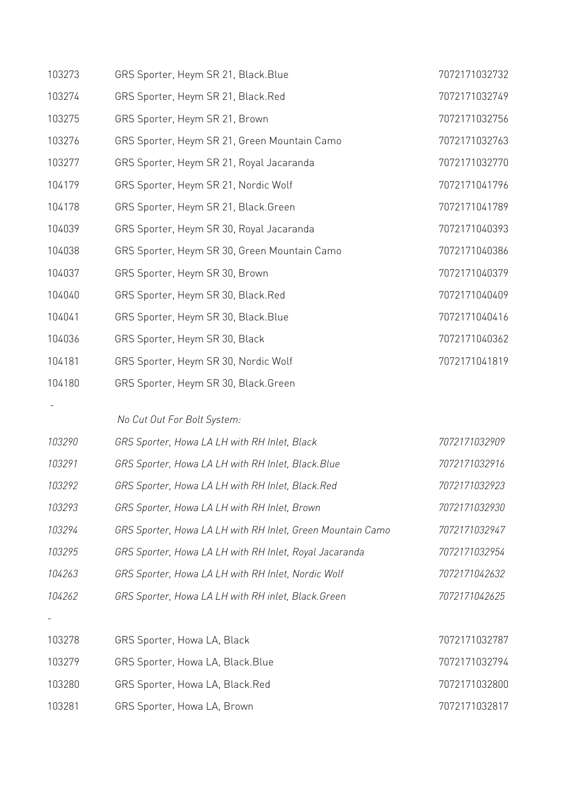| 103273 | GRS Sporter, Heym SR 21, Black. Blue                       | 7072171032732 |
|--------|------------------------------------------------------------|---------------|
| 103274 | GRS Sporter, Heym SR 21, Black.Red                         | 7072171032749 |
| 103275 | GRS Sporter, Heym SR 21, Brown                             | 7072171032756 |
| 103276 | GRS Sporter, Heym SR 21, Green Mountain Camo               | 7072171032763 |
| 103277 | GRS Sporter, Heym SR 21, Royal Jacaranda                   | 7072171032770 |
| 104179 | GRS Sporter, Heym SR 21, Nordic Wolf                       | 7072171041796 |
| 104178 | GRS Sporter, Heym SR 21, Black.Green                       | 7072171041789 |
| 104039 | GRS Sporter, Heym SR 30, Royal Jacaranda                   | 7072171040393 |
| 104038 | GRS Sporter, Heym SR 30, Green Mountain Camo               | 7072171040386 |
| 104037 | GRS Sporter, Heym SR 30, Brown                             | 7072171040379 |
| 104040 | GRS Sporter, Heym SR 30, Black.Red                         | 7072171040409 |
| 104041 | GRS Sporter, Heym SR 30, Black. Blue                       | 7072171040416 |
| 104036 | GRS Sporter, Heym SR 30, Black                             | 7072171040362 |
| 104181 | GRS Sporter, Heym SR 30, Nordic Wolf                       | 7072171041819 |
| 104180 | GRS Sporter, Heym SR 30, Black.Green                       |               |
|        |                                                            |               |
| 103290 | No Cut Out For Bolt System:                                | 7072171032909 |
|        | GRS Sporter, Howa LA LH with RH Inlet, Black               |               |
| 103291 | GRS Sporter, Howa LA LH with RH Inlet, Black.Blue          | 7072171032916 |
| 103292 | GRS Sporter, Howa LA LH with RH Inlet, Black.Red           | 7072171032923 |
| 103293 | GRS Sporter, Howa LA LH with RH Inlet, Brown               | 7072171032930 |
| 103294 | GRS Sporter, Howa LA LH with RH Inlet, Green Mountain Camo | 7072171032947 |
| 103295 | GRS Sporter, Howa LA LH with RH Inlet, Royal Jacaranda     | 7072171032954 |
| 104263 | GRS Sporter, Howa LA LH with RH Inlet, Nordic Wolf         | 7072171042632 |
| 104262 | GRS Sporter, Howa LA LH with RH inlet, Black. Green        | 7072171042625 |
|        |                                                            |               |
| 103278 | GRS Sporter, Howa LA, Black                                | 7072171032787 |
| 103279 | GRS Sporter, Howa LA, Black.Blue                           | 7072171032794 |
| 103280 | GRS Sporter, Howa LA, Black.Red                            | 7072171032800 |
| 103281 | GRS Sporter, Howa LA, Brown                                | 7072171032817 |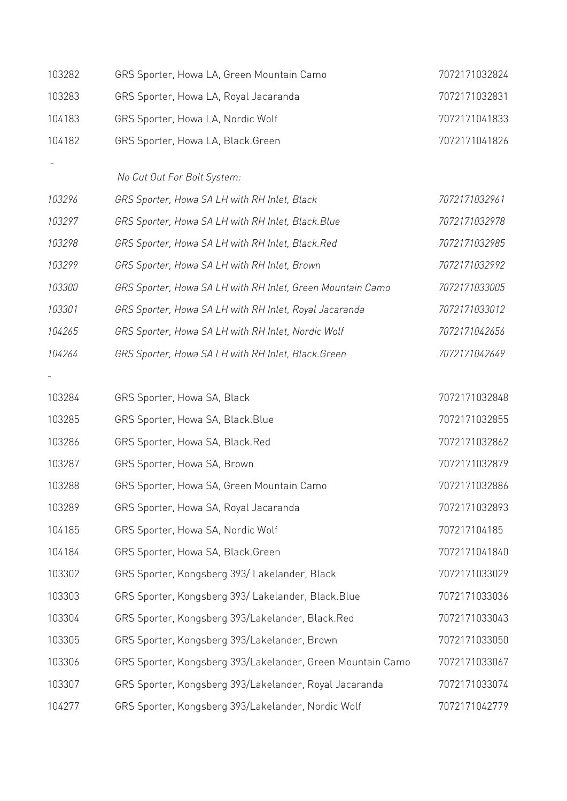| 103282 | GRS Sporter, Howa LA, Green Mountain Camo                  | 7072171032824 |
|--------|------------------------------------------------------------|---------------|
| 103283 | GRS Sporter, Howa LA, Royal Jacaranda                      | 7072171032831 |
| 104183 | GRS Sporter, Howa LA, Nordic Wolf                          | 7072171041833 |
| 104182 | GRS Sporter, Howa LA, Black.Green                          | 7072171041826 |
|        | No Cut Out For Bolt System:                                |               |
| 103296 | GRS Sporter, Howa SA LH with RH Inlet, Black               | 7072171032961 |
| 103297 | GRS Sporter, Howa SA LH with RH Inlet, Black. Blue         | 7072171032978 |
| 103298 | GRS Sporter, Howa SA LH with RH Inlet, Black.Red           | 7072171032985 |
| 103299 | GRS Sporter, Howa SA LH with RH Inlet, Brown               | 7072171032992 |
| 103300 | GRS Sporter, Howa SA LH with RH Inlet, Green Mountain Camo | 7072171033005 |
| 103301 | GRS Sporter, Howa SA LH with RH Inlet, Royal Jacaranda     | 7072171033012 |
| 104265 | GRS Sporter, Howa SA LH with RH Inlet, Nordic Wolf         | 7072171042656 |
| 104264 | GRS Sporter, Howa SA LH with RH Inlet, Black.Green         | 7072171042649 |
|        |                                                            |               |
| 103284 | GRS Sporter, Howa SA, Black                                | 7072171032848 |
| 103285 | GRS Sporter, Howa SA, Black.Blue                           | 7072171032855 |
| 103286 | GRS Sporter, Howa SA, Black.Red                            | 7072171032862 |
| 103287 | GRS Sporter, Howa SA, Brown                                | 7072171032879 |
| 103288 | GRS Sporter, Howa SA, Green Mountain Camo                  | 7072171032886 |
| 103289 | GRS Sporter, Howa SA, Royal Jacaranda                      | 7072171032893 |
| 104185 | GRS Sporter, Howa SA, Nordic Wolf                          | 707217104185  |
| 104184 | GRS Sporter, Howa SA, Black.Green                          | 7072171041840 |
| 103302 | GRS Sporter, Kongsberg 393/Lakelander, Black               | 7072171033029 |
| 103303 | GRS Sporter, Kongsberg 393/ Lakelander, Black.Blue         | 7072171033036 |
| 103304 | GRS Sporter, Kongsberg 393/Lakelander, Black.Red           | 7072171033043 |
| 103305 | GRS Sporter, Kongsberg 393/Lakelander, Brown               | 7072171033050 |
| 103306 | GRS Sporter, Kongsberg 393/Lakelander, Green Mountain Camo | 7072171033067 |
| 103307 | GRS Sporter, Kongsberg 393/Lakelander, Royal Jacaranda     | 7072171033074 |
| 104277 | GRS Sporter, Kongsberg 393/Lakelander, Nordic Wolf         | 7072171042779 |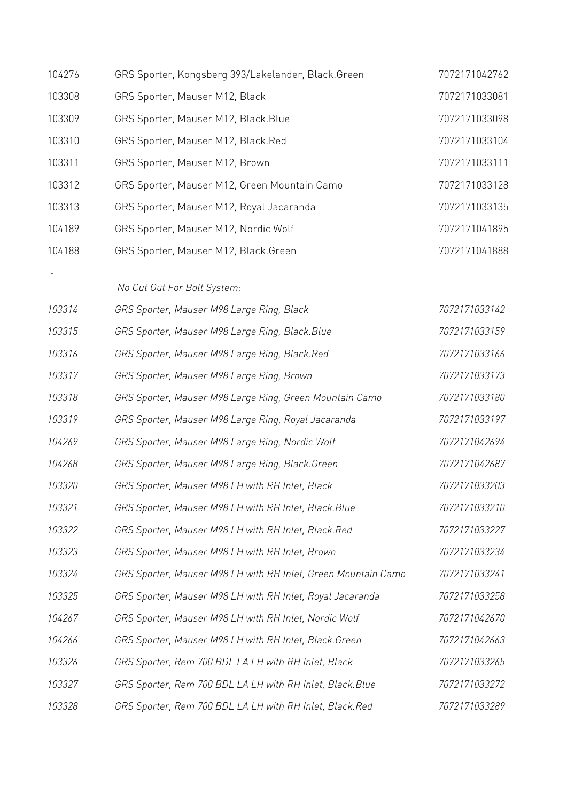| 104276 | GRS Sporter, Kongsberg 393/Lakelander, Black.Green            | 7072171042762 |
|--------|---------------------------------------------------------------|---------------|
| 103308 | GRS Sporter, Mauser M12, Black                                | 7072171033081 |
| 103309 | GRS Sporter, Mauser M12, Black. Blue                          | 7072171033098 |
| 103310 | GRS Sporter, Mauser M12, Black.Red                            | 7072171033104 |
| 103311 | GRS Sporter, Mauser M12, Brown                                | 7072171033111 |
| 103312 | GRS Sporter, Mauser M12, Green Mountain Camo                  | 7072171033128 |
| 103313 | GRS Sporter, Mauser M12, Royal Jacaranda                      | 7072171033135 |
| 104189 | GRS Sporter, Mauser M12, Nordic Wolf                          | 7072171041895 |
| 104188 | GRS Sporter, Mauser M12, Black.Green                          | 7072171041888 |
|        | No Cut Out For Bolt System:                                   |               |
| 103314 | GRS Sporter, Mauser M98 Large Ring, Black                     | 7072171033142 |
| 103315 | GRS Sporter, Mauser M98 Large Ring, Black.Blue                | 7072171033159 |
| 103316 | GRS Sporter, Mauser M98 Large Ring, Black.Red                 | 7072171033166 |
| 103317 | GRS Sporter, Mauser M98 Large Ring, Brown                     | 7072171033173 |
| 103318 | GRS Sporter, Mauser M98 Large Ring, Green Mountain Camo       | 7072171033180 |
| 103319 | GRS Sporter, Mauser M98 Large Ring, Royal Jacaranda           | 7072171033197 |
| 104269 | GRS Sporter, Mauser M98 Large Ring, Nordic Wolf               | 7072171042694 |
| 104268 | GRS Sporter, Mauser M98 Large Ring, Black. Green              | 7072171042687 |
| 103320 | GRS Sporter, Mauser M98 LH with RH Inlet, Black               | 7072171033203 |
| 103321 | GRS Sporter, Mauser M98 LH with RH Inlet, Black.Blue          | 7072171033210 |
| 103322 | GRS Sporter, Mauser M98 LH with RH Inlet, Black.Red           | 7072171033227 |
| 103323 | GRS Sporter, Mauser M98 LH with RH Inlet, Brown               | 7072171033234 |
| 103324 | GRS Sporter, Mauser M98 LH with RH Inlet, Green Mountain Camo | 7072171033241 |
| 103325 | GRS Sporter, Mauser M98 LH with RH Inlet, Royal Jacaranda     | 7072171033258 |
| 104267 | GRS Sporter, Mauser M98 LH with RH Inlet, Nordic Wolf         | 7072171042670 |
| 104266 | GRS Sporter, Mauser M98 LH with RH Inlet, Black.Green         | 7072171042663 |
| 103326 | GRS Sporter, Rem 700 BDL LA LH with RH Inlet, Black           | 7072171033265 |
| 103327 | GRS Sporter, Rem 700 BDL LA LH with RH Inlet, Black.Blue      | 7072171033272 |
| 103328 | GRS Sporter, Rem 700 BDL LA LH with RH Inlet, Black.Red       | 7072171033289 |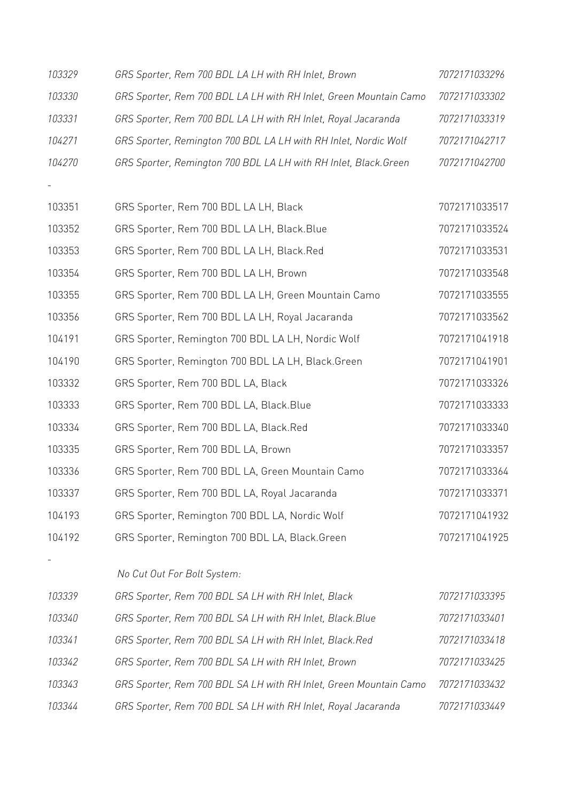| 103329 | GRS Sporter, Rem 700 BDL LA LH with RH Inlet, Brown               | 7072171033296 |
|--------|-------------------------------------------------------------------|---------------|
| 103330 | GRS Sporter, Rem 700 BDL LA LH with RH Inlet, Green Mountain Camo | 7072171033302 |
| 103331 | GRS Sporter, Rem 700 BDL LA LH with RH Inlet, Royal Jacaranda     | 7072171033319 |
| 104271 | GRS Sporter, Remington 700 BDL LA LH with RH Inlet, Nordic Wolf   | 7072171042717 |
| 104270 | GRS Sporter, Remington 700 BDL LA LH with RH Inlet, Black. Green  | 7072171042700 |
|        |                                                                   |               |
| 103351 | GRS Sporter, Rem 700 BDL LA LH, Black                             | 7072171033517 |
| 103352 | GRS Sporter, Rem 700 BDL LA LH, Black.Blue                        | 7072171033524 |
| 103353 | GRS Sporter, Rem 700 BDL LA LH, Black.Red                         | 7072171033531 |
| 103354 | GRS Sporter, Rem 700 BDL LA LH, Brown                             | 7072171033548 |
| 103355 | GRS Sporter, Rem 700 BDL LA LH, Green Mountain Camo               | 7072171033555 |
| 103356 | GRS Sporter, Rem 700 BDL LA LH, Royal Jacaranda                   | 7072171033562 |
| 104191 | GRS Sporter, Remington 700 BDL LA LH, Nordic Wolf                 | 7072171041918 |
| 104190 | GRS Sporter, Remington 700 BDL LA LH, Black.Green                 | 7072171041901 |
| 103332 | GRS Sporter, Rem 700 BDL LA, Black                                | 7072171033326 |
| 103333 | GRS Sporter, Rem 700 BDL LA, Black. Blue                          | 7072171033333 |
| 103334 | GRS Sporter, Rem 700 BDL LA, Black.Red                            | 7072171033340 |
| 103335 | GRS Sporter, Rem 700 BDL LA, Brown                                | 7072171033357 |
| 103336 | GRS Sporter, Rem 700 BDL LA, Green Mountain Camo                  | 7072171033364 |
| 103337 | GRS Sporter, Rem 700 BDL LA, Royal Jacaranda                      | 7072171033371 |
| 104193 | GRS Sporter, Remington 700 BDL LA, Nordic Wolf                    | 7072171041932 |
| 104192 | GRS Sporter, Remington 700 BDL LA, Black.Green                    | 7072171041925 |
|        |                                                                   |               |
|        | No Cut Out For Bolt System:                                       |               |
| 103339 | GRS Sporter, Rem 700 BDL SA LH with RH Inlet, Black               | 7072171033395 |
| 103340 | GRS Sporter, Rem 700 BDL SA LH with RH Inlet, Black. Blue         | 7072171033401 |
| 103341 | GRS Sporter, Rem 700 BDL SA LH with RH Inlet, Black.Red           | 7072171033418 |
| 103342 | GRS Sporter, Rem 700 BDL SA LH with RH Inlet, Brown               | 7072171033425 |
| 103343 | GRS Sporter, Rem 700 BDL SA LH with RH Inlet, Green Mountain Camo | 7072171033432 |
| 103344 | GRS Sporter, Rem 700 BDL SA LH with RH Inlet, Royal Jacaranda     | 7072171033449 |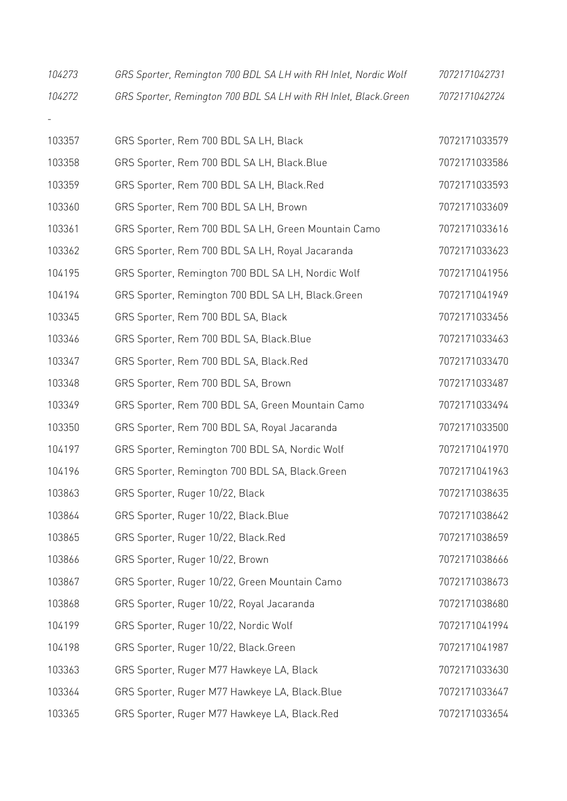| 104273 | GRS Sporter, Remington 700 BDL SA LH with RH Inlet, Nordic Wolf  | 7072171042731 |
|--------|------------------------------------------------------------------|---------------|
| 104272 | GRS Sporter, Remington 700 BDL SA LH with RH Inlet, Black. Green | 7072171042724 |
|        |                                                                  |               |
| 103357 | GRS Sporter, Rem 700 BDL SA LH, Black                            | 7072171033579 |
| 103358 | GRS Sporter, Rem 700 BDL SA LH, Black.Blue                       | 7072171033586 |
| 103359 | GRS Sporter, Rem 700 BDL SA LH, Black.Red                        | 7072171033593 |
| 103360 | GRS Sporter, Rem 700 BDL SA LH, Brown                            | 7072171033609 |
| 103361 | GRS Sporter, Rem 700 BDL SA LH, Green Mountain Camo              | 7072171033616 |
| 103362 | GRS Sporter, Rem 700 BDL SA LH, Royal Jacaranda                  | 7072171033623 |
| 104195 | GRS Sporter, Remington 700 BDL SA LH, Nordic Wolf                | 7072171041956 |
| 104194 | GRS Sporter, Remington 700 BDL SA LH, Black.Green                | 7072171041949 |
| 103345 | GRS Sporter, Rem 700 BDL SA, Black                               | 7072171033456 |
| 103346 | GRS Sporter, Rem 700 BDL SA, Black. Blue                         | 7072171033463 |
| 103347 | GRS Sporter, Rem 700 BDL SA, Black.Red                           | 7072171033470 |
| 103348 | GRS Sporter, Rem 700 BDL SA, Brown                               | 7072171033487 |
| 103349 | GRS Sporter, Rem 700 BDL SA, Green Mountain Camo                 | 7072171033494 |
| 103350 | GRS Sporter, Rem 700 BDL SA, Royal Jacaranda                     | 7072171033500 |
| 104197 | GRS Sporter, Remington 700 BDL SA, Nordic Wolf                   | 7072171041970 |
| 104196 | GRS Sporter, Remington 700 BDL SA, Black.Green                   | 7072171041963 |
| 103863 | GRS Sporter, Ruger 10/22, Black                                  | 7072171038635 |
| 103864 | GRS Sporter, Ruger 10/22, Black.Blue                             | 7072171038642 |
| 103865 | GRS Sporter, Ruger 10/22, Black.Red                              | 7072171038659 |
| 103866 | GRS Sporter, Ruger 10/22, Brown                                  | 7072171038666 |
| 103867 | GRS Sporter, Ruger 10/22, Green Mountain Camo                    | 7072171038673 |
| 103868 | GRS Sporter, Ruger 10/22, Royal Jacaranda                        | 7072171038680 |
| 104199 | GRS Sporter, Ruger 10/22, Nordic Wolf                            | 7072171041994 |
| 104198 | GRS Sporter, Ruger 10/22, Black.Green                            | 7072171041987 |
| 103363 | GRS Sporter, Ruger M77 Hawkeye LA, Black                         | 7072171033630 |
| 103364 | GRS Sporter, Ruger M77 Hawkeye LA, Black.Blue                    | 7072171033647 |
| 103365 | GRS Sporter, Ruger M77 Hawkeye LA, Black.Red                     | 7072171033654 |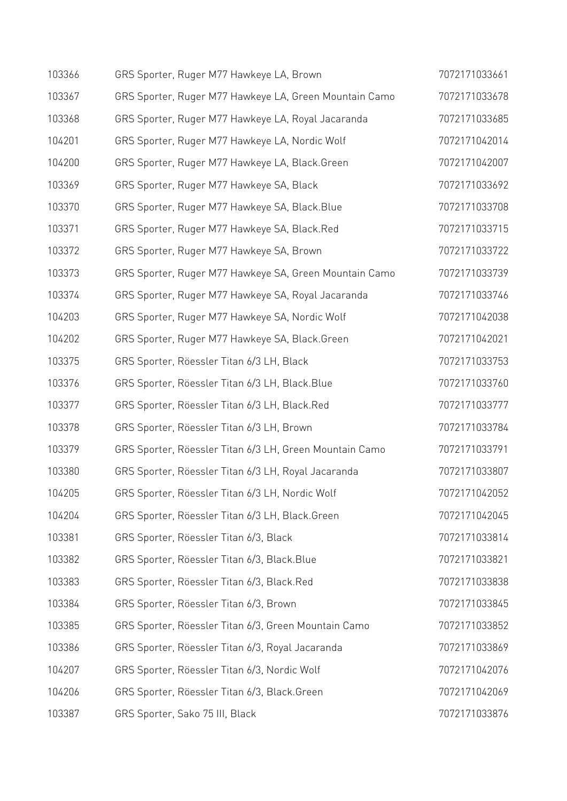| 103366 | GRS Sporter, Ruger M77 Hawkeye LA, Brown                | 7072171033661 |
|--------|---------------------------------------------------------|---------------|
| 103367 | GRS Sporter, Ruger M77 Hawkeye LA, Green Mountain Camo  | 7072171033678 |
| 103368 | GRS Sporter, Ruger M77 Hawkeye LA, Royal Jacaranda      | 7072171033685 |
| 104201 | GRS Sporter, Ruger M77 Hawkeye LA, Nordic Wolf          | 7072171042014 |
| 104200 | GRS Sporter, Ruger M77 Hawkeye LA, Black.Green          | 7072171042007 |
| 103369 | GRS Sporter, Ruger M77 Hawkeye SA, Black                | 7072171033692 |
| 103370 | GRS Sporter, Ruger M77 Hawkeye SA, Black.Blue           | 7072171033708 |
| 103371 | GRS Sporter, Ruger M77 Hawkeye SA, Black.Red            | 7072171033715 |
| 103372 | GRS Sporter, Ruger M77 Hawkeye SA, Brown                | 7072171033722 |
| 103373 | GRS Sporter, Ruger M77 Hawkeye SA, Green Mountain Camo  | 7072171033739 |
| 103374 | GRS Sporter, Ruger M77 Hawkeye SA, Royal Jacaranda      | 7072171033746 |
| 104203 | GRS Sporter, Ruger M77 Hawkeye SA, Nordic Wolf          | 7072171042038 |
| 104202 | GRS Sporter, Ruger M77 Hawkeye SA, Black.Green          | 7072171042021 |
| 103375 | GRS Sporter, Röessler Titan 6/3 LH, Black               | 7072171033753 |
| 103376 | GRS Sporter, Röessler Titan 6/3 LH, Black.Blue          | 7072171033760 |
| 103377 | GRS Sporter, Röessler Titan 6/3 LH, Black.Red           | 7072171033777 |
| 103378 | GRS Sporter, Röessler Titan 6/3 LH, Brown               | 7072171033784 |
| 103379 | GRS Sporter, Röessler Titan 6/3 LH, Green Mountain Camo | 7072171033791 |
| 103380 | GRS Sporter, Röessler Titan 6/3 LH, Royal Jacaranda     | 7072171033807 |
| 104205 | GRS Sporter, Röessler Titan 6/3 LH, Nordic Wolf         | 7072171042052 |
| 104204 | GRS Sporter, Röessler Titan 6/3 LH, Black.Green         | 7072171042045 |
| 103381 | GRS Sporter, Röessler Titan 6/3, Black                  | 7072171033814 |
| 103382 | GRS Sporter, Röessler Titan 6/3, Black.Blue             | 7072171033821 |
| 103383 | GRS Sporter, Röessler Titan 6/3, Black.Red              | 7072171033838 |
| 103384 | GRS Sporter, Röessler Titan 6/3, Brown                  | 7072171033845 |
| 103385 | GRS Sporter, Röessler Titan 6/3, Green Mountain Camo    | 7072171033852 |
| 103386 | GRS Sporter, Röessler Titan 6/3, Royal Jacaranda        | 7072171033869 |
| 104207 | GRS Sporter, Röessler Titan 6/3, Nordic Wolf            | 7072171042076 |
| 104206 | GRS Sporter, Röessler Titan 6/3, Black.Green            | 7072171042069 |
| 103387 | GRS Sporter, Sako 75 III, Black                         | 7072171033876 |
|        |                                                         |               |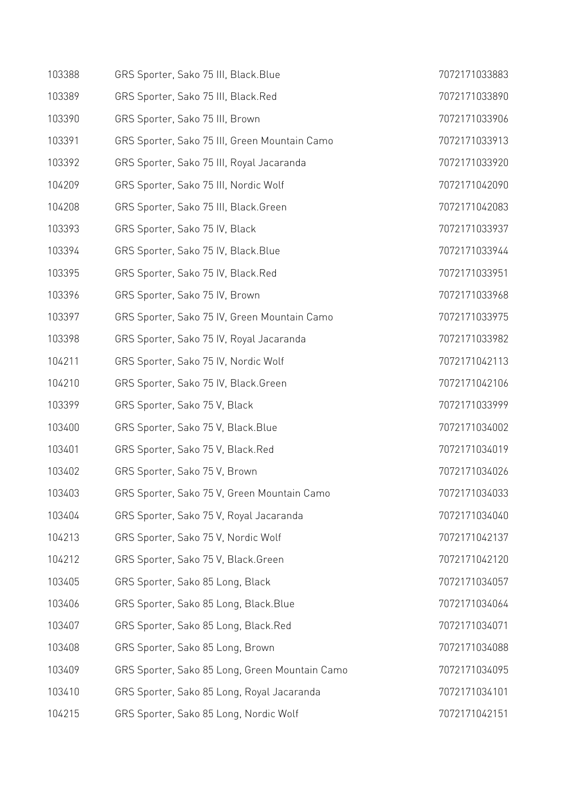| 103388 | GRS Sporter, Sako 75 III, Black.Blue           | 7072171033883 |
|--------|------------------------------------------------|---------------|
| 103389 | GRS Sporter, Sako 75 III, Black.Red            | 7072171033890 |
| 103390 | GRS Sporter, Sako 75 III, Brown                | 7072171033906 |
| 103391 | GRS Sporter, Sako 75 III, Green Mountain Camo  | 7072171033913 |
| 103392 | GRS Sporter, Sako 75 III, Royal Jacaranda      | 7072171033920 |
| 104209 | GRS Sporter, Sako 75 III, Nordic Wolf          | 7072171042090 |
| 104208 | GRS Sporter, Sako 75 III, Black.Green          | 7072171042083 |
| 103393 | GRS Sporter, Sako 75 IV, Black                 | 7072171033937 |
| 103394 | GRS Sporter, Sako 75 IV, Black. Blue           | 7072171033944 |
| 103395 | GRS Sporter, Sako 75 IV, Black.Red             | 7072171033951 |
| 103396 | GRS Sporter, Sako 75 IV, Brown                 | 7072171033968 |
| 103397 | GRS Sporter, Sako 75 IV, Green Mountain Camo   | 7072171033975 |
| 103398 | GRS Sporter, Sako 75 IV, Royal Jacaranda       | 7072171033982 |
| 104211 | GRS Sporter, Sako 75 IV, Nordic Wolf           | 7072171042113 |
| 104210 | GRS Sporter, Sako 75 IV, Black.Green           | 7072171042106 |
| 103399 | GRS Sporter, Sako 75 V, Black                  | 7072171033999 |
| 103400 | GRS Sporter, Sako 75 V, Black. Blue            | 7072171034002 |
| 103401 | GRS Sporter, Sako 75 V, Black.Red              | 7072171034019 |
| 103402 | GRS Sporter, Sako 75 V, Brown                  | 7072171034026 |
| 103403 | GRS Sporter, Sako 75 V, Green Mountain Camo    | 7072171034033 |
| 103404 | GRS Sporter, Sako 75 V, Royal Jacaranda        | 7072171034040 |
| 104213 | GRS Sporter, Sako 75 V, Nordic Wolf            | 7072171042137 |
| 104212 | GRS Sporter, Sako 75 V, Black.Green            | 7072171042120 |
| 103405 | GRS Sporter, Sako 85 Long, Black               | 7072171034057 |
| 103406 | GRS Sporter, Sako 85 Long, Black.Blue          | 7072171034064 |
| 103407 | GRS Sporter, Sako 85 Long, Black.Red           | 7072171034071 |
| 103408 | GRS Sporter, Sako 85 Long, Brown               | 7072171034088 |
| 103409 | GRS Sporter, Sako 85 Long, Green Mountain Camo | 7072171034095 |
| 103410 | GRS Sporter, Sako 85 Long, Royal Jacaranda     | 7072171034101 |
| 104215 | GRS Sporter, Sako 85 Long, Nordic Wolf         | 7072171042151 |
|        |                                                |               |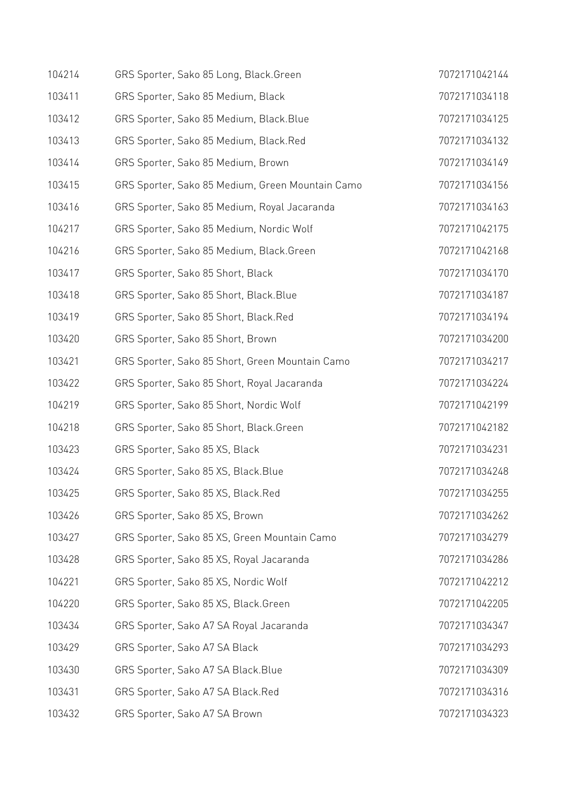| 104214 | GRS Sporter, Sako 85 Long, Black.Green           | 7072171042144 |
|--------|--------------------------------------------------|---------------|
| 103411 | GRS Sporter, Sako 85 Medium, Black               | 7072171034118 |
| 103412 | GRS Sporter, Sako 85 Medium, Black. Blue         | 7072171034125 |
| 103413 | GRS Sporter, Sako 85 Medium, Black.Red           | 7072171034132 |
| 103414 | GRS Sporter, Sako 85 Medium, Brown               | 7072171034149 |
| 103415 | GRS Sporter, Sako 85 Medium, Green Mountain Camo | 7072171034156 |
| 103416 | GRS Sporter, Sako 85 Medium, Royal Jacaranda     | 7072171034163 |
| 104217 | GRS Sporter, Sako 85 Medium, Nordic Wolf         | 7072171042175 |
| 104216 | GRS Sporter, Sako 85 Medium, Black.Green         | 7072171042168 |
| 103417 | GRS Sporter, Sako 85 Short, Black                | 7072171034170 |
| 103418 | GRS Sporter, Sako 85 Short, Black. Blue          | 7072171034187 |
| 103419 | GRS Sporter, Sako 85 Short, Black.Red            | 7072171034194 |
| 103420 | GRS Sporter, Sako 85 Short, Brown                | 7072171034200 |
| 103421 | GRS Sporter, Sako 85 Short, Green Mountain Camo  | 7072171034217 |
| 103422 | GRS Sporter, Sako 85 Short, Royal Jacaranda      | 7072171034224 |
| 104219 | GRS Sporter, Sako 85 Short, Nordic Wolf          | 7072171042199 |
| 104218 | GRS Sporter, Sako 85 Short, Black.Green          | 7072171042182 |
| 103423 | GRS Sporter, Sako 85 XS, Black                   | 7072171034231 |
| 103424 | GRS Sporter, Sako 85 XS, Black.Blue              | 7072171034248 |
| 103425 | GRS Sporter, Sako 85 XS, Black.Red               | 7072171034255 |
| 103426 | GRS Sporter, Sako 85 XS, Brown                   | 7072171034262 |
| 103427 | GRS Sporter, Sako 85 XS, Green Mountain Camo     | 7072171034279 |
| 103428 | GRS Sporter, Sako 85 XS, Royal Jacaranda         | 7072171034286 |
| 104221 | GRS Sporter, Sako 85 XS, Nordic Wolf             | 7072171042212 |
| 104220 | GRS Sporter, Sako 85 XS, Black.Green             | 7072171042205 |
| 103434 | GRS Sporter, Sako A7 SA Royal Jacaranda          | 7072171034347 |
| 103429 | GRS Sporter, Sako A7 SA Black                    | 7072171034293 |
| 103430 | GRS Sporter, Sako A7 SA Black. Blue              | 7072171034309 |
| 103431 | GRS Sporter, Sako A7 SA Black.Red                | 7072171034316 |
| 103432 | GRS Sporter, Sako A7 SA Brown                    | 7072171034323 |
|        |                                                  |               |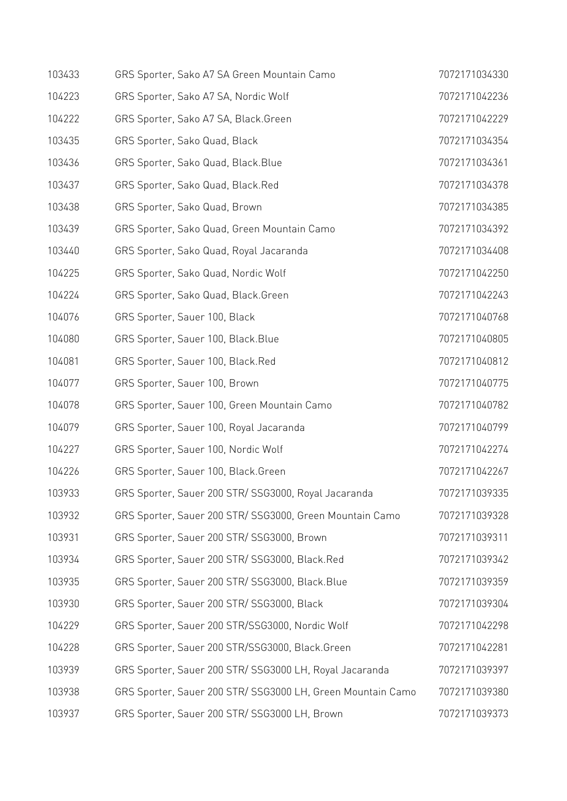| 103433 | GRS Sporter, Sako A7 SA Green Mountain Camo                 | 7072171034330 |
|--------|-------------------------------------------------------------|---------------|
| 104223 | GRS Sporter, Sako A7 SA, Nordic Wolf                        | 7072171042236 |
| 104222 | GRS Sporter, Sako A7 SA, Black.Green                        | 7072171042229 |
| 103435 | GRS Sporter, Sako Quad, Black                               | 7072171034354 |
| 103436 | GRS Sporter, Sako Quad, Black.Blue                          | 7072171034361 |
| 103437 | GRS Sporter, Sako Quad, Black.Red                           | 7072171034378 |
| 103438 | GRS Sporter, Sako Quad, Brown                               | 7072171034385 |
| 103439 | GRS Sporter, Sako Quad, Green Mountain Camo                 | 7072171034392 |
| 103440 | GRS Sporter, Sako Quad, Royal Jacaranda                     | 7072171034408 |
| 104225 | GRS Sporter, Sako Quad, Nordic Wolf                         | 7072171042250 |
| 104224 | GRS Sporter, Sako Quad, Black.Green                         | 7072171042243 |
| 104076 | GRS Sporter, Sauer 100, Black                               | 7072171040768 |
| 104080 | GRS Sporter, Sauer 100, Black. Blue                         | 7072171040805 |
| 104081 | GRS Sporter, Sauer 100, Black.Red                           | 7072171040812 |
| 104077 | GRS Sporter, Sauer 100, Brown                               | 7072171040775 |
| 104078 | GRS Sporter, Sauer 100, Green Mountain Camo                 | 7072171040782 |
| 104079 | GRS Sporter, Sauer 100, Royal Jacaranda                     | 7072171040799 |
| 104227 | GRS Sporter, Sauer 100, Nordic Wolf                         | 7072171042274 |
| 104226 | GRS Sporter, Sauer 100, Black.Green                         | 7072171042267 |
| 103933 | GRS Sporter, Sauer 200 STR/SSG3000, Royal Jacaranda         | 7072171039335 |
| 103932 | GRS Sporter, Sauer 200 STR/ SSG3000, Green Mountain Camo    | 7072171039328 |
| 103931 | GRS Sporter, Sauer 200 STR/ SSG3000, Brown                  | 7072171039311 |
| 103934 | GRS Sporter, Sauer 200 STR/ SSG3000, Black.Red              | 7072171039342 |
| 103935 | GRS Sporter, Sauer 200 STR/ SSG3000, Black.Blue             | 7072171039359 |
| 103930 | GRS Sporter, Sauer 200 STR/ SSG3000, Black                  | 7072171039304 |
| 104229 | GRS Sporter, Sauer 200 STR/SSG3000, Nordic Wolf             | 7072171042298 |
| 104228 | GRS Sporter, Sauer 200 STR/SSG3000, Black.Green             | 7072171042281 |
| 103939 | GRS Sporter, Sauer 200 STR/ SSG3000 LH, Royal Jacaranda     | 7072171039397 |
| 103938 | GRS Sporter, Sauer 200 STR/ SSG3000 LH, Green Mountain Camo | 7072171039380 |
| 103937 | GRS Sporter, Sauer 200 STR/ SSG3000 LH, Brown               | 7072171039373 |
|        |                                                             |               |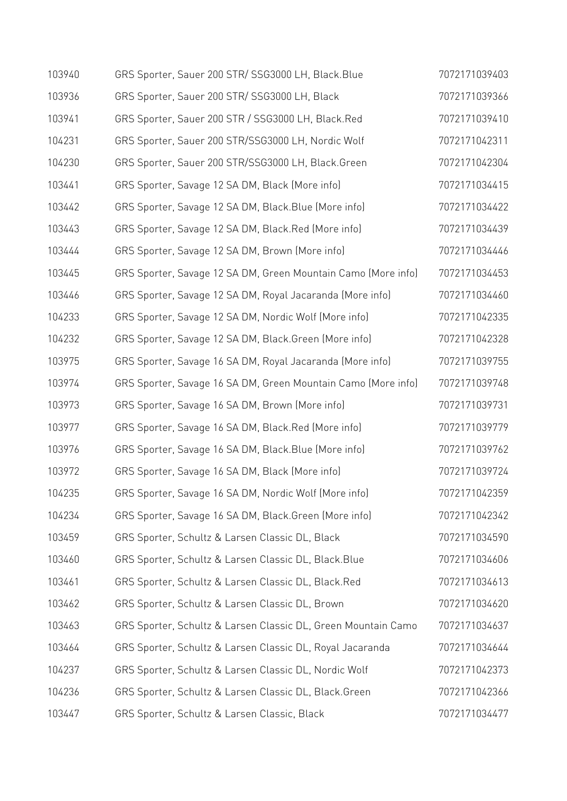| 103940 | GRS Sporter, Sauer 200 STR/ SSG3000 LH, Black.Blue            | 7072171039403 |
|--------|---------------------------------------------------------------|---------------|
| 103936 | GRS Sporter, Sauer 200 STR/ SSG3000 LH, Black                 | 7072171039366 |
| 103941 | GRS Sporter, Sauer 200 STR / SSG3000 LH, Black.Red            | 7072171039410 |
| 104231 | GRS Sporter, Sauer 200 STR/SSG3000 LH, Nordic Wolf            | 7072171042311 |
| 104230 | GRS Sporter, Sauer 200 STR/SSG3000 LH, Black.Green            | 7072171042304 |
| 103441 | GRS Sporter, Savage 12 SA DM, Black (More info)               | 7072171034415 |
| 103442 | GRS Sporter, Savage 12 SA DM, Black.Blue (More info)          | 7072171034422 |
| 103443 | GRS Sporter, Savage 12 SA DM, Black.Red (More info)           | 7072171034439 |
| 103444 | GRS Sporter, Savage 12 SA DM, Brown (More info)               | 7072171034446 |
| 103445 | GRS Sporter, Savage 12 SA DM, Green Mountain Camo (More info) | 7072171034453 |
| 103446 | GRS Sporter, Savage 12 SA DM, Royal Jacaranda (More info)     | 7072171034460 |
| 104233 | GRS Sporter, Savage 12 SA DM, Nordic Wolf (More info)         | 7072171042335 |
| 104232 | GRS Sporter, Savage 12 SA DM, Black.Green (More info)         | 7072171042328 |
| 103975 | GRS Sporter, Savage 16 SA DM, Royal Jacaranda (More info)     | 7072171039755 |
| 103974 | GRS Sporter, Savage 16 SA DM, Green Mountain Camo (More info) | 7072171039748 |
| 103973 | GRS Sporter, Savage 16 SA DM, Brown (More info)               | 7072171039731 |
| 103977 | GRS Sporter, Savage 16 SA DM, Black.Red (More info)           | 7072171039779 |
| 103976 | GRS Sporter, Savage 16 SA DM, Black. Blue (More info)         | 7072171039762 |
| 103972 | GRS Sporter, Savage 16 SA DM, Black (More info)               | 7072171039724 |
| 104235 | GRS Sporter, Savage 16 SA DM, Nordic Wolf (More info)         | 7072171042359 |
| 104234 | GRS Sporter, Savage 16 SA DM, Black.Green (More info)         | 7072171042342 |
| 103459 | GRS Sporter, Schultz & Larsen Classic DL, Black               | 7072171034590 |
| 103460 | GRS Sporter, Schultz & Larsen Classic DL, Black. Blue         | 7072171034606 |
| 103461 | GRS Sporter, Schultz & Larsen Classic DL, Black.Red           | 7072171034613 |
| 103462 | GRS Sporter, Schultz & Larsen Classic DL, Brown               | 7072171034620 |
| 103463 | GRS Sporter, Schultz & Larsen Classic DL, Green Mountain Camo | 7072171034637 |
| 103464 | GRS Sporter, Schultz & Larsen Classic DL, Royal Jacaranda     | 7072171034644 |
| 104237 | GRS Sporter, Schultz & Larsen Classic DL, Nordic Wolf         | 7072171042373 |
| 104236 | GRS Sporter, Schultz & Larsen Classic DL, Black. Green        | 7072171042366 |
| 103447 | GRS Sporter, Schultz & Larsen Classic, Black                  | 7072171034477 |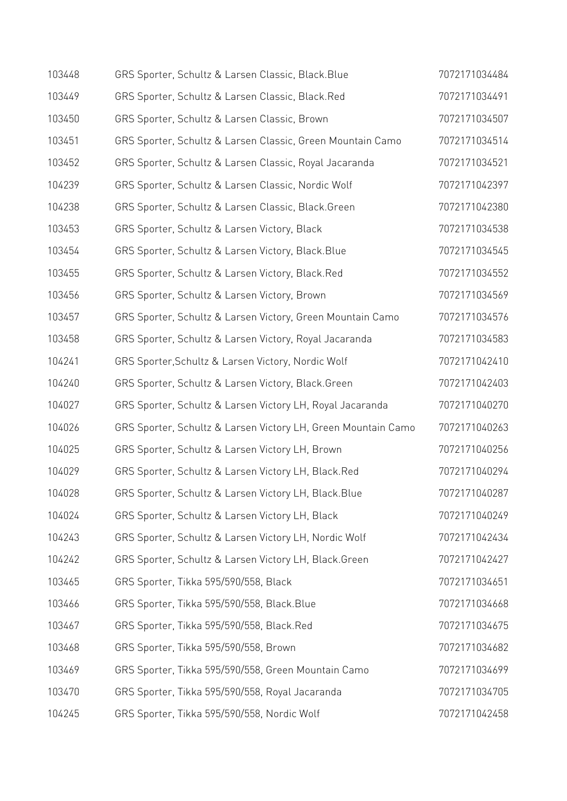| 103448 | GRS Sporter, Schultz & Larsen Classic, Black. Blue            | 7072171034484 |
|--------|---------------------------------------------------------------|---------------|
| 103449 | GRS Sporter, Schultz & Larsen Classic, Black.Red              | 7072171034491 |
| 103450 | GRS Sporter, Schultz & Larsen Classic, Brown                  | 7072171034507 |
| 103451 | GRS Sporter, Schultz & Larsen Classic, Green Mountain Camo    | 7072171034514 |
| 103452 | GRS Sporter, Schultz & Larsen Classic, Royal Jacaranda        | 7072171034521 |
| 104239 | GRS Sporter, Schultz & Larsen Classic, Nordic Wolf            | 7072171042397 |
| 104238 | GRS Sporter, Schultz & Larsen Classic, Black.Green            | 7072171042380 |
| 103453 | GRS Sporter, Schultz & Larsen Victory, Black                  | 7072171034538 |
| 103454 | GRS Sporter, Schultz & Larsen Victory, Black. Blue            | 7072171034545 |
| 103455 | GRS Sporter, Schultz & Larsen Victory, Black.Red              | 7072171034552 |
| 103456 | GRS Sporter, Schultz & Larsen Victory, Brown                  | 7072171034569 |
| 103457 | GRS Sporter, Schultz & Larsen Victory, Green Mountain Camo    | 7072171034576 |
| 103458 | GRS Sporter, Schultz & Larsen Victory, Royal Jacaranda        | 7072171034583 |
| 104241 | GRS Sporter, Schultz & Larsen Victory, Nordic Wolf            | 7072171042410 |
| 104240 | GRS Sporter, Schultz & Larsen Victory, Black.Green            | 7072171042403 |
| 104027 | GRS Sporter, Schultz & Larsen Victory LH, Royal Jacaranda     | 7072171040270 |
| 104026 | GRS Sporter, Schultz & Larsen Victory LH, Green Mountain Camo | 7072171040263 |
| 104025 | GRS Sporter, Schultz & Larsen Victory LH, Brown               | 7072171040256 |
| 104029 | GRS Sporter, Schultz & Larsen Victory LH, Black.Red           | 7072171040294 |
| 104028 | GRS Sporter, Schultz & Larsen Victory LH, Black.Blue          | 7072171040287 |
| 104024 | GRS Sporter, Schultz & Larsen Victory LH, Black               | 7072171040249 |
| 104243 | GRS Sporter, Schultz & Larsen Victory LH, Nordic Wolf         | 7072171042434 |
| 104242 | GRS Sporter, Schultz & Larsen Victory LH, Black.Green         | 7072171042427 |
| 103465 | GRS Sporter, Tikka 595/590/558, Black                         | 7072171034651 |
| 103466 | GRS Sporter, Tikka 595/590/558, Black.Blue                    | 7072171034668 |
| 103467 | GRS Sporter, Tikka 595/590/558, Black.Red                     | 7072171034675 |
| 103468 | GRS Sporter, Tikka 595/590/558, Brown                         | 7072171034682 |
| 103469 | GRS Sporter, Tikka 595/590/558, Green Mountain Camo           | 7072171034699 |
| 103470 | GRS Sporter, Tikka 595/590/558, Royal Jacaranda               | 7072171034705 |
| 104245 | GRS Sporter, Tikka 595/590/558, Nordic Wolf                   | 7072171042458 |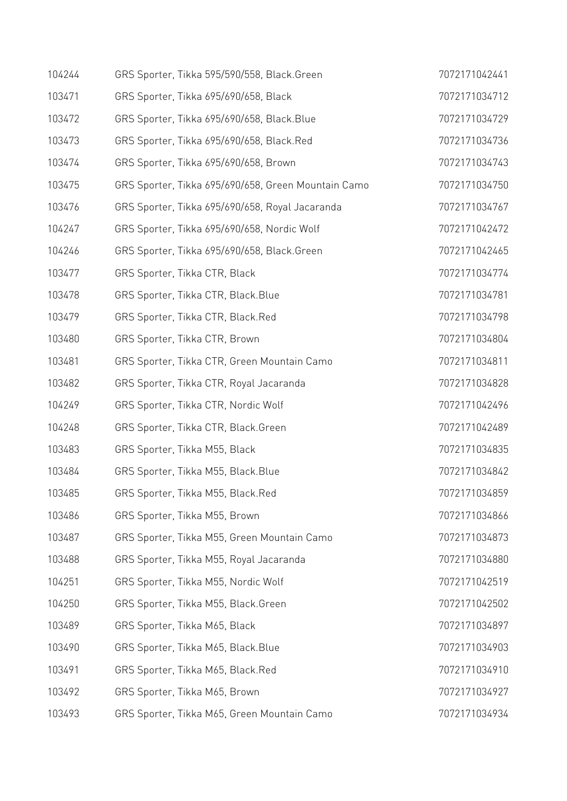| 104244 | GRS Sporter, Tikka 595/590/558, Black.Green         | 7072171042441 |
|--------|-----------------------------------------------------|---------------|
| 103471 | GRS Sporter, Tikka 695/690/658, Black               | 7072171034712 |
| 103472 | GRS Sporter, Tikka 695/690/658, Black.Blue          | 7072171034729 |
| 103473 | GRS Sporter, Tikka 695/690/658, Black.Red           | 7072171034736 |
| 103474 | GRS Sporter, Tikka 695/690/658, Brown               | 7072171034743 |
| 103475 | GRS Sporter, Tikka 695/690/658, Green Mountain Camo | 7072171034750 |
| 103476 | GRS Sporter, Tikka 695/690/658, Royal Jacaranda     | 7072171034767 |
| 104247 | GRS Sporter, Tikka 695/690/658, Nordic Wolf         | 7072171042472 |
| 104246 | GRS Sporter, Tikka 695/690/658, Black.Green         | 7072171042465 |
| 103477 | GRS Sporter, Tikka CTR, Black                       | 7072171034774 |
| 103478 | GRS Sporter, Tikka CTR, Black.Blue                  | 7072171034781 |
| 103479 | GRS Sporter, Tikka CTR, Black.Red                   | 7072171034798 |
| 103480 | GRS Sporter, Tikka CTR, Brown                       | 7072171034804 |
| 103481 | GRS Sporter, Tikka CTR, Green Mountain Camo         | 7072171034811 |
| 103482 | GRS Sporter, Tikka CTR, Royal Jacaranda             | 7072171034828 |
| 104249 | GRS Sporter, Tikka CTR, Nordic Wolf                 | 7072171042496 |
| 104248 | GRS Sporter, Tikka CTR, Black.Green                 | 7072171042489 |
| 103483 | GRS Sporter, Tikka M55, Black                       | 7072171034835 |
| 103484 | GRS Sporter, Tikka M55, Black. Blue                 | 7072171034842 |
| 103485 | GRS Sporter, Tikka M55, Black.Red                   | 7072171034859 |
| 103486 | GRS Sporter, Tikka M55, Brown                       | 7072171034866 |
| 103487 | GRS Sporter, Tikka M55, Green Mountain Camo         | 7072171034873 |
| 103488 | GRS Sporter, Tikka M55, Royal Jacaranda             | 7072171034880 |
| 104251 | GRS Sporter, Tikka M55, Nordic Wolf                 | 7072171042519 |
| 104250 | GRS Sporter, Tikka M55, Black.Green                 | 7072171042502 |
| 103489 | GRS Sporter, Tikka M65, Black                       | 7072171034897 |
| 103490 | GRS Sporter, Tikka M65, Black. Blue                 | 7072171034903 |
| 103491 | GRS Sporter, Tikka M65, Black.Red                   | 7072171034910 |
| 103492 | GRS Sporter, Tikka M65, Brown                       | 7072171034927 |
| 103493 | GRS Sporter, Tikka M65, Green Mountain Camo         | 7072171034934 |
|        |                                                     |               |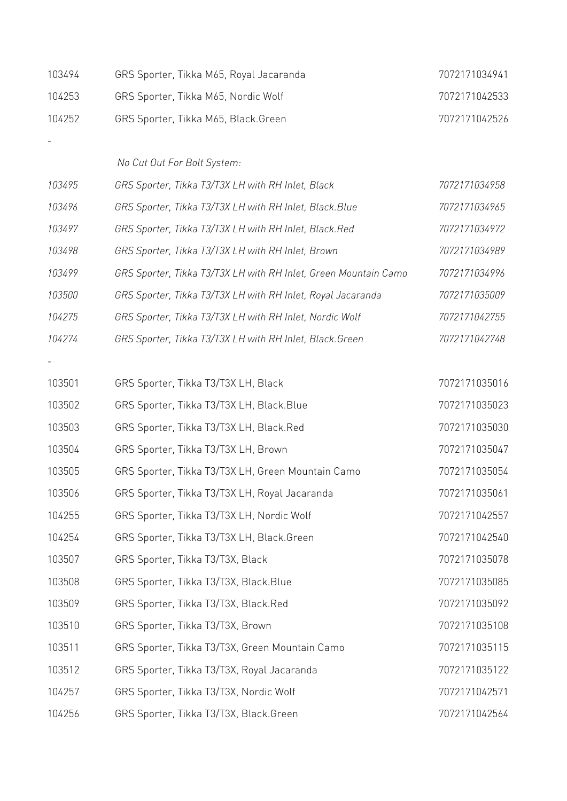| 103494 | GRS Sporter, Tikka M65, Royal Jacaranda                         | 7072171034941 |
|--------|-----------------------------------------------------------------|---------------|
| 104253 | GRS Sporter, Tikka M65, Nordic Wolf                             | 7072171042533 |
| 104252 | GRS Sporter, Tikka M65, Black.Green                             | 7072171042526 |
|        |                                                                 |               |
|        | No Cut Out For Bolt System:                                     |               |
| 103495 | GRS Sporter, Tikka T3/T3X LH with RH Inlet, Black               | 7072171034958 |
| 103496 | GRS Sporter, Tikka T3/T3X LH with RH Inlet, Black.Blue          | 7072171034965 |
| 103497 | GRS Sporter, Tikka T3/T3X LH with RH Inlet, Black.Red           | 7072171034972 |
| 103498 | GRS Sporter, Tikka T3/T3X LH with RH Inlet, Brown               | 7072171034989 |
| 103499 | GRS Sporter, Tikka T3/T3X LH with RH Inlet, Green Mountain Camo | 7072171034996 |
| 103500 | GRS Sporter, Tikka T3/T3X LH with RH Inlet, Royal Jacaranda     | 7072171035009 |
| 104275 | GRS Sporter, Tikka T3/T3X LH with RH Inlet, Nordic Wolf         | 7072171042755 |
| 104274 | GRS Sporter, Tikka T3/T3X LH with RH Inlet, Black. Green        | 7072171042748 |
|        |                                                                 |               |
| 103501 | GRS Sporter, Tikka T3/T3X LH, Black                             | 7072171035016 |
| 103502 | GRS Sporter, Tikka T3/T3X LH, Black.Blue                        | 7072171035023 |
| 103503 | GRS Sporter, Tikka T3/T3X LH, Black.Red                         | 7072171035030 |
| 103504 | GRS Sporter, Tikka T3/T3X LH, Brown                             | 7072171035047 |
| 103505 | GRS Sporter, Tikka T3/T3X LH, Green Mountain Camo               | 7072171035054 |
| 103506 | GRS Sporter, Tikka T3/T3X LH, Royal Jacaranda                   | 7072171035061 |
| 104255 | GRS Sporter, Tikka T3/T3X LH, Nordic Wolf                       | 7072171042557 |
| 104254 | GRS Sporter, Tikka T3/T3X LH, Black.Green                       | 7072171042540 |
| 103507 | GRS Sporter, Tikka T3/T3X, Black                                | 7072171035078 |
| 103508 | GRS Sporter, Tikka T3/T3X, Black.Blue                           | 7072171035085 |
| 103509 | GRS Sporter, Tikka T3/T3X, Black.Red                            | 7072171035092 |
| 103510 | GRS Sporter, Tikka T3/T3X, Brown                                | 7072171035108 |
| 103511 | GRS Sporter, Tikka T3/T3X, Green Mountain Camo                  | 7072171035115 |
| 103512 | GRS Sporter, Tikka T3/T3X, Royal Jacaranda                      | 7072171035122 |
| 104257 | GRS Sporter, Tikka T3/T3X, Nordic Wolf                          | 7072171042571 |
| 104256 | GRS Sporter, Tikka T3/T3X, Black.Green                          | 7072171042564 |
|        |                                                                 |               |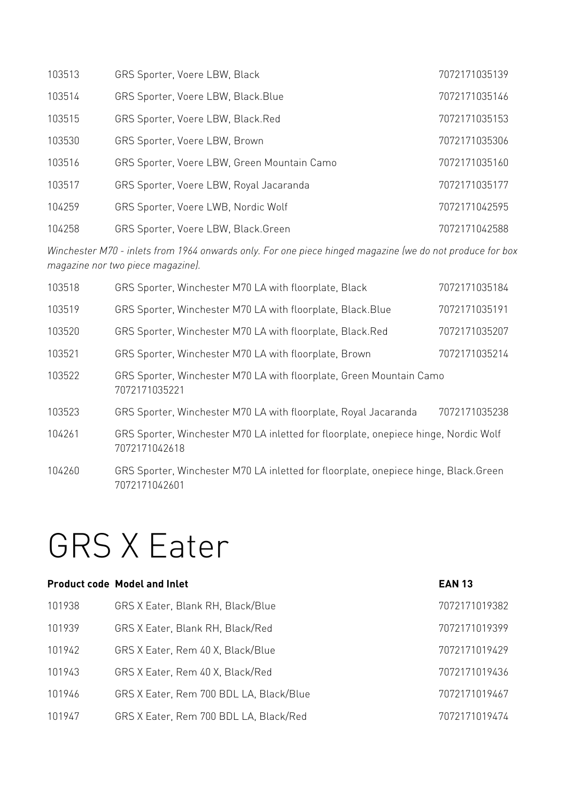| 103513 | GRS Sporter, Voere LBW, Black               | 7072171035139 |
|--------|---------------------------------------------|---------------|
| 103514 | GRS Sporter, Voere LBW, Black. Blue         | 7072171035146 |
| 103515 | GRS Sporter, Voere LBW, Black.Red           | 7072171035153 |
| 103530 | GRS Sporter, Voere LBW, Brown               | 7072171035306 |
| 103516 | GRS Sporter, Voere LBW, Green Mountain Camo | 7072171035160 |
| 103517 | GRS Sporter, Voere LBW, Royal Jacaranda     | 7072171035177 |
| 104259 | GRS Sporter, Voere LWB, Nordic Wolf         | 7072171042595 |
| 104258 | GRS Sporter, Voere LBW, Black.Green         | 7072171042588 |

*Winchester M70 - inlets from 1964 onwards only. For one piece hinged magazine (we do not produce for box magazine nor two piece magazine).* 

| 103518 | GRS Sporter, Winchester M70 LA with floorplate, Black                                                | 7072171035184 |
|--------|------------------------------------------------------------------------------------------------------|---------------|
| 103519 | GRS Sporter, Winchester M70 LA with floorplate, Black.Blue                                           | 7072171035191 |
| 103520 | GRS Sporter, Winchester M70 LA with floorplate, Black.Red                                            | 7072171035207 |
| 103521 | GRS Sporter, Winchester M70 LA with floorplate, Brown                                                | 7072171035214 |
| 103522 | GRS Sporter, Winchester M70 LA with floorplate, Green Mountain Camo<br>7072171035221                 |               |
| 103523 | GRS Sporter, Winchester M70 LA with floorplate, Royal Jacaranda                                      | 7072171035238 |
| 104261 | GRS Sporter, Winchester M70 LA inletted for floorplate, onepiece hinge, Nordic Wolf<br>7072171042618 |               |
| 104260 | GRS Sporter, Winchester M70 LA inletted for floorplate, onepiece hinge, Black.Green<br>7072171042601 |               |

### GRS X Eater

|        | <b>Product code Model and Inlet</b>     | <b>EAN 13</b> |
|--------|-----------------------------------------|---------------|
| 101938 | GRS X Eater, Blank RH, Black/Blue       | 7072171019382 |
| 101939 | GRS X Eater, Blank RH, Black/Red        | 7072171019399 |
| 101942 | GRS X Eater, Rem 40 X, Black/Blue       | 7072171019429 |
| 101943 | GRS X Eater, Rem 40 X, Black/Red        | 7072171019436 |
| 101946 | GRS X Eater, Rem 700 BDL LA, Black/Blue | 7072171019467 |
| 101947 | GRS X Eater, Rem 700 BDL LA, Black/Red  | 7072171019474 |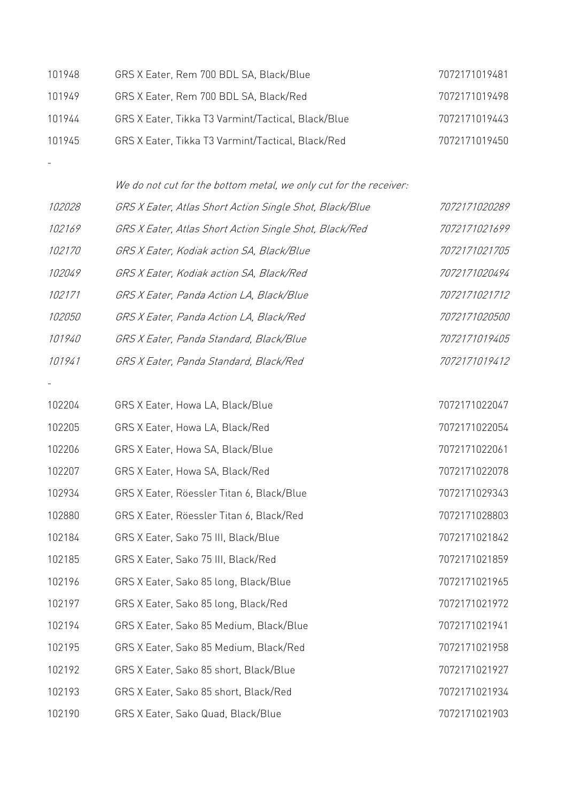| 101948 | GRS X Eater, Rem 700 BDL SA, Black/Blue            | 7072171019481 |
|--------|----------------------------------------------------|---------------|
| 101949 | GRS X Eater, Rem 700 BDL SA, Black/Red             | 7072171019498 |
| 101944 | GRS X Eater, Tikka T3 Varmint/Tactical, Black/Blue | 7072171019443 |
| 101945 | GRS X Eater, Tikka T3 Varmint/Tactical, Black/Red  | 7072171019450 |

| We do not cut for the bottom metal, we only cut for the receiver: |  |  |  |  |
|-------------------------------------------------------------------|--|--|--|--|
|                                                                   |  |  |  |  |

 $\sim$  -  $\sim$   $\sim$   $\sim$ 

 $\frac{1}{\sqrt{2}}\int_{0}^{\sqrt{2}}\left(\frac{1}{\sqrt{2}}\right)^{2}e^{-\frac{1}{2}x}dx$ 

| <i>102028</i> | GRS X Eater, Atlas Short Action Single Shot, Black/Blue | 7072171020289 |
|---------------|---------------------------------------------------------|---------------|
| 102169        | GRS X Eater, Atlas Short Action Single Shot, Black/Red  | 7072171021699 |
| <i>102170</i> | GRS X Eater, Kodiak action SA, Black/Blue               | 7072171021705 |
| 102049        | GRS X Eater, Kodiak action SA, Black/Red                | 7072171020494 |
| 102171        | GRS X Eater, Panda Action LA, Black/Blue                | 7072171021712 |
| <i>102050</i> | GRS X Eater, Panda Action LA, Black/Red                 | 7072171020500 |
| 101940        | GRS X Eater, Panda Standard, Black/Blue                 | 7072171019405 |
| 101941        | GRS X Eater, Panda Standard, Black/Red                  | 7072171019412 |

| 102204 | GRS X Eater, Howa LA, Black/Blue          | 7072171022047 |
|--------|-------------------------------------------|---------------|
| 102205 | GRS X Eater, Howa LA, Black/Red           | 7072171022054 |
| 102206 | GRS X Eater, Howa SA, Black/Blue          | 7072171022061 |
| 102207 | GRS X Eater, Howa SA, Black/Red           | 7072171022078 |
| 102934 | GRS X Eater, Röessler Titan 6, Black/Blue | 7072171029343 |
| 102880 | GRS X Eater, Röessler Titan 6, Black/Red  | 7072171028803 |
| 102184 | GRS X Eater, Sako 75 III, Black/Blue      | 7072171021842 |
| 102185 | GRS X Eater, Sako 75 III, Black/Red       | 7072171021859 |
| 102196 | GRS X Eater, Sako 85 long, Black/Blue     | 7072171021965 |
| 102197 | GRS X Eater, Sako 85 long, Black/Red      | 7072171021972 |
| 102194 | GRS X Eater, Sako 85 Medium, Black/Blue   | 7072171021941 |
| 102195 | GRS X Eater, Sako 85 Medium, Black/Red    | 7072171021958 |
| 102192 | GRS X Eater, Sako 85 short, Black/Blue    | 7072171021927 |
| 102193 | GRS X Eater, Sako 85 short, Black/Red     | 7072171021934 |
| 102190 | GRS X Eater, Sako Quad, Black/Blue        | 7072171021903 |
|        |                                           |               |